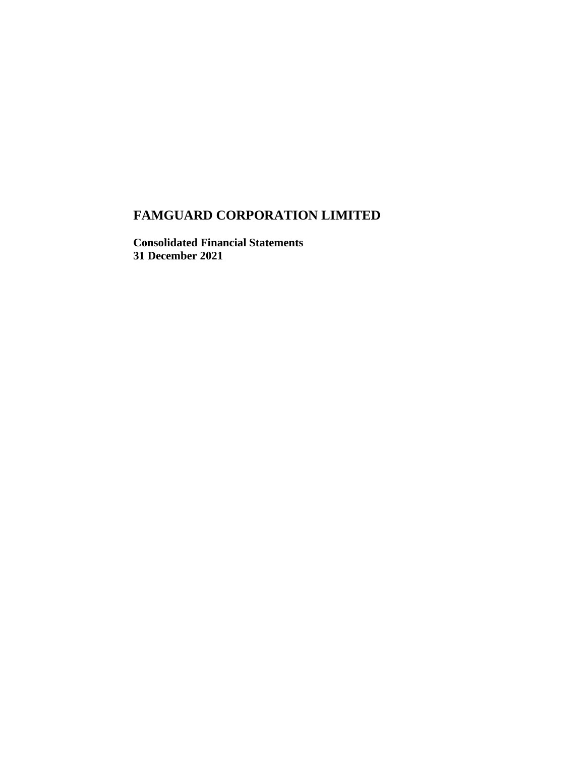### **FAMGUARD CORPORATION LIMITED**

**Consolidated Financial Statements 31 December 2021**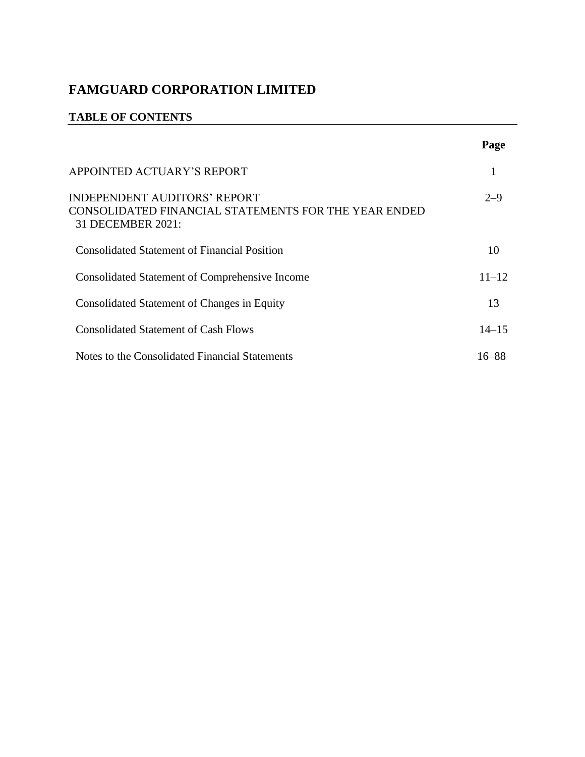### **FAMGUARD CORPORATION LIMITED**

## **TABLE OF CONTENTS**

|                                                                                                                  | Page      |
|------------------------------------------------------------------------------------------------------------------|-----------|
| APPOINTED ACTUARY'S REPORT                                                                                       | 1         |
| <b>INDEPENDENT AUDITORS' REPORT</b><br>CONSOLIDATED FINANCIAL STATEMENTS FOR THE YEAR ENDED<br>31 DECEMBER 2021: | $2 - 9$   |
| <b>Consolidated Statement of Financial Position</b>                                                              | 10        |
| <b>Consolidated Statement of Comprehensive Income</b>                                                            | $11 - 12$ |
| Consolidated Statement of Changes in Equity                                                                      | 13        |
| <b>Consolidated Statement of Cash Flows</b>                                                                      | $14 - 15$ |
| Notes to the Consolidated Financial Statements                                                                   | $16 - 88$ |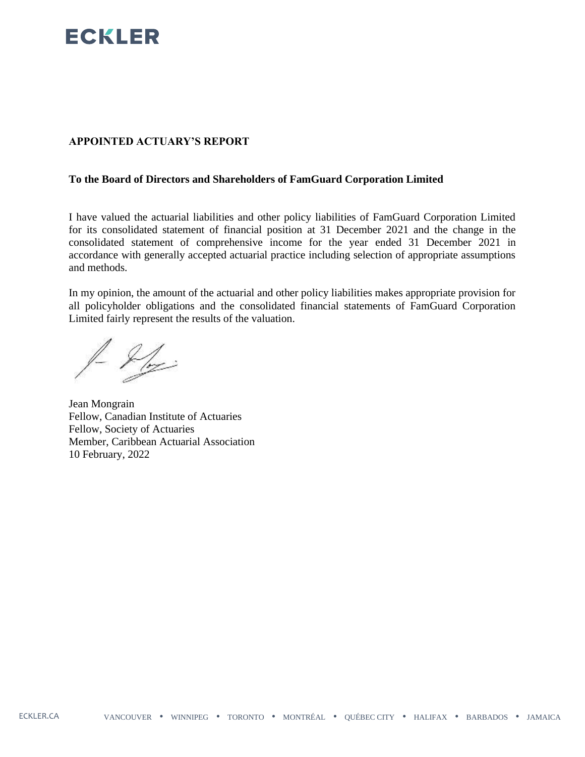# **ECKLER**

#### **APPOINTED ACTUARY'S REPORT**

#### **To the Board of Directors and Shareholders of FamGuard Corporation Limited**

I have valued the actuarial liabilities and other policy liabilities of FamGuard Corporation Limited for its consolidated statement of financial position at 31 December 2021 and the change in the consolidated statement of comprehensive income for the year ended 31 December 2021 in accordance with generally accepted actuarial practice including selection of appropriate assumptions and methods.

In my opinion, the amount of the actuarial and other policy liabilities makes appropriate provision for all policyholder obligations and the consolidated financial statements of FamGuard Corporation Limited fairly represent the results of the valuation.

 $\mathscr{L}_{\ell}$ 

Jean Mongrain Fellow, Canadian Institute of Actuaries Fellow, Society of Actuaries Member, Caribbean Actuarial Association 10 February, 2022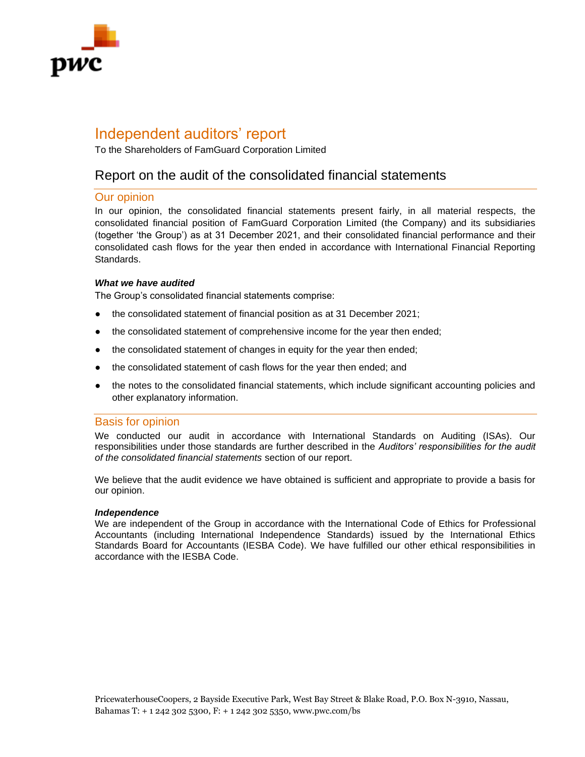

## Independent auditors' report

To the Shareholders of FamGuard Corporation Limited

### Report on the audit of the consolidated financial statements

#### Our opinion

In our opinion, the consolidated financial statements present fairly, in all material respects, the consolidated financial position of FamGuard Corporation Limited (the Company) and its subsidiaries (together 'the Group') as at 31 December 2021, and their consolidated financial performance and their consolidated cash flows for the year then ended in accordance with International Financial Reporting Standards.

#### *What we have audited*

The Group's consolidated financial statements comprise:

- the consolidated statement of financial position as at 31 December 2021;
- the consolidated statement of comprehensive income for the year then ended;
- the consolidated statement of changes in equity for the year then ended;
- the consolidated statement of cash flows for the year then ended; and
- the notes to the consolidated financial statements, which include significant accounting policies and other explanatory information.

#### Basis for opinion

We conducted our audit in accordance with International Standards on Auditing (ISAs). Our responsibilities under those standards are further described in the *Auditors' responsibilities for the audit of the consolidated financial statements* section of our report.

We believe that the audit evidence we have obtained is sufficient and appropriate to provide a basis for our opinion.

#### *Independence*

We are independent of the Group in accordance with the International Code of Ethics for Professional Accountants (including International Independence Standards) issued by the International Ethics Standards Board for Accountants (IESBA Code). We have fulfilled our other ethical responsibilities in accordance with the IESBA Code.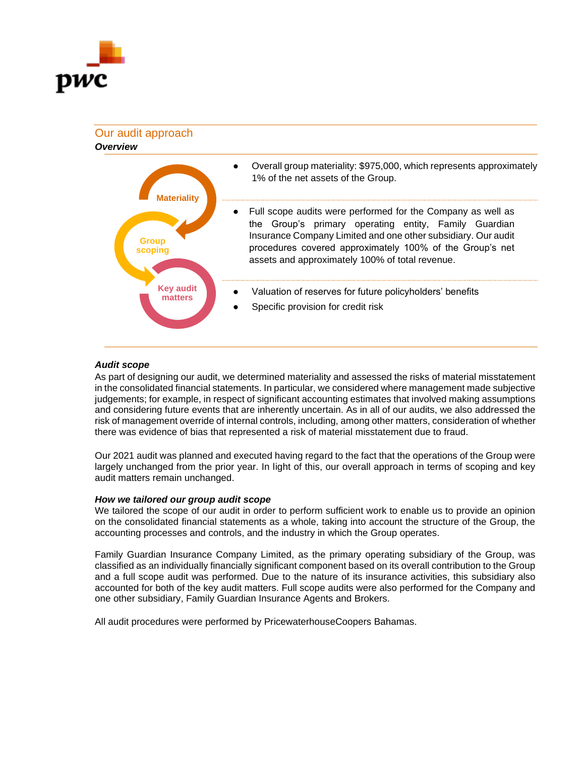



#### *Audit scope*

As part of designing our audit, we determined materiality and assessed the risks of material misstatement in the consolidated financial statements. In particular, we considered where management made subjective judgements; for example, in respect of significant accounting estimates that involved making assumptions and considering future events that are inherently uncertain. As in all of our audits, we also addressed the risk of management override of internal controls, including, among other matters, consideration of whether there was evidence of bias that represented a risk of material misstatement due to fraud.

Our 2021 audit was planned and executed having regard to the fact that the operations of the Group were largely unchanged from the prior year. In light of this, our overall approach in terms of scoping and key audit matters remain unchanged.

#### *How we tailored our group audit scope*

We tailored the scope of our audit in order to perform sufficient work to enable us to provide an opinion on the consolidated financial statements as a whole, taking into account the structure of the Group, the accounting processes and controls, and the industry in which the Group operates.

Family Guardian Insurance Company Limited, as the primary operating subsidiary of the Group, was classified as an individually financially significant component based on its overall contribution to the Group and a full scope audit was performed. Due to the nature of its insurance activities, this subsidiary also accounted for both of the key audit matters. Full scope audits were also performed for the Company and one other subsidiary, Family Guardian Insurance Agents and Brokers.

All audit procedures were performed by PricewaterhouseCoopers Bahamas.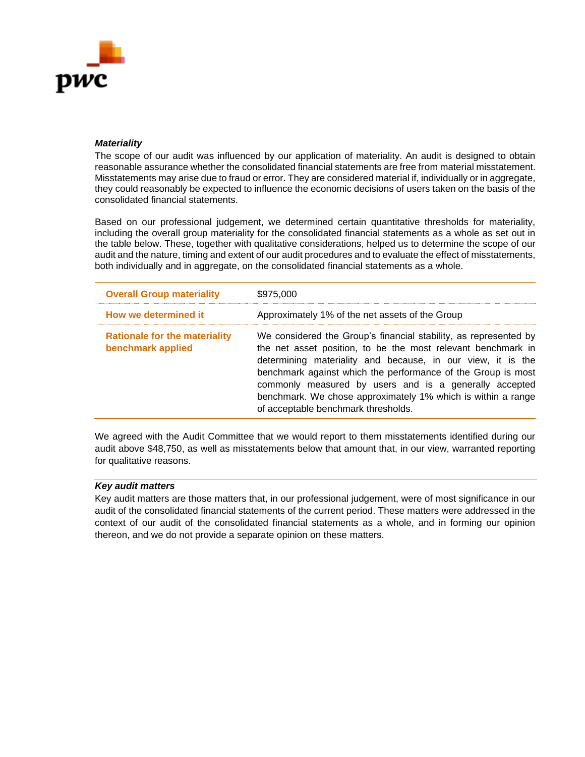

#### *Materiality*

The scope of our audit was influenced by our application of materiality. An audit is designed to obtain reasonable assurance whether the consolidated financial statements are free from material misstatement. Misstatements may arise due to fraud or error. They are considered material if, individually or in aggregate, they could reasonably be expected to influence the economic decisions of users taken on the basis of the consolidated financial statements.

Based on our professional judgement, we determined certain quantitative thresholds for materiality, including the overall group materiality for the consolidated financial statements as a whole as set out in the table below. These, together with qualitative considerations, helped us to determine the scope of our audit and the nature, timing and extent of our audit procedures and to evaluate the effect of misstatements, both individually and in aggregate, on the consolidated financial statements as a whole.

| <b>Overall Group materiality</b>                          | \$975,000                                                                                                                                                                                                                                                                                                                                                                                                                        |
|-----------------------------------------------------------|----------------------------------------------------------------------------------------------------------------------------------------------------------------------------------------------------------------------------------------------------------------------------------------------------------------------------------------------------------------------------------------------------------------------------------|
| How we determined it                                      | Approximately 1% of the net assets of the Group                                                                                                                                                                                                                                                                                                                                                                                  |
| <b>Rationale for the materiality</b><br>benchmark applied | We considered the Group's financial stability, as represented by<br>the net asset position, to be the most relevant benchmark in<br>determining materiality and because, in our view, it is the<br>benchmark against which the performance of the Group is most<br>commonly measured by users and is a generally accepted<br>benchmark. We chose approximately 1% which is within a range<br>of acceptable benchmark thresholds. |

We agreed with the Audit Committee that we would report to them misstatements identified during our audit above \$48,750, as well as misstatements below that amount that, in our view, warranted reporting for qualitative reasons.

#### *Key audit matters*

Key audit matters are those matters that, in our professional judgement, were of most significance in our audit of the consolidated financial statements of the current period. These matters were addressed in the context of our audit of the consolidated financial statements as a whole, and in forming our opinion thereon, and we do not provide a separate opinion on these matters.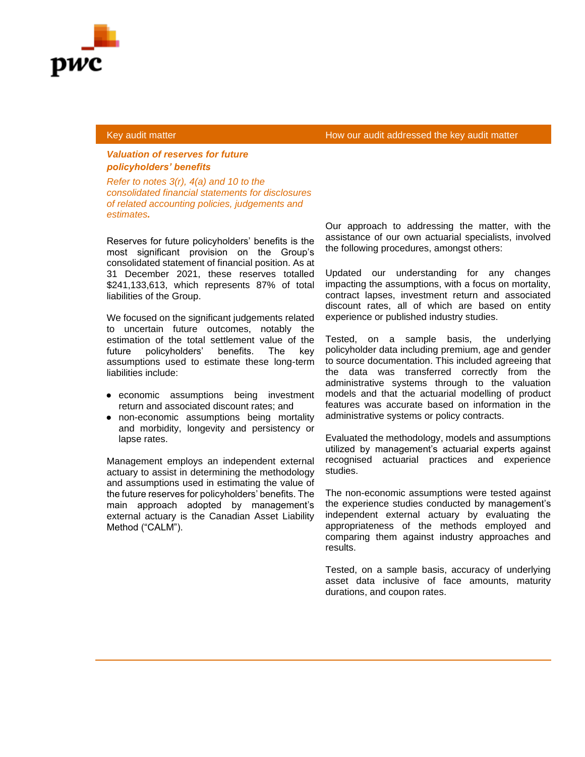

#### Key audit matter **How our audit addressed the key audit matter** How our audit addressed the key audit matter

#### *Valuation of reserves for future policyholders' benefits*

*Refer to notes 3(r), 4(a) and 10 to the consolidated financial statements for disclosures of related accounting policies, judgements and estimates.*

Reserves for future policyholders' benefits is the most significant provision on the Group's consolidated statement of financial position. As at 31 December 2021, these reserves totalled \$241,133,613, which represents 87% of total liabilities of the Group.

We focused on the significant judgements related to uncertain future outcomes, notably the estimation of the total settlement value of the future policyholders' benefits. The key assumptions used to estimate these long-term liabilities include:

- economic assumptions being investment return and associated discount rates; and
- non-economic assumptions being mortality and morbidity, longevity and persistency or lapse rates.

Management employs an independent external actuary to assist in determining the methodology and assumptions used in estimating the value of the future reserves for policyholders' benefits. The main approach adopted by management's external actuary is the Canadian Asset Liability Method ("CALM").

Our approach to addressing the matter, with the assistance of our own actuarial specialists, involved the following procedures, amongst others:

Updated our understanding for any changes impacting the assumptions, with a focus on mortality, contract lapses, investment return and associated discount rates, all of which are based on entity experience or published industry studies.

Tested, on a sample basis, the underlying policyholder data including premium, age and gender to source documentation. This included agreeing that the data was transferred correctly from the administrative systems through to the valuation models and that the actuarial modelling of product features was accurate based on information in the administrative systems or policy contracts.

Evaluated the methodology, models and assumptions utilized by management's actuarial experts against recognised actuarial practices and experience studies.

The non-economic assumptions were tested against the experience studies conducted by management's independent external actuary by evaluating the appropriateness of the methods employed and comparing them against industry approaches and results.

Tested, on a sample basis, accuracy of underlying asset data inclusive of face amounts, maturity durations, and coupon rates.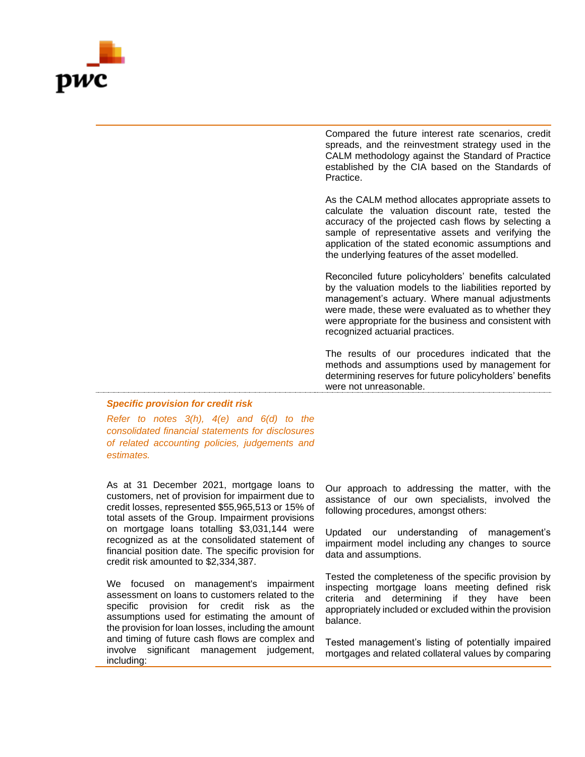

Compared the future interest rate scenarios, credit spreads, and the reinvestment strategy used in the CALM methodology against the Standard of Practice established by the CIA based on the Standards of Practice.

As the CALM method allocates appropriate assets to calculate the valuation discount rate, tested the accuracy of the projected cash flows by selecting a sample of representative assets and verifying the application of the stated economic assumptions and the underlying features of the asset modelled.

Reconciled future policyholders' benefits calculated by the valuation models to the liabilities reported by management's actuary. Where manual adjustments were made, these were evaluated as to whether they were appropriate for the business and consistent with recognized actuarial practices.

The results of our procedures indicated that the methods and assumptions used by management for determining reserves for future policyholders' benefits were not unreasonable.

#### *Specific provision for credit risk*

*Refer to notes 3(h), 4(e) and 6(d) to the consolidated financial statements for disclosures of related accounting policies, judgements and estimates.*

As at 31 December 2021, mortgage loans to customers, net of provision for impairment due to credit losses, represented \$55,965,513 or 15% of total assets of the Group. Impairment provisions on mortgage loans totalling \$3,031,144 were recognized as at the consolidated statement of financial position date. The specific provision for credit risk amounted to \$2,334,387.

We focused on management's impairment assessment on loans to customers related to the specific provision for credit risk as the assumptions used for estimating the amount of the provision for loan losses, including the amount and timing of future cash flows are complex and involve significant management judgement, including:

Our approach to addressing the matter, with the assistance of our own specialists, involved the following procedures, amongst others:

Updated our understanding of management's impairment model including any changes to source data and assumptions.

Tested the completeness of the specific provision by inspecting mortgage loans meeting defined risk criteria and determining if they have been appropriately included or excluded within the provision balance.

Tested management's listing of potentially impaired mortgages and related collateral values by comparing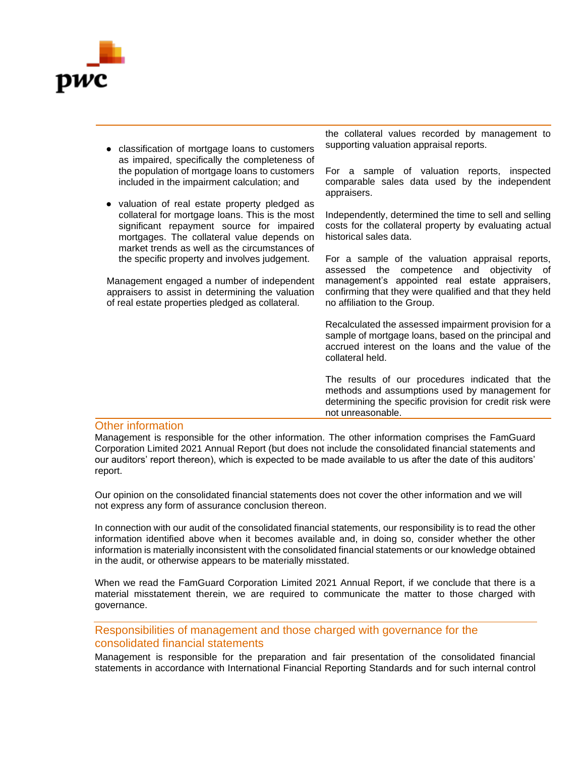

- classification of mortgage loans to customers as impaired, specifically the completeness of the population of mortgage loans to customers included in the impairment calculation; and
- valuation of real estate property pledged as collateral for mortgage loans. This is the most significant repayment source for impaired mortgages. The collateral value depends on market trends as well as the circumstances of the specific property and involves judgement.

Management engaged a number of independent appraisers to assist in determining the valuation of real estate properties pledged as collateral.

the collateral values recorded by management to supporting valuation appraisal reports.

For a sample of valuation reports, inspected comparable sales data used by the independent appraisers.

Independently, determined the time to sell and selling costs for the collateral property by evaluating actual historical sales data.

For a sample of the valuation appraisal reports, assessed the competence and objectivity of management's appointed real estate appraisers, confirming that they were qualified and that they held no affiliation to the Group.

Recalculated the assessed impairment provision for a sample of mortgage loans, based on the principal and accrued interest on the loans and the value of the collateral held.

The results of our procedures indicated that the methods and assumptions used by management for determining the specific provision for credit risk were not unreasonable.

#### Other information

Management is responsible for the other information. The other information comprises the FamGuard Corporation Limited 2021 Annual Report (but does not include the consolidated financial statements and our auditors' report thereon), which is expected to be made available to us after the date of this auditors' report.

Our opinion on the consolidated financial statements does not cover the other information and we will not express any form of assurance conclusion thereon.

In connection with our audit of the consolidated financial statements, our responsibility is to read the other information identified above when it becomes available and, in doing so, consider whether the other information is materially inconsistent with the consolidated financial statements or our knowledge obtained in the audit, or otherwise appears to be materially misstated.

When we read the FamGuard Corporation Limited 2021 Annual Report, if we conclude that there is a material misstatement therein, we are required to communicate the matter to those charged with governance.

#### Responsibilities of management and those charged with governance for the consolidated financial statements

Management is responsible for the preparation and fair presentation of the consolidated financial statements in accordance with International Financial Reporting Standards and for such internal control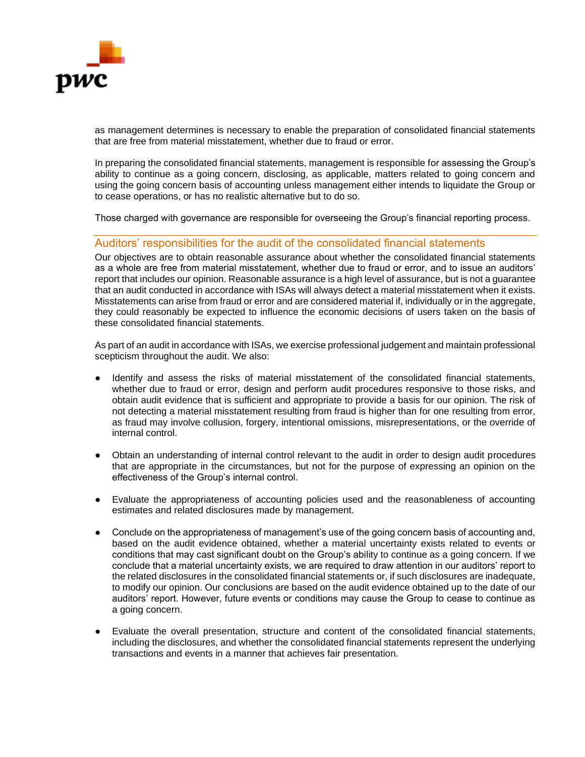

as management determines is necessary to enable the preparation of consolidated financial statements that are free from material misstatement, whether due to fraud or error.

In preparing the consolidated financial statements, management is responsible for assessing the Group's ability to continue as a going concern, disclosing, as applicable, matters related to going concern and using the going concern basis of accounting unless management either intends to liquidate the Group or to cease operations, or has no realistic alternative but to do so.

Those charged with governance are responsible for overseeing the Group's financial reporting process.

#### Auditors' responsibilities for the audit of the consolidated financial statements

Our objectives are to obtain reasonable assurance about whether the consolidated financial statements as a whole are free from material misstatement, whether due to fraud or error, and to issue an auditors' report that includes our opinion. Reasonable assurance is a high level of assurance, but is not a guarantee that an audit conducted in accordance with ISAs will always detect a material misstatement when it exists. Misstatements can arise from fraud or error and are considered material if, individually or in the aggregate, they could reasonably be expected to influence the economic decisions of users taken on the basis of these consolidated financial statements.

As part of an audit in accordance with ISAs, we exercise professional judgement and maintain professional scepticism throughout the audit. We also:

- Identify and assess the risks of material misstatement of the consolidated financial statements, whether due to fraud or error, design and perform audit procedures responsive to those risks, and obtain audit evidence that is sufficient and appropriate to provide a basis for our opinion. The risk of not detecting a material misstatement resulting from fraud is higher than for one resulting from error, as fraud may involve collusion, forgery, intentional omissions, misrepresentations, or the override of internal control.
- Obtain an understanding of internal control relevant to the audit in order to design audit procedures that are appropriate in the circumstances, but not for the purpose of expressing an opinion on the effectiveness of the Group's internal control.
- Evaluate the appropriateness of accounting policies used and the reasonableness of accounting estimates and related disclosures made by management.
- Conclude on the appropriateness of management's use of the going concern basis of accounting and, based on the audit evidence obtained, whether a material uncertainty exists related to events or conditions that may cast significant doubt on the Group's ability to continue as a going concern. If we conclude that a material uncertainty exists, we are required to draw attention in our auditors' report to the related disclosures in the consolidated financial statements or, if such disclosures are inadequate, to modify our opinion. Our conclusions are based on the audit evidence obtained up to the date of our auditors' report. However, future events or conditions may cause the Group to cease to continue as a going concern.
- Evaluate the overall presentation, structure and content of the consolidated financial statements, including the disclosures, and whether the consolidated financial statements represent the underlying transactions and events in a manner that achieves fair presentation.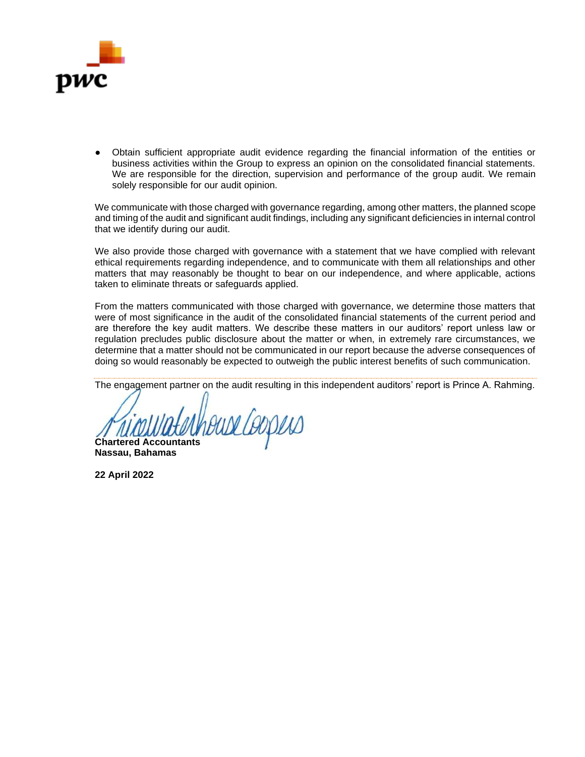

Obtain sufficient appropriate audit evidence regarding the financial information of the entities or business activities within the Group to express an opinion on the consolidated financial statements. We are responsible for the direction, supervision and performance of the group audit. We remain solely responsible for our audit opinion.

We communicate with those charged with governance regarding, among other matters, the planned scope and timing of the audit and significant audit findings, including any significant deficiencies in internal control that we identify during our audit.

We also provide those charged with governance with a statement that we have complied with relevant ethical requirements regarding independence, and to communicate with them all relationships and other matters that may reasonably be thought to bear on our independence, and where applicable, actions taken to eliminate threats or safeguards applied.

From the matters communicated with those charged with governance, we determine those matters that were of most significance in the audit of the consolidated financial statements of the current period and are therefore the key audit matters. We describe these matters in our auditors' report unless law or regulation precludes public disclosure about the matter or when, in extremely rare circumstances, we determine that a matter should not be communicated in our report because the adverse consequences of doing so would reasonably be expected to outweigh the public interest benefits of such communication.

The engagement partner on the audit resulting in this independent auditors' report is Prince A. Rahming.

<u>AUDIL GODIN</u> **Chartered Accountants** 

**Nassau, Bahamas** 

**22 April 2022**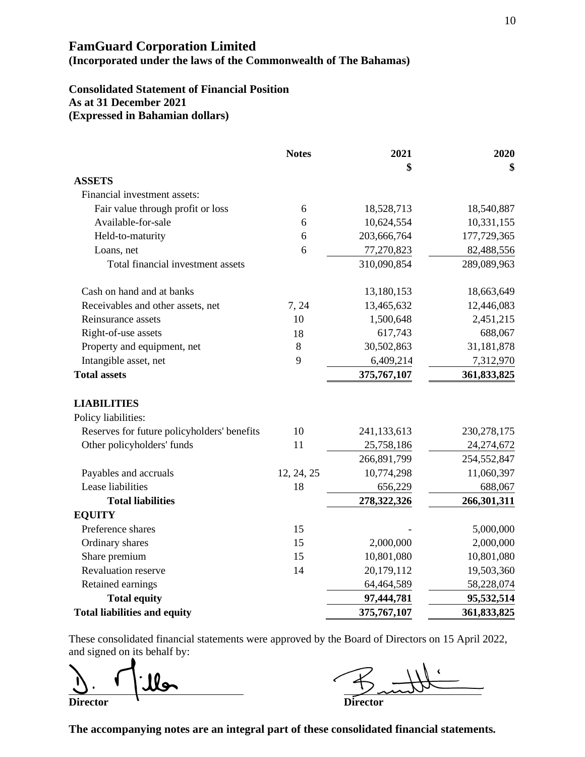### **FamGuard Corporation Limited (Incorporated under the laws of the Commonwealth of The Bahamas)**

### **Consolidated Statement of Financial Position As at 31 December 2021 (Expressed in Bahamian dollars)**

|                                             | <b>Notes</b> | 2021        | 2020          |
|---------------------------------------------|--------------|-------------|---------------|
|                                             |              | \$          | \$            |
| <b>ASSETS</b>                               |              |             |               |
| Financial investment assets:                |              |             |               |
| Fair value through profit or loss           | 6            | 18,528,713  | 18,540,887    |
| Available-for-sale                          | 6            | 10,624,554  | 10,331,155    |
| Held-to-maturity                            | 6            | 203,666,764 | 177,729,365   |
| Loans, net                                  | 6            | 77,270,823  | 82,488,556    |
| Total financial investment assets           |              | 310,090,854 | 289,089,963   |
| Cash on hand and at banks                   |              | 13,180,153  | 18,663,649    |
| Receivables and other assets, net           | 7, 24        | 13,465,632  | 12,446,083    |
| Reinsurance assets                          | 10           | 1,500,648   | 2,451,215     |
| Right-of-use assets                         | 18           | 617,743     | 688,067       |
| Property and equipment, net                 | 8            | 30,502,863  | 31,181,878    |
| Intangible asset, net                       | 9            | 6,409,214   | 7,312,970     |
| <b>Total assets</b>                         |              | 375,767,107 | 361,833,825   |
| <b>LIABILITIES</b>                          |              |             |               |
| Policy liabilities:                         |              |             |               |
| Reserves for future policyholders' benefits | 10           | 241,133,613 | 230, 278, 175 |
| Other policyholders' funds                  | 11           | 25,758,186  | 24,274,672    |
|                                             |              | 266,891,799 | 254,552,847   |
| Payables and accruals                       | 12, 24, 25   | 10,774,298  | 11,060,397    |
| Lease liabilities                           | 18           | 656,229     | 688,067       |
| <b>Total liabilities</b>                    |              | 278,322,326 | 266,301,311   |
| <b>EQUITY</b>                               |              |             |               |
| Preference shares                           | 15           |             | 5,000,000     |
| Ordinary shares                             | 15           | 2,000,000   | 2,000,000     |
| Share premium                               | 15           | 10,801,080  | 10,801,080    |
| Revaluation reserve                         | 14           | 20,179,112  | 19,503,360    |
| Retained earnings                           |              | 64,464,589  | 58,228,074    |
| <b>Total equity</b>                         |              | 97,444,781  | 95,532,514    |
| <b>Total liabilities and equity</b>         |              | 375,767,107 | 361,833,825   |

These consolidated financial statements were approved by the Board of Directors on 15 April 2022, and signed on its behalf by:

lo **Director Director**

10

**The accompanying notes are an integral part of these consolidated financial statements***.*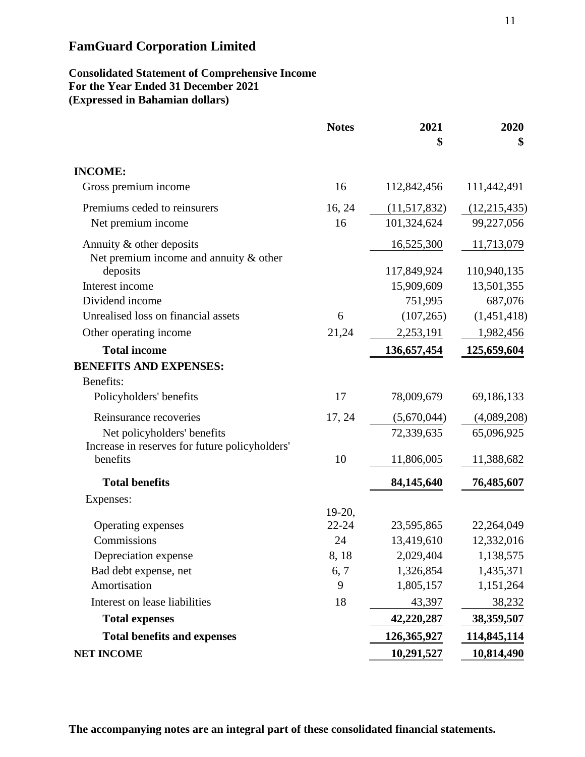#### **Consolidated Statement of Comprehensive Income For the Year Ended 31 December 2021 (Expressed in Bahamian dollars)**

|                                                                               | <b>Notes</b>    | 2021<br>\$               | 2020<br>\$               |
|-------------------------------------------------------------------------------|-----------------|--------------------------|--------------------------|
| <b>INCOME:</b>                                                                |                 |                          |                          |
| Gross premium income                                                          | 16              | 112,842,456              | 111,442,491              |
| Premiums ceded to reinsurers                                                  | 16, 24          | (11,517,832)             | (12,215,435)             |
| Net premium income                                                            | 16              | 101,324,624              | 99,227,056               |
| Annuity & other deposits<br>Net premium income and annuity $\&$ other         |                 | 16,525,300               | 11,713,079               |
| deposits                                                                      |                 | 117,849,924              | 110,940,135              |
| Interest income                                                               |                 | 15,909,609               | 13,501,355               |
| Dividend income                                                               |                 | 751,995                  | 687,076                  |
| Unrealised loss on financial assets                                           | 6               | (107, 265)               | (1,451,418)              |
| Other operating income                                                        | 21,24           | 2,253,191                | 1,982,456                |
| <b>Total income</b>                                                           |                 | 136,657,454              | 125,659,604              |
| <b>BENEFITS AND EXPENSES:</b><br>Benefits:                                    |                 |                          |                          |
| Policyholders' benefits                                                       | 17              | 78,009,679               | 69,186,133               |
| Reinsurance recoveries                                                        | 17, 24          | (5,670,044)              | (4,089,208)              |
| Net policyholders' benefits<br>Increase in reserves for future policyholders' |                 | 72,339,635               | 65,096,925               |
| benefits                                                                      | 10              | 11,806,005               | 11,388,682               |
| <b>Total benefits</b>                                                         |                 | 84,145,640               | 76,485,607               |
| Expenses:                                                                     |                 |                          |                          |
|                                                                               | 19-20,          |                          |                          |
| Operating expenses<br>Commissions                                             | $22 - 24$<br>24 | 23,595,865<br>13,419,610 | 22,264,049<br>12,332,016 |
| Depreciation expense                                                          | 8, 18           | 2,029,404                | 1,138,575                |
| Bad debt expense, net                                                         | 6, 7            | 1,326,854                | 1,435,371                |
| Amortisation                                                                  | 9               | 1,805,157                | 1,151,264                |
| Interest on lease liabilities                                                 | 18              | 43,397                   | 38,232                   |
| <b>Total expenses</b>                                                         |                 | 42,220,287               | 38,359,507               |
| <b>Total benefits and expenses</b>                                            |                 | 126,365,927              | 114,845,114              |
| <b>NET INCOME</b>                                                             |                 | 10,291,527               | 10,814,490               |
|                                                                               |                 |                          |                          |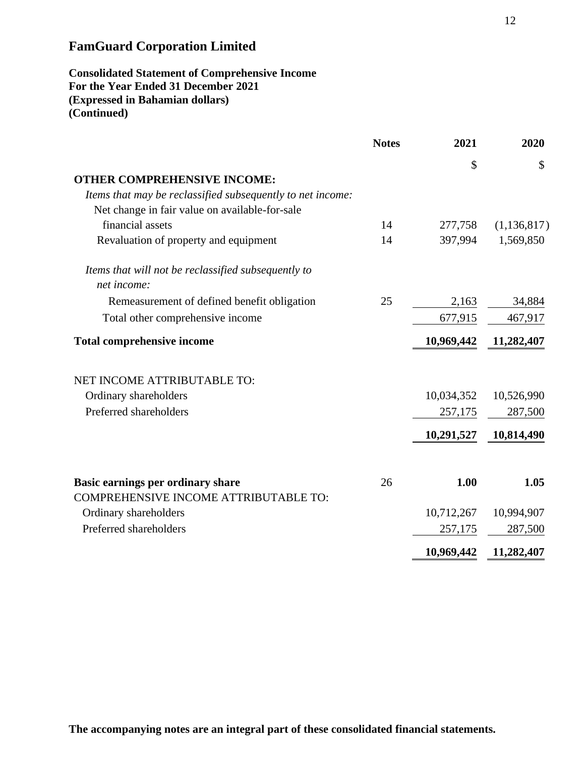**Consolidated Statement of Comprehensive Income For the Year Ended 31 December 2021 (Expressed in Bahamian dollars) (Continued)**

|                                                            | <b>Notes</b> | 2021       | 2020        |
|------------------------------------------------------------|--------------|------------|-------------|
|                                                            |              | \$         | \$          |
| <b>OTHER COMPREHENSIVE INCOME:</b>                         |              |            |             |
| Items that may be reclassified subsequently to net income: |              |            |             |
| Net change in fair value on available-for-sale             |              |            |             |
| financial assets                                           | 14           | 277,758    | (1,136,817) |
| Revaluation of property and equipment                      | 14           | 397,994    | 1,569,850   |
| Items that will not be reclassified subsequently to        |              |            |             |
| net income:                                                |              |            |             |
| Remeasurement of defined benefit obligation                | 25           | 2,163      | 34,884      |
| Total other comprehensive income                           |              | 677,915    | 467,917     |
| <b>Total comprehensive income</b>                          |              | 10,969,442 | 11,282,407  |
| NET INCOME ATTRIBUTABLE TO:                                |              |            |             |
| Ordinary shareholders                                      |              | 10,034,352 | 10,526,990  |
| Preferred shareholders                                     |              | 257,175    | 287,500     |
|                                                            |              |            |             |
|                                                            |              | 10,291,527 | 10,814,490  |
|                                                            |              |            |             |
| Basic earnings per ordinary share                          | 26           | 1.00       | 1.05        |
| <b>COMPREHENSIVE INCOME ATTRIBUTABLE TO:</b>               |              |            |             |
| Ordinary shareholders                                      |              | 10,712,267 | 10,994,907  |
| Preferred shareholders                                     |              | 257,175    | 287,500     |
|                                                            |              | 10,969,442 | 11,282,407  |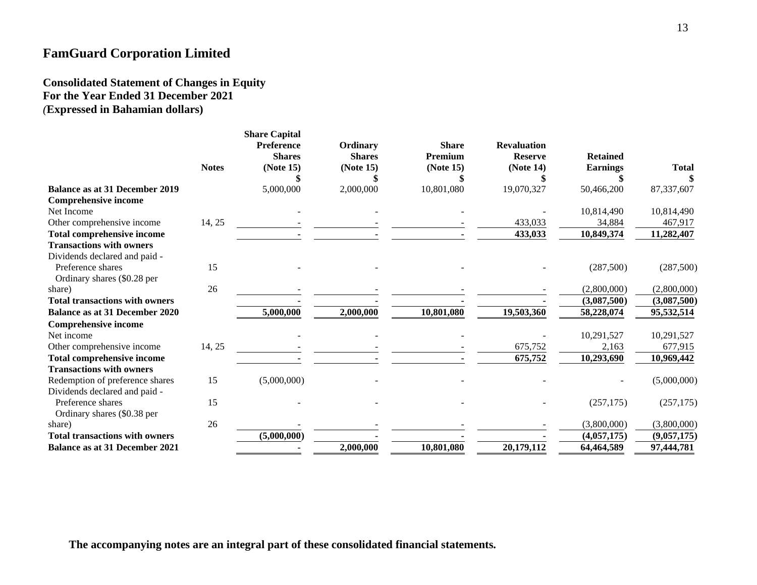### **Consolidated Statement of Changes in Equity For the Year Ended 31 December 2021** *(***Expressed in Bahamian dollars)**

| <b>Notes</b>                                                     | <b>Share Capital</b><br>Preference<br><b>Shares</b><br>(Note 15) | Ordinary<br><b>Shares</b><br>(Note 15) | <b>Share</b><br>Premium<br>(Note 15) | <b>Revaluation</b><br><b>Reserve</b><br>(Note 14) | <b>Retained</b><br><b>Earnings</b> | <b>Total</b> |
|------------------------------------------------------------------|------------------------------------------------------------------|----------------------------------------|--------------------------------------|---------------------------------------------------|------------------------------------|--------------|
|                                                                  |                                                                  |                                        |                                      |                                                   |                                    |              |
| <b>Balance as at 31 December 2019</b>                            | 5,000,000                                                        | 2,000,000                              | 10,801,080                           | 19,070,327                                        | 50,466,200                         | 87,337,607   |
| <b>Comprehensive income</b>                                      |                                                                  |                                        |                                      |                                                   |                                    |              |
| Net Income                                                       |                                                                  |                                        |                                      |                                                   | 10,814,490                         | 10,814,490   |
| 14, 25<br>Other comprehensive income                             |                                                                  |                                        |                                      | 433,033                                           | 34,884                             | 467,917      |
| <b>Total comprehensive income</b>                                |                                                                  |                                        |                                      | 433,033                                           | 10,849,374                         | 11,282,407   |
| <b>Transactions with owners</b><br>Dividends declared and paid - |                                                                  |                                        |                                      |                                                   |                                    |              |
| Preference shares<br>15                                          |                                                                  |                                        |                                      |                                                   | (287,500)                          | (287,500)    |
| Ordinary shares (\$0.28 per                                      |                                                                  |                                        |                                      |                                                   |                                    |              |
| 26<br>share)                                                     |                                                                  |                                        |                                      |                                                   | (2,800,000)                        | (2,800,000)  |
| <b>Total transactions with owners</b>                            |                                                                  |                                        |                                      |                                                   | (3,087,500)                        | (3,087,500)  |
| <b>Balance as at 31 December 2020</b>                            | 5,000,000                                                        | 2,000,000                              | 10,801,080                           | 19,503,360                                        | 58,228,074                         | 95,532,514   |
| <b>Comprehensive income</b>                                      |                                                                  |                                        |                                      |                                                   |                                    |              |
| Net income                                                       |                                                                  |                                        |                                      |                                                   | 10,291,527                         | 10,291,527   |
| 14, 25<br>Other comprehensive income                             |                                                                  |                                        |                                      | 675,752                                           | 2,163                              | 677,915      |
| <b>Total comprehensive income</b>                                |                                                                  |                                        |                                      | 675,752                                           | 10,293,690                         | 10,969,442   |
| <b>Transactions with owners</b>                                  |                                                                  |                                        |                                      |                                                   |                                    |              |
| Redemption of preference shares<br>15                            | (5,000,000)                                                      |                                        |                                      |                                                   |                                    | (5,000,000)  |
| Dividends declared and paid -                                    |                                                                  |                                        |                                      |                                                   |                                    |              |
| Preference shares<br>15                                          |                                                                  |                                        |                                      |                                                   | (257, 175)                         | (257, 175)   |
| Ordinary shares (\$0.38 per                                      |                                                                  |                                        |                                      |                                                   |                                    |              |
| 26<br>share)                                                     |                                                                  |                                        |                                      |                                                   | (3,800,000)                        | (3,800,000)  |
| <b>Total transactions with owners</b>                            | (5,000,000)                                                      |                                        |                                      |                                                   | (4,057,175)                        | (9,057,175)  |
| <b>Balance as at 31 December 2021</b>                            |                                                                  | 2,000,000                              | 10,801,080                           | 20,179,112                                        | 64,464,589                         | 97,444,781   |

**The accompanying notes are an integral part of these consolidated financial statements***.*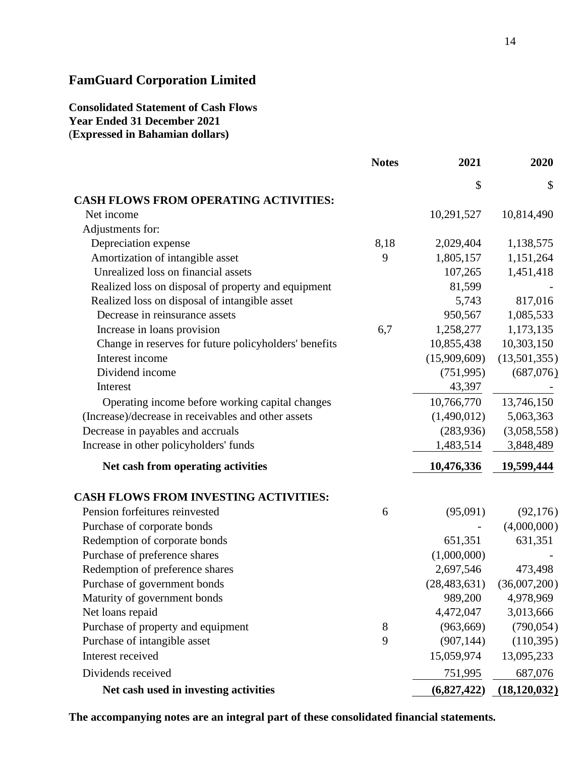**Consolidated Statement of Cash Flows Year Ended 31 December 2021** (**Expressed in Bahamian dollars)**

|                                                       | <b>Notes</b> | 2021         | 2020                          |
|-------------------------------------------------------|--------------|--------------|-------------------------------|
|                                                       |              | \$           | \$                            |
| <b>CASH FLOWS FROM OPERATING ACTIVITIES:</b>          |              |              |                               |
| Net income                                            |              | 10,291,527   | 10,814,490                    |
| Adjustments for:                                      |              |              |                               |
| Depreciation expense                                  | 8,18         | 2,029,404    | 1,138,575                     |
| Amortization of intangible asset                      | 9            | 1,805,157    | 1,151,264                     |
| Unrealized loss on financial assets                   |              | 107,265      | 1,451,418                     |
| Realized loss on disposal of property and equipment   |              | 81,599       |                               |
| Realized loss on disposal of intangible asset         |              | 5,743        | 817,016                       |
| Decrease in reinsurance assets                        |              | 950,567      | 1,085,533                     |
| Increase in loans provision                           | 6,7          | 1,258,277    | 1,173,135                     |
| Change in reserves for future policyholders' benefits |              | 10,855,438   | 10,303,150                    |
| Interest income                                       |              | (15,909,609) | (13,501,355)                  |
| Dividend income                                       |              | (751, 995)   | (687,076)                     |
| Interest                                              |              | 43,397       |                               |
| Operating income before working capital changes       |              | 10,766,770   | 13,746,150                    |
| (Increase)/decrease in receivables and other assets   |              | (1,490,012)  | 5,063,363                     |
| Decrease in payables and accruals                     |              | (283, 936)   | (3,058,558)                   |
| Increase in other policyholders' funds                |              | 1,483,514    | 3,848,489                     |
| Net cash from operating activities                    |              | 10,476,336   | 19,599,444                    |
| <b>CASH FLOWS FROM INVESTING ACTIVITIES:</b>          |              |              |                               |
| Pension forfeitures reinvested                        | 6            | (95,091)     | (92,176)                      |
| Purchase of corporate bonds                           |              |              | (4,000,000)                   |
| Redemption of corporate bonds                         |              | 651,351      | 631,351                       |
| Purchase of preference shares                         |              | (1,000,000)  |                               |
| Redemption of preference shares                       |              | 2,697,546    | 473,498                       |
| Purchase of government bonds                          |              |              | $(28,483,631)$ $(36,007,200)$ |
| Maturity of government bonds                          |              | 989,200      | 4,978,969                     |
| Net loans repaid                                      |              | 4,472,047    | 3,013,666                     |
| Purchase of property and equipment                    | 8            | (963, 669)   | (790, 054)                    |
| Purchase of intangible asset                          | 9            | (907, 144)   | (110,395)                     |
| Interest received                                     |              | 15,059,974   | 13,095,233                    |
| Dividends received                                    |              | 751,995      | 687,076                       |
| Net cash used in investing activities                 |              | (6,827,422)  | (18, 120, 032)                |

**The accompanying notes are an integral part of these consolidated financial statements***.*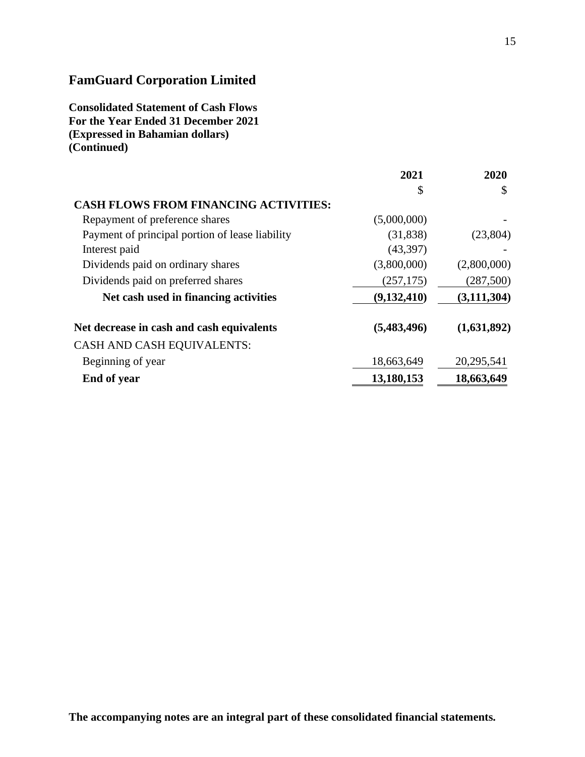**Consolidated Statement of Cash Flows For the Year Ended 31 December 2021 (Expressed in Bahamian dollars) (Continued)**

|                                                 | 2021          | 2020          |
|-------------------------------------------------|---------------|---------------|
|                                                 | \$            | \$            |
| <b>CASH FLOWS FROM FINANCING ACTIVITIES:</b>    |               |               |
| Repayment of preference shares                  | (5,000,000)   |               |
| Payment of principal portion of lease liability | (31,838)      | (23,804)      |
| Interest paid                                   | (43, 397)     |               |
| Dividends paid on ordinary shares               | (3,800,000)   | (2,800,000)   |
| Dividends paid on preferred shares              | (257, 175)    | (287,500)     |
| Net cash used in financing activities           | (9, 132, 410) | (3, 111, 304) |
| Net decrease in cash and cash equivalents       | (5,483,496)   | (1,631,892)   |
| CASH AND CASH EQUIVALENTS:                      |               |               |
| Beginning of year                               | 18,663,649    | 20,295,541    |
| End of year                                     | 13,180,153    | 18,663,649    |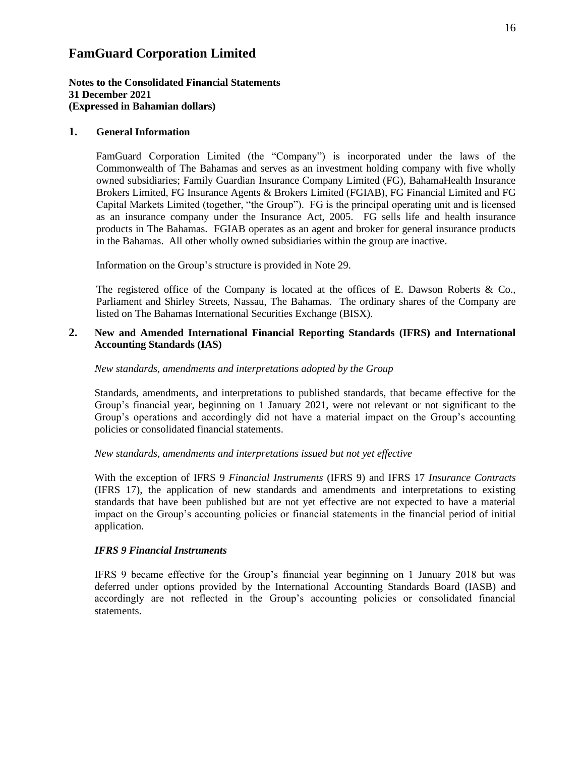#### **Notes to the Consolidated Financial Statements 31 December 2021 (Expressed in Bahamian dollars)**

#### **1. General Information**

FamGuard Corporation Limited (the "Company") is incorporated under the laws of the Commonwealth of The Bahamas and serves as an investment holding company with five wholly owned subsidiaries; Family Guardian Insurance Company Limited (FG), BahamaHealth Insurance Brokers Limited, FG Insurance Agents & Brokers Limited (FGIAB), FG Financial Limited and FG Capital Markets Limited (together, "the Group"). FG is the principal operating unit and is licensed as an insurance company under the Insurance Act, 2005. FG sells life and health insurance products in The Bahamas. FGIAB operates as an agent and broker for general insurance products in the Bahamas. All other wholly owned subsidiaries within the group are inactive.

Information on the Group's structure is provided in Note 29.

The registered office of the Company is located at the offices of E. Dawson Roberts & Co., Parliament and Shirley Streets, Nassau, The Bahamas. The ordinary shares of the Company are listed on The Bahamas International Securities Exchange (BISX).

#### **2. New and Amended International Financial Reporting Standards (IFRS) and International Accounting Standards (IAS)**

#### *New standards, amendments and interpretations adopted by the Group*

Standards, amendments, and interpretations to published standards, that became effective for the Group's financial year, beginning on 1 January 2021, were not relevant or not significant to the Group's operations and accordingly did not have a material impact on the Group's accounting policies or consolidated financial statements.

#### *New standards, amendments and interpretations issued but not yet effective*

With the exception of IFRS 9 *Financial Instruments* (IFRS 9) and IFRS 17 *Insurance Contracts* (IFRS 17), the application of new standards and amendments and interpretations to existing standards that have been published but are not yet effective are not expected to have a material impact on the Group's accounting policies or financial statements in the financial period of initial application.

#### *IFRS 9 Financial Instruments*

IFRS 9 became effective for the Group's financial year beginning on 1 January 2018 but was deferred under options provided by the International Accounting Standards Board (IASB) and accordingly are not reflected in the Group's accounting policies or consolidated financial statements.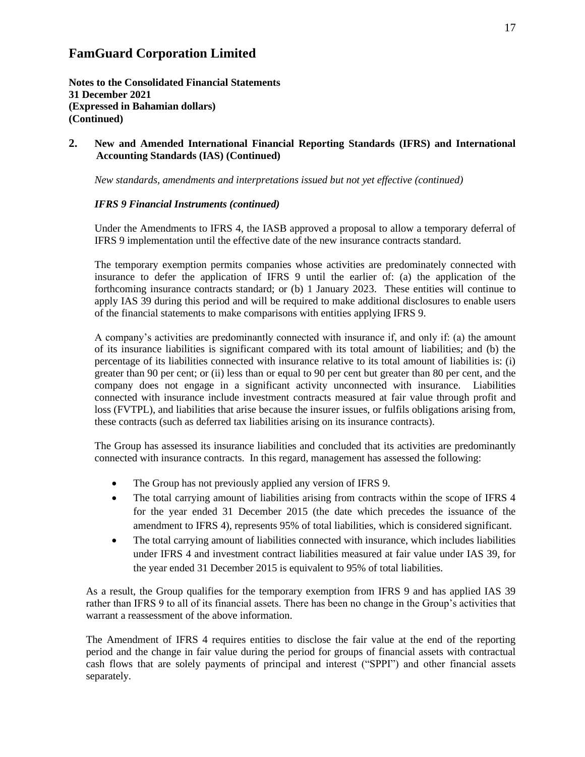**Notes to the Consolidated Financial Statements 31 December 2021 (Expressed in Bahamian dollars) (Continued)**

#### **2. New and Amended International Financial Reporting Standards (IFRS) and International Accounting Standards (IAS) (Continued)**

*New standards, amendments and interpretations issued but not yet effective (continued)*

#### *IFRS 9 Financial Instruments (continued)*

Under the Amendments to IFRS 4, the IASB approved a proposal to allow a temporary deferral of IFRS 9 implementation until the effective date of the new insurance contracts standard.

The temporary exemption permits companies whose activities are predominately connected with insurance to defer the application of IFRS 9 until the earlier of: (a) the application of the forthcoming insurance contracts standard; or (b) 1 January 2023. These entities will continue to apply IAS 39 during this period and will be required to make additional disclosures to enable users of the financial statements to make comparisons with entities applying IFRS 9.

A company's activities are predominantly connected with insurance if, and only if: (a) the amount of its insurance liabilities is significant compared with its total amount of liabilities; and (b) the percentage of its liabilities connected with insurance relative to its total amount of liabilities is: (i) greater than 90 per cent; or (ii) less than or equal to 90 per cent but greater than 80 per cent, and the company does not engage in a significant activity unconnected with insurance. Liabilities connected with insurance include investment contracts measured at fair value through profit and loss (FVTPL), and liabilities that arise because the insurer issues, or fulfils obligations arising from, these contracts (such as deferred tax liabilities arising on its insurance contracts).

The Group has assessed its insurance liabilities and concluded that its activities are predominantly connected with insurance contracts. In this regard, management has assessed the following:

- The Group has not previously applied any version of IFRS 9.
- The total carrying amount of liabilities arising from contracts within the scope of IFRS 4 for the year ended 31 December 2015 (the date which precedes the issuance of the amendment to IFRS 4), represents 95% of total liabilities, which is considered significant.
- The total carrying amount of liabilities connected with insurance, which includes liabilities under IFRS 4 and investment contract liabilities measured at fair value under IAS 39, for the year ended 31 December 2015 is equivalent to 95% of total liabilities.

As a result, the Group qualifies for the temporary exemption from IFRS 9 and has applied IAS 39 rather than IFRS 9 to all of its financial assets. There has been no change in the Group's activities that warrant a reassessment of the above information.

The Amendment of IFRS 4 requires entities to disclose the fair value at the end of the reporting period and the change in fair value during the period for groups of financial assets with contractual cash flows that are solely payments of principal and interest ("SPPI") and other financial assets separately.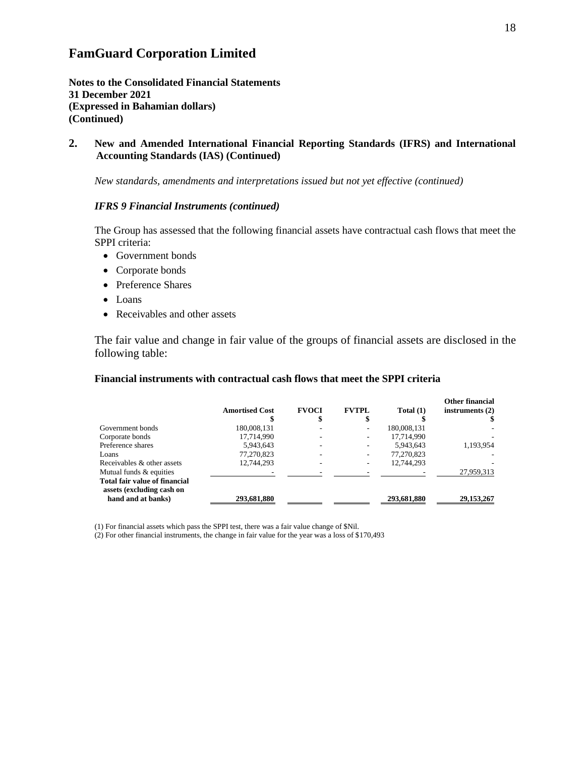**Notes to the Consolidated Financial Statements 31 December 2021 (Expressed in Bahamian dollars) (Continued)**

#### **2. New and Amended International Financial Reporting Standards (IFRS) and International Accounting Standards (IAS) (Continued)**

*New standards, amendments and interpretations issued but not yet effective (continued)*

#### *IFRS 9 Financial Instruments (continued)*

The Group has assessed that the following financial assets have contractual cash flows that meet the SPPI criteria:

- Government bonds
- Corporate bonds
- Preference Shares
- Loans
- Receivables and other assets

The fair value and change in fair value of the groups of financial assets are disclosed in the following table:

#### **Financial instruments with contractual cash flows that meet the SPPI criteria**

|                                                                   | <b>Amortised Cost</b> | <b>FVOCI</b><br>\$ | <b>FVTPL</b><br>S | Total $(1)$ | <b>Other financial</b><br>instruments $(2)$ |
|-------------------------------------------------------------------|-----------------------|--------------------|-------------------|-------------|---------------------------------------------|
| Government bonds                                                  | 180,008,131           |                    |                   | 180,008,131 |                                             |
| Corporate bonds                                                   | 17,714,990            |                    |                   | 17,714,990  |                                             |
| Preference shares                                                 | 5.943.643             |                    |                   | 5.943.643   | 1,193,954                                   |
| Loans                                                             | 77,270,823            |                    |                   | 77,270,823  |                                             |
| Receivables & other assets                                        | 12.744.293            |                    |                   | 12,744,293  |                                             |
| Mutual funds & equities                                           |                       |                    |                   |             | 27,959,313                                  |
| <b>Total fair value of financial</b><br>assets (excluding cash on |                       |                    |                   |             |                                             |
| hand and at banks)                                                | 293,681,880           |                    |                   | 293,681,880 | 29, 153, 267                                |

(1) For financial assets which pass the SPPI test, there was a fair value change of \$Nil.

(2) For other financial instruments, the change in fair value for the year was a loss of \$170,493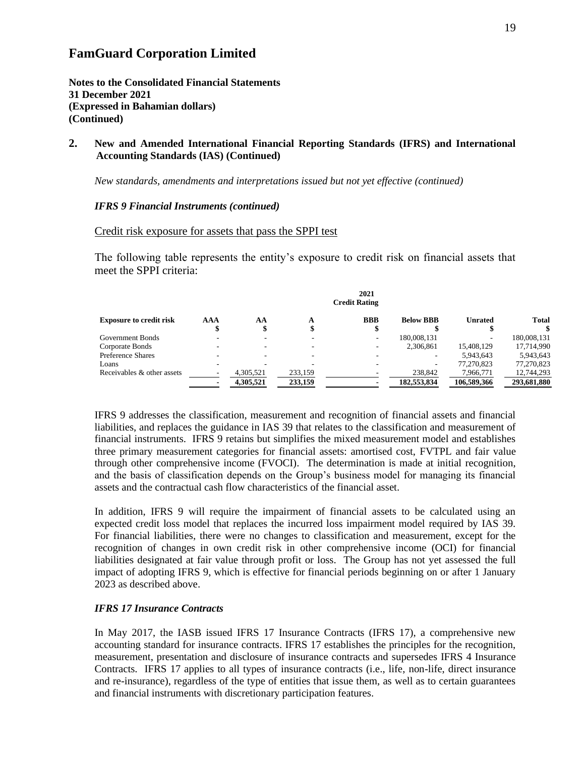**Notes to the Consolidated Financial Statements 31 December 2021 (Expressed in Bahamian dollars) (Continued)**

#### **2. New and Amended International Financial Reporting Standards (IFRS) and International Accounting Standards (IAS) (Continued)**

*New standards, amendments and interpretations issued but not yet effective (continued)*

#### *IFRS 9 Financial Instruments (continued)*

#### Credit risk exposure for assets that pass the SPPI test

The following table represents the entity's exposure to credit risk on financial assets that meet the SPPI criteria:

|                                |     |           |         | 2021<br><b>Credit Rating</b> |                  |                |              |
|--------------------------------|-----|-----------|---------|------------------------------|------------------|----------------|--------------|
| <b>Exposure to credit risk</b> | AAA | AA        | А       | <b>BBB</b>                   | <b>Below BBB</b> | <b>Unrated</b> | <b>Total</b> |
|                                |     |           | Φ       | \$                           |                  |                |              |
| Government Bonds               |     |           | ۰       |                              | 180,008,131      |                | 180,008,131  |
| Corporate Bonds                |     |           |         |                              | 2.306.861        | 15,408,129     | 17,714,990   |
| <b>Preference Shares</b>       |     |           |         |                              |                  | 5.943.643      | 5,943,643    |
| Loans                          |     |           |         |                              | ۰                | 77,270,823     | 77,270,823   |
| Receivables & other assets     |     | 4,305,521 | 233,159 |                              | 238,842          | 7,966,771      | 12,744,293   |
|                                |     | 4,305,521 | 233,159 |                              | 182,553,834      | 106,589,366    | 293,681,880  |

IFRS 9 addresses the classification, measurement and recognition of financial assets and financial liabilities, and replaces the guidance in IAS 39 that relates to the classification and measurement of financial instruments. IFRS 9 retains but simplifies the mixed measurement model and establishes three primary measurement categories for financial assets: amortised cost, FVTPL and fair value through other comprehensive income (FVOCI). The determination is made at initial recognition, and the basis of classification depends on the Group's business model for managing its financial assets and the contractual cash flow characteristics of the financial asset.

In addition, IFRS 9 will require the impairment of financial assets to be calculated using an expected credit loss model that replaces the incurred loss impairment model required by IAS 39. For financial liabilities, there were no changes to classification and measurement, except for the recognition of changes in own credit risk in other comprehensive income (OCI) for financial liabilities designated at fair value through profit or loss. The Group has not yet assessed the full impact of adopting IFRS 9, which is effective for financial periods beginning on or after 1 January 2023 as described above.

#### *IFRS 17 Insurance Contracts*

In May 2017, the IASB issued IFRS 17 Insurance Contracts (IFRS 17), a comprehensive new accounting standard for insurance contracts. IFRS 17 establishes the principles for the recognition, measurement, presentation and disclosure of insurance contracts and supersedes IFRS 4 Insurance Contracts. IFRS 17 applies to all types of insurance contracts (i.e., life, non-life, direct insurance and re-insurance), regardless of the type of entities that issue them, as well as to certain guarantees and financial instruments with discretionary participation features.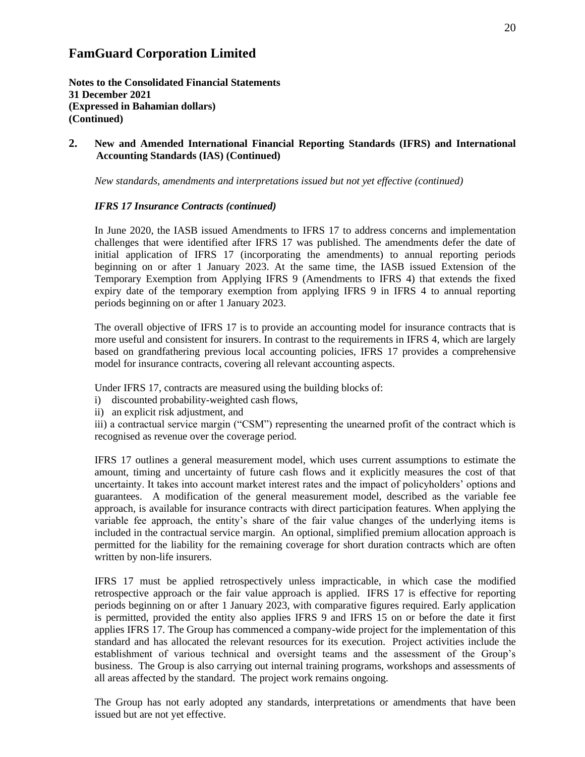**Notes to the Consolidated Financial Statements 31 December 2021 (Expressed in Bahamian dollars) (Continued)**

#### **2. New and Amended International Financial Reporting Standards (IFRS) and International Accounting Standards (IAS) (Continued)**

*New standards, amendments and interpretations issued but not yet effective (continued)*

#### *IFRS 17 Insurance Contracts (continued)*

In June 2020, the IASB issued Amendments to IFRS 17 to address concerns and implementation challenges that were identified after IFRS 17 was published. The amendments defer the date of initial application of IFRS 17 (incorporating the amendments) to annual reporting periods beginning on or after 1 January 2023. At the same time, the IASB issued Extension of the Temporary Exemption from Applying IFRS 9 (Amendments to IFRS 4) that extends the fixed expiry date of the temporary exemption from applying IFRS 9 in IFRS 4 to annual reporting periods beginning on or after 1 January 2023.

The overall objective of IFRS 17 is to provide an accounting model for insurance contracts that is more useful and consistent for insurers. In contrast to the requirements in IFRS 4, which are largely based on grandfathering previous local accounting policies, IFRS 17 provides a comprehensive model for insurance contracts, covering all relevant accounting aspects.

Under IFRS 17, contracts are measured using the building blocks of:

- i) discounted probability-weighted cash flows,
- ii) an explicit risk adjustment, and

iii) a contractual service margin ("CSM") representing the unearned profit of the contract which is recognised as revenue over the coverage period.

IFRS 17 outlines a general measurement model, which uses current assumptions to estimate the amount, timing and uncertainty of future cash flows and it explicitly measures the cost of that uncertainty. It takes into account market interest rates and the impact of policyholders' options and guarantees. A modification of the general measurement model, described as the variable fee approach, is available for insurance contracts with direct participation features. When applying the variable fee approach, the entity's share of the fair value changes of the underlying items is included in the contractual service margin. An optional, simplified premium allocation approach is permitted for the liability for the remaining coverage for short duration contracts which are often written by non-life insurers.

IFRS 17 must be applied retrospectively unless impracticable, in which case the modified retrospective approach or the fair value approach is applied. IFRS 17 is effective for reporting periods beginning on or after 1 January 2023, with comparative figures required. Early application is permitted, provided the entity also applies IFRS 9 and IFRS 15 on or before the date it first applies IFRS 17. The Group has commenced a company-wide project for the implementation of this standard and has allocated the relevant resources for its execution. Project activities include the establishment of various technical and oversight teams and the assessment of the Group's business. The Group is also carrying out internal training programs, workshops and assessments of all areas affected by the standard. The project work remains ongoing.

The Group has not early adopted any standards, interpretations or amendments that have been issued but are not yet effective.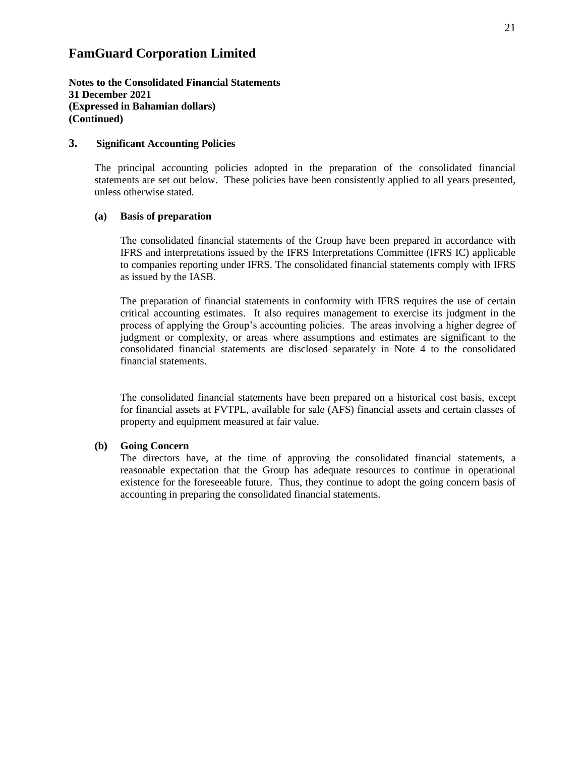**Notes to the Consolidated Financial Statements 31 December 2021 (Expressed in Bahamian dollars) (Continued)**

#### **3. Significant Accounting Policies**

The principal accounting policies adopted in the preparation of the consolidated financial statements are set out below. These policies have been consistently applied to all years presented, unless otherwise stated.

#### **(a) Basis of preparation**

The consolidated financial statements of the Group have been prepared in accordance with IFRS and interpretations issued by the IFRS Interpretations Committee (IFRS IC) applicable to companies reporting under IFRS. The consolidated financial statements comply with IFRS as issued by the IASB.

The preparation of financial statements in conformity with IFRS requires the use of certain critical accounting estimates. It also requires management to exercise its judgment in the process of applying the Group's accounting policies. The areas involving a higher degree of judgment or complexity, or areas where assumptions and estimates are significant to the consolidated financial statements are disclosed separately in Note 4 to the consolidated financial statements.

The consolidated financial statements have been prepared on a historical cost basis, except for financial assets at FVTPL, available for sale (AFS) financial assets and certain classes of property and equipment measured at fair value.

#### **(b) Going Concern**

The directors have, at the time of approving the consolidated financial statements, a reasonable expectation that the Group has adequate resources to continue in operational existence for the foreseeable future. Thus, they continue to adopt the going concern basis of accounting in preparing the consolidated financial statements.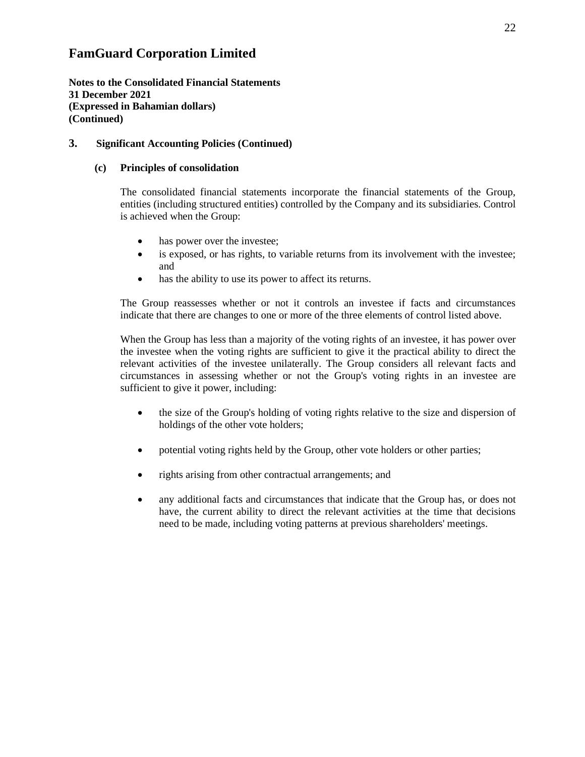**Notes to the Consolidated Financial Statements 31 December 2021 (Expressed in Bahamian dollars) (Continued)**

#### **3. Significant Accounting Policies (Continued)**

#### **(c) Principles of consolidation**

The consolidated financial statements incorporate the financial statements of the Group, entities (including structured entities) controlled by the Company and its subsidiaries. Control is achieved when the Group:

- has power over the investee;
- is exposed, or has rights, to variable returns from its involvement with the investee; and
- has the ability to use its power to affect its returns.

The Group reassesses whether or not it controls an investee if facts and circumstances indicate that there are changes to one or more of the three elements of control listed above.

When the Group has less than a majority of the voting rights of an investee, it has power over the investee when the voting rights are sufficient to give it the practical ability to direct the relevant activities of the investee unilaterally. The Group considers all relevant facts and circumstances in assessing whether or not the Group's voting rights in an investee are sufficient to give it power, including:

- the size of the Group's holding of voting rights relative to the size and dispersion of holdings of the other vote holders;
- potential voting rights held by the Group, other vote holders or other parties;
- rights arising from other contractual arrangements; and
- any additional facts and circumstances that indicate that the Group has, or does not have, the current ability to direct the relevant activities at the time that decisions need to be made, including voting patterns at previous shareholders' meetings.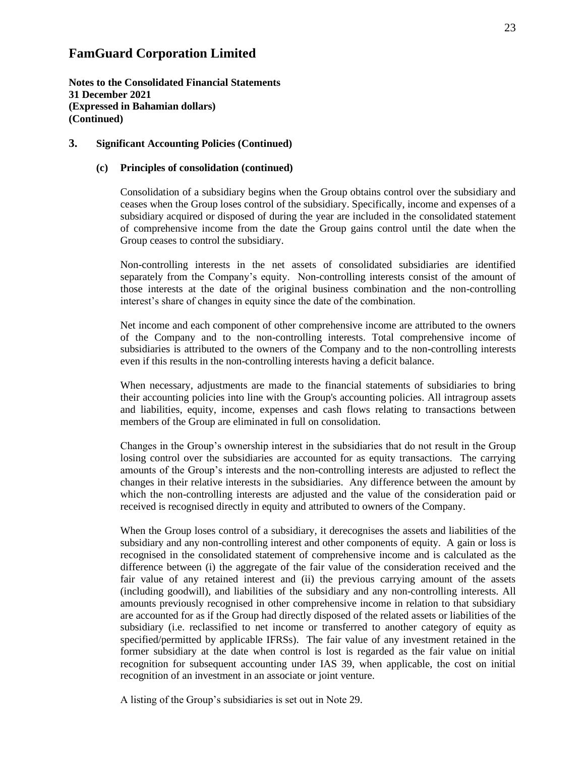**Notes to the Consolidated Financial Statements 31 December 2021 (Expressed in Bahamian dollars) (Continued)**

#### **3. Significant Accounting Policies (Continued)**

#### **(c) Principles of consolidation (continued)**

Consolidation of a subsidiary begins when the Group obtains control over the subsidiary and ceases when the Group loses control of the subsidiary. Specifically, income and expenses of a subsidiary acquired or disposed of during the year are included in the consolidated statement of comprehensive income from the date the Group gains control until the date when the Group ceases to control the subsidiary.

Non-controlling interests in the net assets of consolidated subsidiaries are identified separately from the Company's equity. Non-controlling interests consist of the amount of those interests at the date of the original business combination and the non-controlling interest's share of changes in equity since the date of the combination.

Net income and each component of other comprehensive income are attributed to the owners of the Company and to the non-controlling interests. Total comprehensive income of subsidiaries is attributed to the owners of the Company and to the non-controlling interests even if this results in the non-controlling interests having a deficit balance.

When necessary, adjustments are made to the financial statements of subsidiaries to bring their accounting policies into line with the Group's accounting policies. All intragroup assets and liabilities, equity, income, expenses and cash flows relating to transactions between members of the Group are eliminated in full on consolidation.

Changes in the Group's ownership interest in the subsidiaries that do not result in the Group losing control over the subsidiaries are accounted for as equity transactions. The carrying amounts of the Group's interests and the non-controlling interests are adjusted to reflect the changes in their relative interests in the subsidiaries. Any difference between the amount by which the non-controlling interests are adjusted and the value of the consideration paid or received is recognised directly in equity and attributed to owners of the Company.

When the Group loses control of a subsidiary, it derecognises the assets and liabilities of the subsidiary and any non-controlling interest and other components of equity. A gain or loss is recognised in the consolidated statement of comprehensive income and is calculated as the difference between (i) the aggregate of the fair value of the consideration received and the fair value of any retained interest and (ii) the previous carrying amount of the assets (including goodwill), and liabilities of the subsidiary and any non-controlling interests. All amounts previously recognised in other comprehensive income in relation to that subsidiary are accounted for as if the Group had directly disposed of the related assets or liabilities of the subsidiary (i.e. reclassified to net income or transferred to another category of equity as specified/permitted by applicable IFRSs). The fair value of any investment retained in the former subsidiary at the date when control is lost is regarded as the fair value on initial recognition for subsequent accounting under IAS 39, when applicable, the cost on initial recognition of an investment in an associate or joint venture.

A listing of the Group's subsidiaries is set out in Note 29.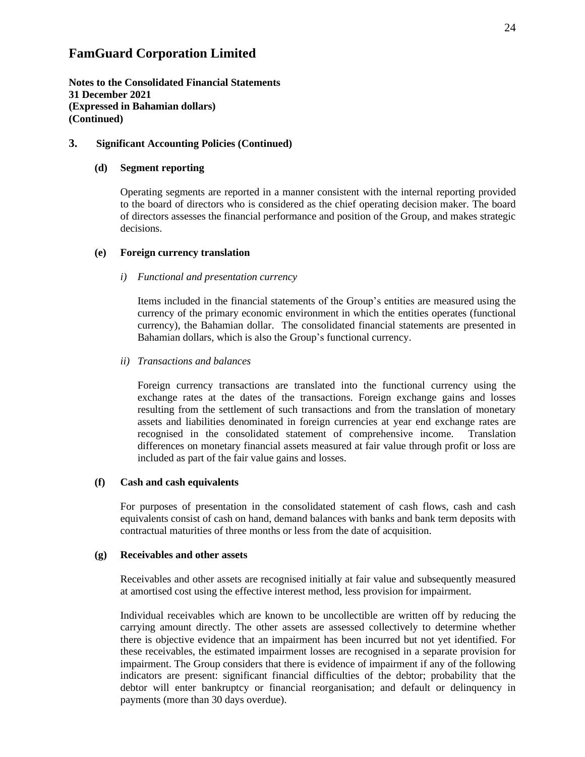**Notes to the Consolidated Financial Statements 31 December 2021 (Expressed in Bahamian dollars) (Continued)**

#### **3. Significant Accounting Policies (Continued)**

#### **(d) Segment reporting**

Operating segments are reported in a manner consistent with the internal reporting provided to the board of directors who is considered as the chief operating decision maker. The board of directors assesses the financial performance and position of the Group, and makes strategic decisions.

#### **(e) Foreign currency translation**

#### *i) Functional and presentation currency*

Items included in the financial statements of the Group's entities are measured using the currency of the primary economic environment in which the entities operates (functional currency), the Bahamian dollar. The consolidated financial statements are presented in Bahamian dollars, which is also the Group's functional currency.

#### *ii) Transactions and balances*

Foreign currency transactions are translated into the functional currency using the exchange rates at the dates of the transactions. Foreign exchange gains and losses resulting from the settlement of such transactions and from the translation of monetary assets and liabilities denominated in foreign currencies at year end exchange rates are recognised in the consolidated statement of comprehensive income. Translation differences on monetary financial assets measured at fair value through profit or loss are included as part of the fair value gains and losses.

#### **(f) Cash and cash equivalents**

For purposes of presentation in the consolidated statement of cash flows, cash and cash equivalents consist of cash on hand, demand balances with banks and bank term deposits with contractual maturities of three months or less from the date of acquisition.

#### **(g) Receivables and other assets**

Receivables and other assets are recognised initially at fair value and subsequently measured at amortised cost using the effective interest method, less provision for impairment.

Individual receivables which are known to be uncollectible are written off by reducing the carrying amount directly. The other assets are assessed collectively to determine whether there is objective evidence that an impairment has been incurred but not yet identified. For these receivables, the estimated impairment losses are recognised in a separate provision for impairment. The Group considers that there is evidence of impairment if any of the following indicators are present: significant financial difficulties of the debtor; probability that the debtor will enter bankruptcy or financial reorganisation; and default or delinquency in payments (more than 30 days overdue).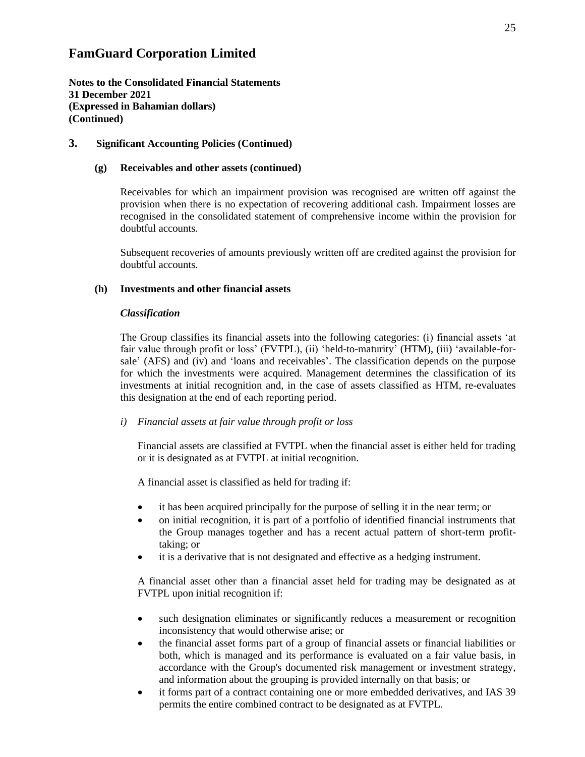**Notes to the Consolidated Financial Statements 31 December 2021 (Expressed in Bahamian dollars) (Continued)**

#### **3. Significant Accounting Policies (Continued)**

#### **(g) Receivables and other assets (continued)**

Receivables for which an impairment provision was recognised are written off against the provision when there is no expectation of recovering additional cash. Impairment losses are recognised in the consolidated statement of comprehensive income within the provision for doubtful accounts.

Subsequent recoveries of amounts previously written off are credited against the provision for doubtful accounts.

#### **(h) Investments and other financial assets**

#### *Classification*

The Group classifies its financial assets into the following categories: (i) financial assets 'at fair value through profit or loss' (FVTPL), (ii) 'held-to-maturity' (HTM), (iii) 'available-forsale' (AFS) and (iv) and 'loans and receivables'. The classification depends on the purpose for which the investments were acquired. Management determines the classification of its investments at initial recognition and, in the case of assets classified as HTM, re-evaluates this designation at the end of each reporting period.

#### *i) Financial assets at fair value through profit or loss*

Financial assets are classified at FVTPL when the financial asset is either held for trading or it is designated as at FVTPL at initial recognition.

A financial asset is classified as held for trading if:

- it has been acquired principally for the purpose of selling it in the near term; or
- on initial recognition, it is part of a portfolio of identified financial instruments that the Group manages together and has a recent actual pattern of short-term profittaking; or
- it is a derivative that is not designated and effective as a hedging instrument.

A financial asset other than a financial asset held for trading may be designated as at FVTPL upon initial recognition if:

- such designation eliminates or significantly reduces a measurement or recognition inconsistency that would otherwise arise; or
- the financial asset forms part of a group of financial assets or financial liabilities or both, which is managed and its performance is evaluated on a fair value basis, in accordance with the Group's documented risk management or investment strategy, and information about the grouping is provided internally on that basis; or
- it forms part of a contract containing one or more embedded derivatives, and IAS 39 permits the entire combined contract to be designated as at FVTPL.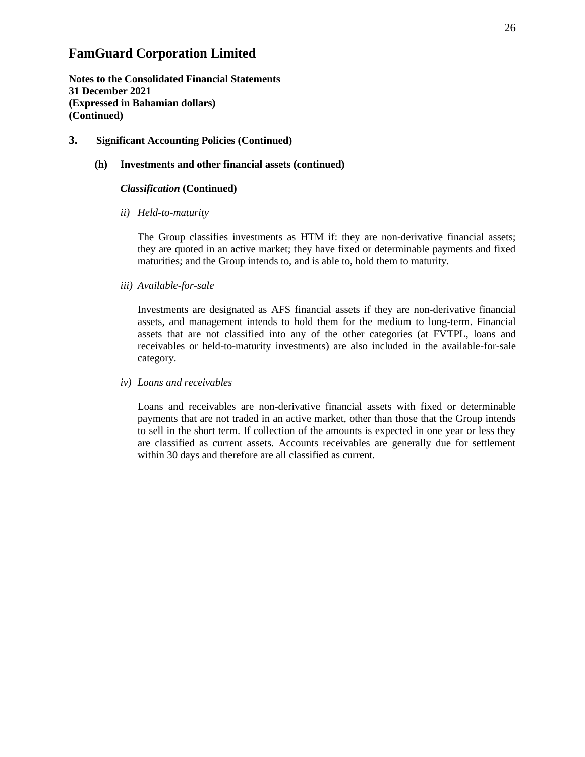**Notes to the Consolidated Financial Statements 31 December 2021 (Expressed in Bahamian dollars) (Continued)**

#### **3. Significant Accounting Policies (Continued)**

#### **(h) Investments and other financial assets (continued)**

#### *Classification* **(Continued)**

*ii) Held-to-maturity*

The Group classifies investments as HTM if: they are non-derivative financial assets; they are quoted in an active market; they have fixed or determinable payments and fixed maturities; and the Group intends to, and is able to, hold them to maturity.

*iii) Available-for-sale*

Investments are designated as AFS financial assets if they are non-derivative financial assets, and management intends to hold them for the medium to long-term. Financial assets that are not classified into any of the other categories (at FVTPL, loans and receivables or held-to-maturity investments) are also included in the available-for-sale category.

*iv) Loans and receivables*

Loans and receivables are non-derivative financial assets with fixed or determinable payments that are not traded in an active market, other than those that the Group intends to sell in the short term. If collection of the amounts is expected in one year or less they are classified as current assets. Accounts receivables are generally due for settlement within 30 days and therefore are all classified as current.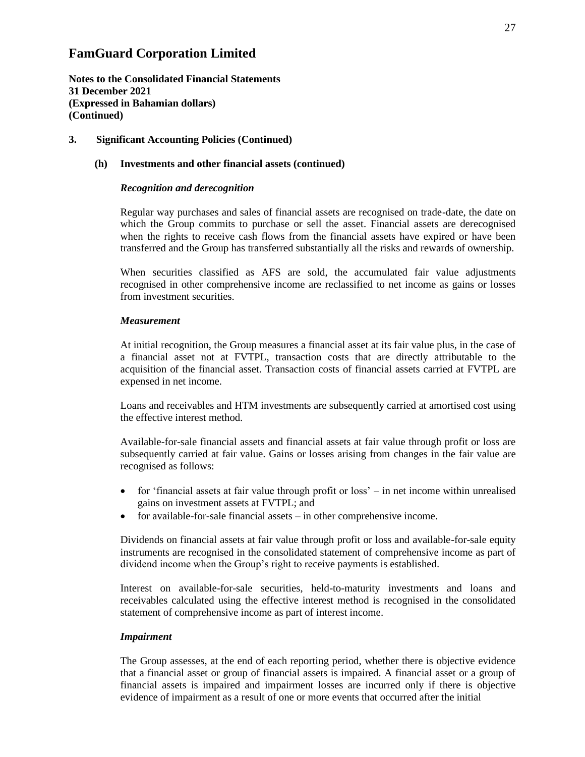**Notes to the Consolidated Financial Statements 31 December 2021 (Expressed in Bahamian dollars) (Continued)**

#### **3. Significant Accounting Policies (Continued)**

#### **(h) Investments and other financial assets (continued)**

#### *Recognition and derecognition*

Regular way purchases and sales of financial assets are recognised on trade-date, the date on which the Group commits to purchase or sell the asset. Financial assets are derecognised when the rights to receive cash flows from the financial assets have expired or have been transferred and the Group has transferred substantially all the risks and rewards of ownership.

When securities classified as AFS are sold, the accumulated fair value adjustments recognised in other comprehensive income are reclassified to net income as gains or losses from investment securities.

#### *Measurement*

At initial recognition, the Group measures a financial asset at its fair value plus, in the case of a financial asset not at FVTPL, transaction costs that are directly attributable to the acquisition of the financial asset. Transaction costs of financial assets carried at FVTPL are expensed in net income.

Loans and receivables and HTM investments are subsequently carried at amortised cost using the effective interest method.

Available-for-sale financial assets and financial assets at fair value through profit or loss are subsequently carried at fair value. Gains or losses arising from changes in the fair value are recognised as follows:

- for 'financial assets at fair value through profit or loss' in net income within unrealised gains on investment assets at FVTPL; and
- for available-for-sale financial assets in other comprehensive income.

Dividends on financial assets at fair value through profit or loss and available-for-sale equity instruments are recognised in the consolidated statement of comprehensive income as part of dividend income when the Group's right to receive payments is established.

Interest on available-for-sale securities, held-to-maturity investments and loans and receivables calculated using the effective interest method is recognised in the consolidated statement of comprehensive income as part of interest income.

#### *Impairment*

The Group assesses, at the end of each reporting period, whether there is objective evidence that a financial asset or group of financial assets is impaired. A financial asset or a group of financial assets is impaired and impairment losses are incurred only if there is objective evidence of impairment as a result of one or more events that occurred after the initial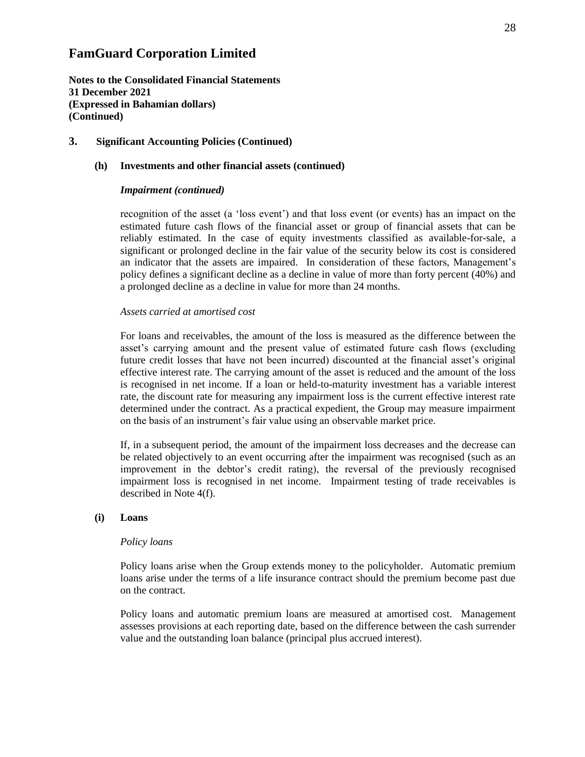**Notes to the Consolidated Financial Statements 31 December 2021 (Expressed in Bahamian dollars) (Continued)**

#### **3. Significant Accounting Policies (Continued)**

#### **(h) Investments and other financial assets (continued)**

#### *Impairment (continued)*

recognition of the asset (a 'loss event') and that loss event (or events) has an impact on the estimated future cash flows of the financial asset or group of financial assets that can be reliably estimated. In the case of equity investments classified as available-for-sale, a significant or prolonged decline in the fair value of the security below its cost is considered an indicator that the assets are impaired. In consideration of these factors, Management's policy defines a significant decline as a decline in value of more than forty percent (40%) and a prolonged decline as a decline in value for more than 24 months.

#### *Assets carried at amortised cost*

For loans and receivables, the amount of the loss is measured as the difference between the asset's carrying amount and the present value of estimated future cash flows (excluding future credit losses that have not been incurred) discounted at the financial asset's original effective interest rate. The carrying amount of the asset is reduced and the amount of the loss is recognised in net income. If a loan or held-to-maturity investment has a variable interest rate, the discount rate for measuring any impairment loss is the current effective interest rate determined under the contract. As a practical expedient, the Group may measure impairment on the basis of an instrument's fair value using an observable market price.

If, in a subsequent period, the amount of the impairment loss decreases and the decrease can be related objectively to an event occurring after the impairment was recognised (such as an improvement in the debtor's credit rating), the reversal of the previously recognised impairment loss is recognised in net income. Impairment testing of trade receivables is described in Note 4(f).

#### **(i) Loans**

#### *Policy loans*

Policy loans arise when the Group extends money to the policyholder. Automatic premium loans arise under the terms of a life insurance contract should the premium become past due on the contract.

Policy loans and automatic premium loans are measured at amortised cost. Management assesses provisions at each reporting date, based on the difference between the cash surrender value and the outstanding loan balance (principal plus accrued interest).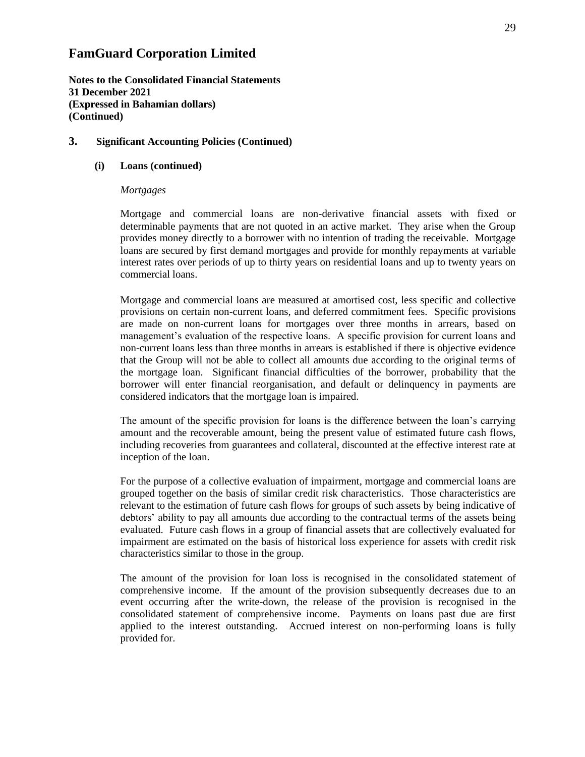**Notes to the Consolidated Financial Statements 31 December 2021 (Expressed in Bahamian dollars) (Continued)**

#### **3. Significant Accounting Policies (Continued)**

#### **(i) Loans (continued)**

#### *Mortgages*

Mortgage and commercial loans are non-derivative financial assets with fixed or determinable payments that are not quoted in an active market. They arise when the Group provides money directly to a borrower with no intention of trading the receivable. Mortgage loans are secured by first demand mortgages and provide for monthly repayments at variable interest rates over periods of up to thirty years on residential loans and up to twenty years on commercial loans.

Mortgage and commercial loans are measured at amortised cost, less specific and collective provisions on certain non-current loans, and deferred commitment fees. Specific provisions are made on non-current loans for mortgages over three months in arrears, based on management's evaluation of the respective loans. A specific provision for current loans and non-current loans less than three months in arrears is established if there is objective evidence that the Group will not be able to collect all amounts due according to the original terms of the mortgage loan. Significant financial difficulties of the borrower, probability that the borrower will enter financial reorganisation, and default or delinquency in payments are considered indicators that the mortgage loan is impaired.

The amount of the specific provision for loans is the difference between the loan's carrying amount and the recoverable amount, being the present value of estimated future cash flows, including recoveries from guarantees and collateral, discounted at the effective interest rate at inception of the loan.

For the purpose of a collective evaluation of impairment, mortgage and commercial loans are grouped together on the basis of similar credit risk characteristics. Those characteristics are relevant to the estimation of future cash flows for groups of such assets by being indicative of debtors' ability to pay all amounts due according to the contractual terms of the assets being evaluated. Future cash flows in a group of financial assets that are collectively evaluated for impairment are estimated on the basis of historical loss experience for assets with credit risk characteristics similar to those in the group.

The amount of the provision for loan loss is recognised in the consolidated statement of comprehensive income. If the amount of the provision subsequently decreases due to an event occurring after the write-down, the release of the provision is recognised in the consolidated statement of comprehensive income. Payments on loans past due are first applied to the interest outstanding. Accrued interest on non-performing loans is fully provided for.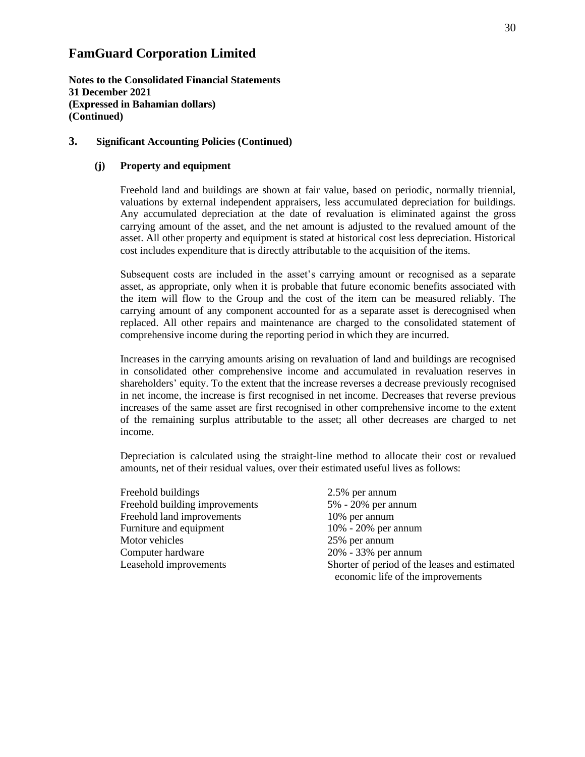**Notes to the Consolidated Financial Statements 31 December 2021 (Expressed in Bahamian dollars) (Continued)**

#### **3. Significant Accounting Policies (Continued)**

#### **(j) Property and equipment**

Freehold land and buildings are shown at fair value, based on periodic, normally triennial, valuations by external independent appraisers, less accumulated depreciation for buildings. Any accumulated depreciation at the date of revaluation is eliminated against the gross carrying amount of the asset, and the net amount is adjusted to the revalued amount of the asset. All other property and equipment is stated at historical cost less depreciation. Historical cost includes expenditure that is directly attributable to the acquisition of the items.

Subsequent costs are included in the asset's carrying amount or recognised as a separate asset, as appropriate, only when it is probable that future economic benefits associated with the item will flow to the Group and the cost of the item can be measured reliably. The carrying amount of any component accounted for as a separate asset is derecognised when replaced. All other repairs and maintenance are charged to the consolidated statement of comprehensive income during the reporting period in which they are incurred.

Increases in the carrying amounts arising on revaluation of land and buildings are recognised in consolidated other comprehensive income and accumulated in revaluation reserves in shareholders' equity. To the extent that the increase reverses a decrease previously recognised in net income, the increase is first recognised in net income. Decreases that reverse previous increases of the same asset are first recognised in other comprehensive income to the extent of the remaining surplus attributable to the asset; all other decreases are charged to net income.

Depreciation is calculated using the straight-line method to allocate their cost or revalued amounts, net of their residual values, over their estimated useful lives as follows:

Freehold buildings 2.5% per annum Freehold building improvements 5% - 20% per annum Freehold land improvements 10% per annum Furniture and equipment 10% - 20% per annum Motor vehicles 25% per annum Computer hardware 20% - 33% per annum

Leasehold improvements Shorter of period of the leases and estimated economic life of the improvements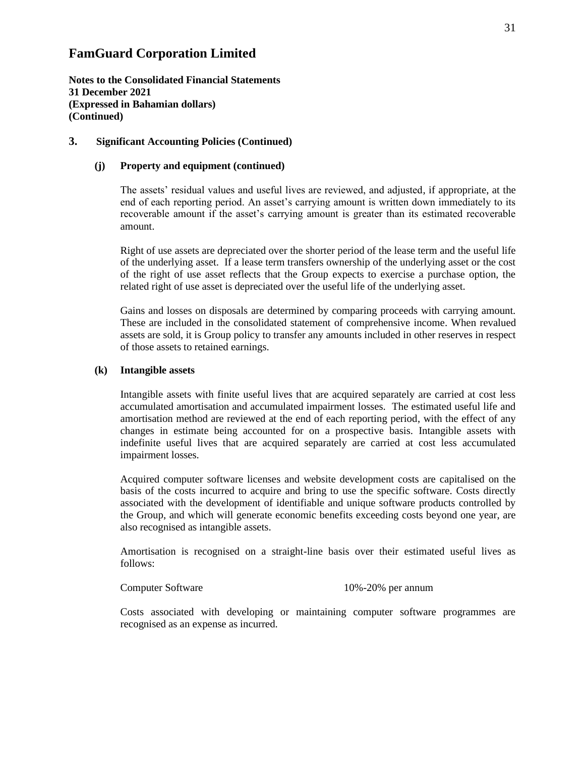**Notes to the Consolidated Financial Statements 31 December 2021 (Expressed in Bahamian dollars) (Continued)**

#### **3. Significant Accounting Policies (Continued)**

#### **(j) Property and equipment (continued)**

The assets' residual values and useful lives are reviewed, and adjusted, if appropriate, at the end of each reporting period. An asset's carrying amount is written down immediately to its recoverable amount if the asset's carrying amount is greater than its estimated recoverable amount.

Right of use assets are depreciated over the shorter period of the lease term and the useful life of the underlying asset. If a lease term transfers ownership of the underlying asset or the cost of the right of use asset reflects that the Group expects to exercise a purchase option, the related right of use asset is depreciated over the useful life of the underlying asset.

Gains and losses on disposals are determined by comparing proceeds with carrying amount. These are included in the consolidated statement of comprehensive income. When revalued assets are sold, it is Group policy to transfer any amounts included in other reserves in respect of those assets to retained earnings.

#### **(k) Intangible assets**

Intangible assets with finite useful lives that are acquired separately are carried at cost less accumulated amortisation and accumulated impairment losses. The estimated useful life and amortisation method are reviewed at the end of each reporting period, with the effect of any changes in estimate being accounted for on a prospective basis. Intangible assets with indefinite useful lives that are acquired separately are carried at cost less accumulated impairment losses.

Acquired computer software licenses and website development costs are capitalised on the basis of the costs incurred to acquire and bring to use the specific software. Costs directly associated with the development of identifiable and unique software products controlled by the Group, and which will generate economic benefits exceeding costs beyond one year, are also recognised as intangible assets.

Amortisation is recognised on a straight-line basis over their estimated useful lives as follows:

Computer Software 10%-20% per annum

Costs associated with developing or maintaining computer software programmes are recognised as an expense as incurred.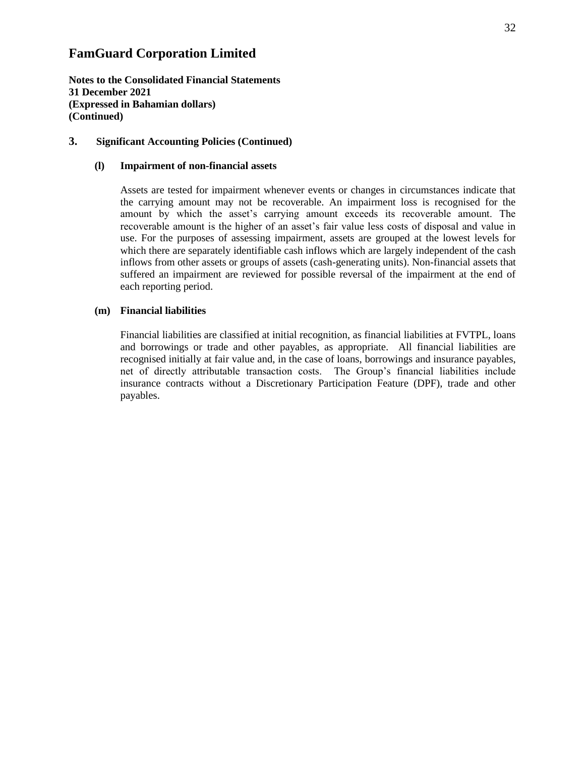**Notes to the Consolidated Financial Statements 31 December 2021 (Expressed in Bahamian dollars) (Continued)**

#### **3. Significant Accounting Policies (Continued)**

#### **(l) Impairment of non-financial assets**

Assets are tested for impairment whenever events or changes in circumstances indicate that the carrying amount may not be recoverable. An impairment loss is recognised for the amount by which the asset's carrying amount exceeds its recoverable amount. The recoverable amount is the higher of an asset's fair value less costs of disposal and value in use. For the purposes of assessing impairment, assets are grouped at the lowest levels for which there are separately identifiable cash inflows which are largely independent of the cash inflows from other assets or groups of assets (cash-generating units). Non-financial assets that suffered an impairment are reviewed for possible reversal of the impairment at the end of each reporting period.

#### **(m) Financial liabilities**

Financial liabilities are classified at initial recognition, as financial liabilities at FVTPL, loans and borrowings or trade and other payables, as appropriate. All financial liabilities are recognised initially at fair value and, in the case of loans, borrowings and insurance payables, net of directly attributable transaction costs. The Group's financial liabilities include insurance contracts without a Discretionary Participation Feature (DPF), trade and other payables.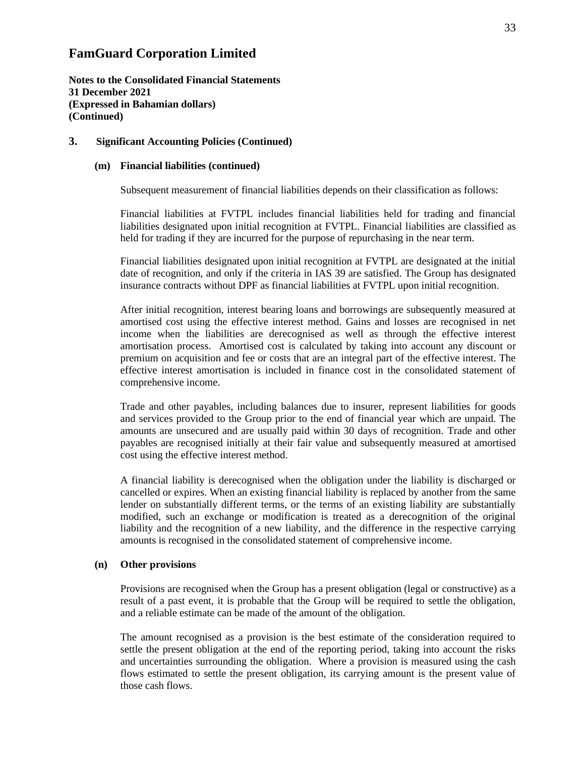**Notes to the Consolidated Financial Statements 31 December 2021 (Expressed in Bahamian dollars) (Continued)**

#### **3. Significant Accounting Policies (Continued)**

#### **(m) Financial liabilities (continued)**

Subsequent measurement of financial liabilities depends on their classification as follows:

Financial liabilities at FVTPL includes financial liabilities held for trading and financial liabilities designated upon initial recognition at FVTPL. Financial liabilities are classified as held for trading if they are incurred for the purpose of repurchasing in the near term.

Financial liabilities designated upon initial recognition at FVTPL are designated at the initial date of recognition, and only if the criteria in IAS 39 are satisfied. The Group has designated insurance contracts without DPF as financial liabilities at FVTPL upon initial recognition.

After initial recognition, interest bearing loans and borrowings are subsequently measured at amortised cost using the effective interest method. Gains and losses are recognised in net income when the liabilities are derecognised as well as through the effective interest amortisation process. Amortised cost is calculated by taking into account any discount or premium on acquisition and fee or costs that are an integral part of the effective interest. The effective interest amortisation is included in finance cost in the consolidated statement of comprehensive income.

Trade and other payables, including balances due to insurer, represent liabilities for goods and services provided to the Group prior to the end of financial year which are unpaid. The amounts are unsecured and are usually paid within 30 days of recognition. Trade and other payables are recognised initially at their fair value and subsequently measured at amortised cost using the effective interest method.

A financial liability is derecognised when the obligation under the liability is discharged or cancelled or expires. When an existing financial liability is replaced by another from the same lender on substantially different terms, or the terms of an existing liability are substantially modified, such an exchange or modification is treated as a derecognition of the original liability and the recognition of a new liability, and the difference in the respective carrying amounts is recognised in the consolidated statement of comprehensive income.

#### **(n) Other provisions**

Provisions are recognised when the Group has a present obligation (legal or constructive) as a result of a past event, it is probable that the Group will be required to settle the obligation, and a reliable estimate can be made of the amount of the obligation.

The amount recognised as a provision is the best estimate of the consideration required to settle the present obligation at the end of the reporting period, taking into account the risks and uncertainties surrounding the obligation. Where a provision is measured using the cash flows estimated to settle the present obligation, its carrying amount is the present value of those cash flows.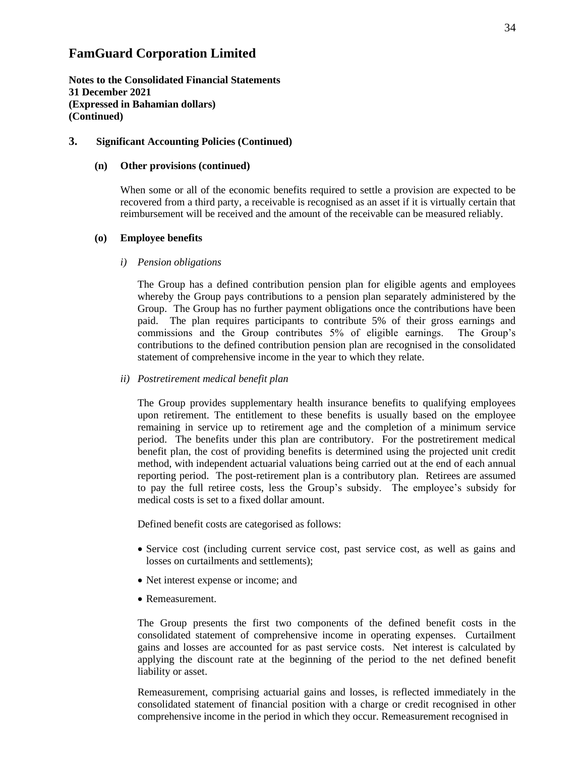**Notes to the Consolidated Financial Statements 31 December 2021 (Expressed in Bahamian dollars) (Continued)**

#### **3. Significant Accounting Policies (Continued)**

#### **(n) Other provisions (continued)**

When some or all of the economic benefits required to settle a provision are expected to be recovered from a third party, a receivable is recognised as an asset if it is virtually certain that reimbursement will be received and the amount of the receivable can be measured reliably.

#### **(o) Employee benefits**

#### *i) Pension obligations*

The Group has a defined contribution pension plan for eligible agents and employees whereby the Group pays contributions to a pension plan separately administered by the Group. The Group has no further payment obligations once the contributions have been paid. The plan requires participants to contribute 5% of their gross earnings and commissions and the Group contributes 5% of eligible earnings. The Group's contributions to the defined contribution pension plan are recognised in the consolidated statement of comprehensive income in the year to which they relate.

#### *ii) Postretirement medical benefit plan*

The Group provides supplementary health insurance benefits to qualifying employees upon retirement. The entitlement to these benefits is usually based on the employee remaining in service up to retirement age and the completion of a minimum service period. The benefits under this plan are contributory. For the postretirement medical benefit plan, the cost of providing benefits is determined using the projected unit credit method, with independent actuarial valuations being carried out at the end of each annual reporting period. The post-retirement plan is a contributory plan. Retirees are assumed to pay the full retiree costs, less the Group's subsidy. The employee's subsidy for medical costs is set to a fixed dollar amount.

Defined benefit costs are categorised as follows:

- Service cost (including current service cost, past service cost, as well as gains and losses on curtailments and settlements);
- Net interest expense or income; and
- Remeasurement.

The Group presents the first two components of the defined benefit costs in the consolidated statement of comprehensive income in operating expenses. Curtailment gains and losses are accounted for as past service costs. Net interest is calculated by applying the discount rate at the beginning of the period to the net defined benefit liability or asset.

Remeasurement, comprising actuarial gains and losses, is reflected immediately in the consolidated statement of financial position with a charge or credit recognised in other comprehensive income in the period in which they occur. Remeasurement recognised in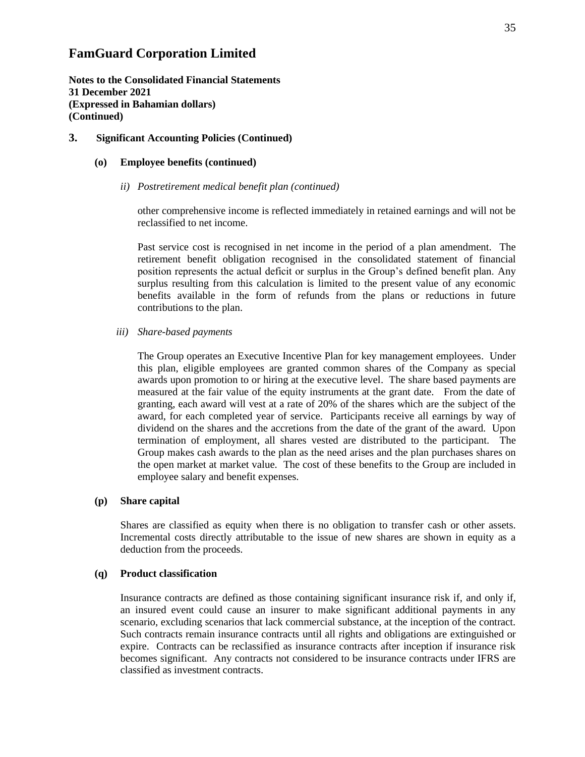**Notes to the Consolidated Financial Statements 31 December 2021 (Expressed in Bahamian dollars) (Continued)**

## **3. Significant Accounting Policies (Continued)**

### **(o) Employee benefits (continued)**

*ii) Postretirement medical benefit plan (continued)*

other comprehensive income is reflected immediately in retained earnings and will not be reclassified to net income.

Past service cost is recognised in net income in the period of a plan amendment. The retirement benefit obligation recognised in the consolidated statement of financial position represents the actual deficit or surplus in the Group's defined benefit plan. Any surplus resulting from this calculation is limited to the present value of any economic benefits available in the form of refunds from the plans or reductions in future contributions to the plan.

*iii) Share-based payments*

The Group operates an Executive Incentive Plan for key management employees. Under this plan, eligible employees are granted common shares of the Company as special awards upon promotion to or hiring at the executive level. The share based payments are measured at the fair value of the equity instruments at the grant date. From the date of granting, each award will vest at a rate of 20% of the shares which are the subject of the award, for each completed year of service. Participants receive all earnings by way of dividend on the shares and the accretions from the date of the grant of the award. Upon termination of employment, all shares vested are distributed to the participant. The Group makes cash awards to the plan as the need arises and the plan purchases shares on the open market at market value. The cost of these benefits to the Group are included in employee salary and benefit expenses.

### **(p) Share capital**

Shares are classified as equity when there is no obligation to transfer cash or other assets. Incremental costs directly attributable to the issue of new shares are shown in equity as a deduction from the proceeds.

### **(q) Product classification**

Insurance contracts are defined as those containing significant insurance risk if, and only if, an insured event could cause an insurer to make significant additional payments in any scenario, excluding scenarios that lack commercial substance, at the inception of the contract. Such contracts remain insurance contracts until all rights and obligations are extinguished or expire. Contracts can be reclassified as insurance contracts after inception if insurance risk becomes significant. Any contracts not considered to be insurance contracts under IFRS are classified as investment contracts.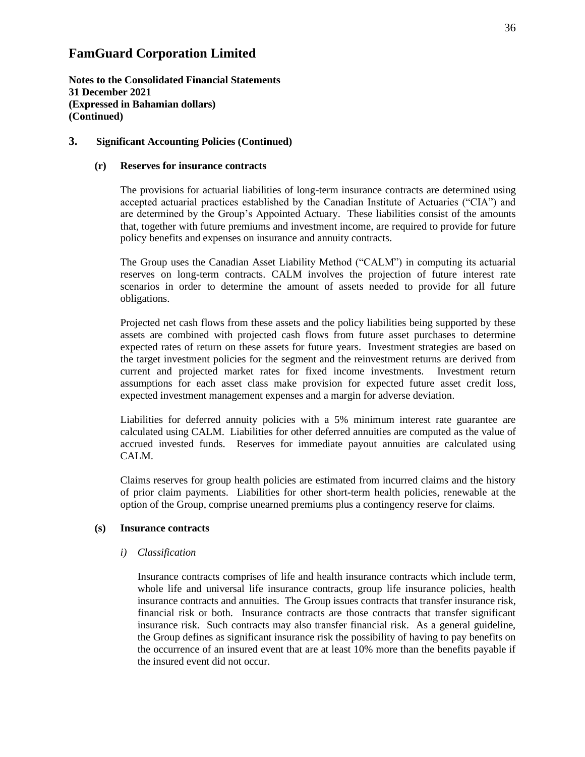**Notes to the Consolidated Financial Statements 31 December 2021 (Expressed in Bahamian dollars) (Continued)**

## **3. Significant Accounting Policies (Continued)**

### **(r) Reserves for insurance contracts**

The provisions for actuarial liabilities of long-term insurance contracts are determined using accepted actuarial practices established by the Canadian Institute of Actuaries ("CIA") and are determined by the Group's Appointed Actuary. These liabilities consist of the amounts that, together with future premiums and investment income, are required to provide for future policy benefits and expenses on insurance and annuity contracts.

The Group uses the Canadian Asset Liability Method ("CALM") in computing its actuarial reserves on long-term contracts. CALM involves the projection of future interest rate scenarios in order to determine the amount of assets needed to provide for all future obligations.

Projected net cash flows from these assets and the policy liabilities being supported by these assets are combined with projected cash flows from future asset purchases to determine expected rates of return on these assets for future years. Investment strategies are based on the target investment policies for the segment and the reinvestment returns are derived from current and projected market rates for fixed income investments. Investment return assumptions for each asset class make provision for expected future asset credit loss, expected investment management expenses and a margin for adverse deviation.

Liabilities for deferred annuity policies with a 5% minimum interest rate guarantee are calculated using CALM. Liabilities for other deferred annuities are computed as the value of accrued invested funds. Reserves for immediate payout annuities are calculated using CALM.

Claims reserves for group health policies are estimated from incurred claims and the history of prior claim payments. Liabilities for other short-term health policies, renewable at the option of the Group, comprise unearned premiums plus a contingency reserve for claims.

# **(s) Insurance contracts**

### *i) Classification*

Insurance contracts comprises of life and health insurance contracts which include term, whole life and universal life insurance contracts, group life insurance policies, health insurance contracts and annuities. The Group issues contracts that transfer insurance risk, financial risk or both. Insurance contracts are those contracts that transfer significant insurance risk. Such contracts may also transfer financial risk. As a general guideline, the Group defines as significant insurance risk the possibility of having to pay benefits on the occurrence of an insured event that are at least 10% more than the benefits payable if the insured event did not occur.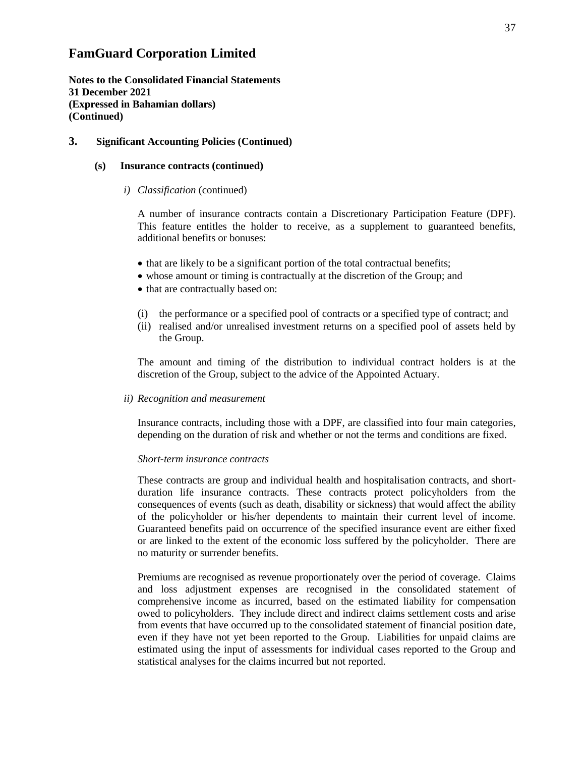**Notes to the Consolidated Financial Statements 31 December 2021 (Expressed in Bahamian dollars) (Continued)**

# **3. Significant Accounting Policies (Continued)**

### **(s) Insurance contracts (continued)**

*i) Classification* (continued)

A number of insurance contracts contain a Discretionary Participation Feature (DPF). This feature entitles the holder to receive, as a supplement to guaranteed benefits, additional benefits or bonuses:

- that are likely to be a significant portion of the total contractual benefits;
- whose amount or timing is contractually at the discretion of the Group; and
- that are contractually based on:
- (i) the performance or a specified pool of contracts or a specified type of contract; and
- (ii) realised and/or unrealised investment returns on a specified pool of assets held by the Group.

The amount and timing of the distribution to individual contract holders is at the discretion of the Group, subject to the advice of the Appointed Actuary.

### *ii) Recognition and measurement*

Insurance contracts, including those with a DPF, are classified into four main categories, depending on the duration of risk and whether or not the terms and conditions are fixed.

### *Short-term insurance contracts*

These contracts are group and individual health and hospitalisation contracts, and shortduration life insurance contracts. These contracts protect policyholders from the consequences of events (such as death, disability or sickness) that would affect the ability of the policyholder or his/her dependents to maintain their current level of income. Guaranteed benefits paid on occurrence of the specified insurance event are either fixed or are linked to the extent of the economic loss suffered by the policyholder. There are no maturity or surrender benefits.

Premiums are recognised as revenue proportionately over the period of coverage. Claims and loss adjustment expenses are recognised in the consolidated statement of comprehensive income as incurred, based on the estimated liability for compensation owed to policyholders. They include direct and indirect claims settlement costs and arise from events that have occurred up to the consolidated statement of financial position date, even if they have not yet been reported to the Group. Liabilities for unpaid claims are estimated using the input of assessments for individual cases reported to the Group and statistical analyses for the claims incurred but not reported.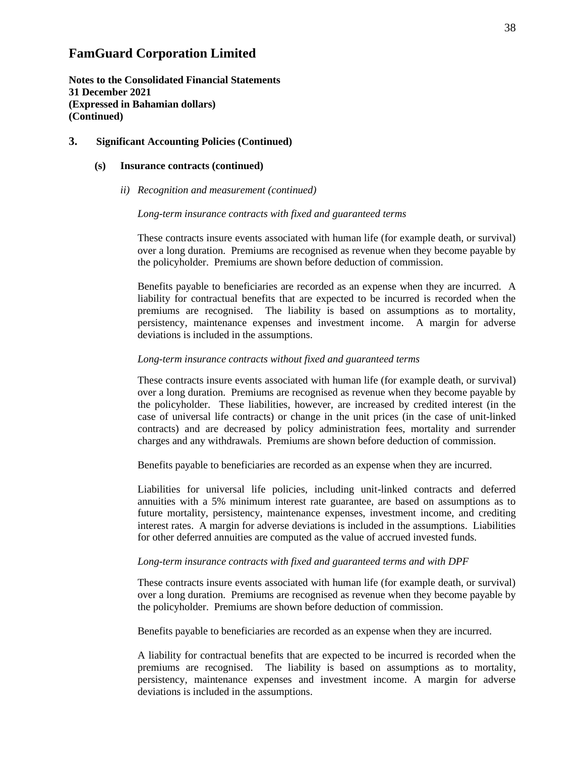**Notes to the Consolidated Financial Statements 31 December 2021 (Expressed in Bahamian dollars) (Continued)**

# **3. Significant Accounting Policies (Continued)**

#### **(s) Insurance contracts (continued)**

*ii) Recognition and measurement (continued)*

#### *Long-term insurance contracts with fixed and guaranteed terms*

These contracts insure events associated with human life (for example death, or survival) over a long duration. Premiums are recognised as revenue when they become payable by the policyholder. Premiums are shown before deduction of commission.

Benefits payable to beneficiaries are recorded as an expense when they are incurred. A liability for contractual benefits that are expected to be incurred is recorded when the premiums are recognised. The liability is based on assumptions as to mortality, persistency, maintenance expenses and investment income. A margin for adverse deviations is included in the assumptions.

### *Long-term insurance contracts without fixed and guaranteed terms*

These contracts insure events associated with human life (for example death, or survival) over a long duration. Premiums are recognised as revenue when they become payable by the policyholder. These liabilities, however, are increased by credited interest (in the case of universal life contracts) or change in the unit prices (in the case of unit-linked contracts) and are decreased by policy administration fees, mortality and surrender charges and any withdrawals. Premiums are shown before deduction of commission.

Benefits payable to beneficiaries are recorded as an expense when they are incurred.

Liabilities for universal life policies, including unit-linked contracts and deferred annuities with a 5% minimum interest rate guarantee, are based on assumptions as to future mortality, persistency, maintenance expenses, investment income, and crediting interest rates. A margin for adverse deviations is included in the assumptions. Liabilities for other deferred annuities are computed as the value of accrued invested funds.

### *Long-term insurance contracts with fixed and guaranteed terms and with DPF*

These contracts insure events associated with human life (for example death, or survival) over a long duration. Premiums are recognised as revenue when they become payable by the policyholder. Premiums are shown before deduction of commission.

Benefits payable to beneficiaries are recorded as an expense when they are incurred.

A liability for contractual benefits that are expected to be incurred is recorded when the premiums are recognised. The liability is based on assumptions as to mortality, persistency, maintenance expenses and investment income. A margin for adverse deviations is included in the assumptions.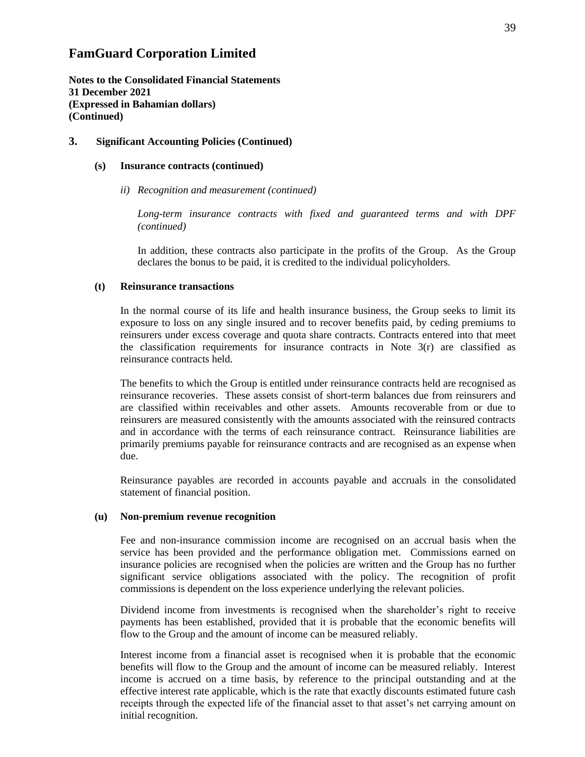**Notes to the Consolidated Financial Statements 31 December 2021 (Expressed in Bahamian dollars) (Continued)**

## **3. Significant Accounting Policies (Continued)**

### **(s) Insurance contracts (continued)**

*ii) Recognition and measurement (continued)*

*Long-term insurance contracts with fixed and guaranteed terms and with DPF (continued)*

In addition, these contracts also participate in the profits of the Group. As the Group declares the bonus to be paid, it is credited to the individual policyholders.

### **(t) Reinsurance transactions**

In the normal course of its life and health insurance business, the Group seeks to limit its exposure to loss on any single insured and to recover benefits paid, by ceding premiums to reinsurers under excess coverage and quota share contracts. Contracts entered into that meet the classification requirements for insurance contracts in Note 3(r) are classified as reinsurance contracts held.

The benefits to which the Group is entitled under reinsurance contracts held are recognised as reinsurance recoveries. These assets consist of short-term balances due from reinsurers and are classified within receivables and other assets. Amounts recoverable from or due to reinsurers are measured consistently with the amounts associated with the reinsured contracts and in accordance with the terms of each reinsurance contract. Reinsurance liabilities are primarily premiums payable for reinsurance contracts and are recognised as an expense when due.

Reinsurance payables are recorded in accounts payable and accruals in the consolidated statement of financial position.

### **(u) Non-premium revenue recognition**

Fee and non-insurance commission income are recognised on an accrual basis when the service has been provided and the performance obligation met. Commissions earned on insurance policies are recognised when the policies are written and the Group has no further significant service obligations associated with the policy. The recognition of profit commissions is dependent on the loss experience underlying the relevant policies.

Dividend income from investments is recognised when the shareholder's right to receive payments has been established, provided that it is probable that the economic benefits will flow to the Group and the amount of income can be measured reliably.

Interest income from a financial asset is recognised when it is probable that the economic benefits will flow to the Group and the amount of income can be measured reliably. Interest income is accrued on a time basis, by reference to the principal outstanding and at the effective interest rate applicable, which is the rate that exactly discounts estimated future cash receipts through the expected life of the financial asset to that asset's net carrying amount on initial recognition.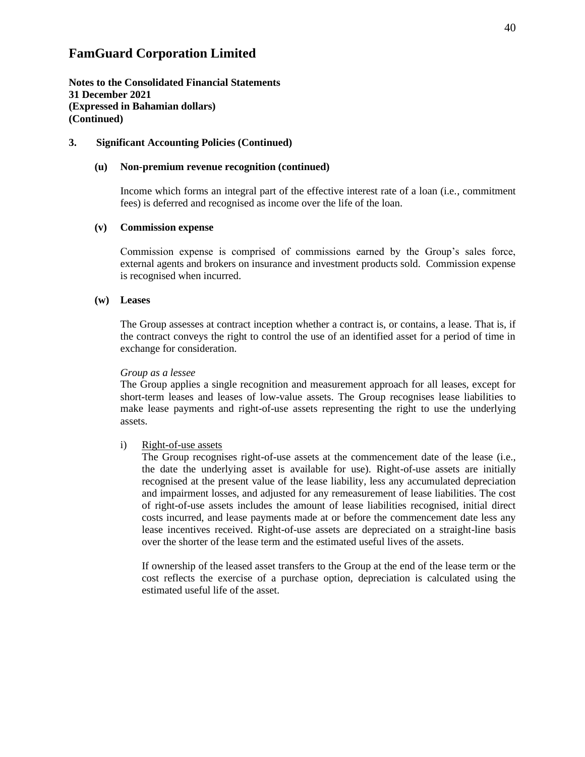**Notes to the Consolidated Financial Statements 31 December 2021 (Expressed in Bahamian dollars) (Continued)**

## **3. Significant Accounting Policies (Continued)**

### **(u) Non-premium revenue recognition (continued)**

Income which forms an integral part of the effective interest rate of a loan (i.e., commitment fees) is deferred and recognised as income over the life of the loan.

### **(v) Commission expense**

Commission expense is comprised of commissions earned by the Group's sales force, external agents and brokers on insurance and investment products sold. Commission expense is recognised when incurred.

### **(w) Leases**

The Group assesses at contract inception whether a contract is, or contains, a lease. That is, if the contract conveys the right to control the use of an identified asset for a period of time in exchange for consideration.

### *Group as a lessee*

The Group applies a single recognition and measurement approach for all leases, except for short-term leases and leases of low-value assets. The Group recognises lease liabilities to make lease payments and right-of-use assets representing the right to use the underlying assets.

# i) Right-of-use assets

The Group recognises right-of-use assets at the commencement date of the lease (i.e., the date the underlying asset is available for use). Right-of-use assets are initially recognised at the present value of the lease liability, less any accumulated depreciation and impairment losses, and adjusted for any remeasurement of lease liabilities. The cost of right-of-use assets includes the amount of lease liabilities recognised, initial direct costs incurred, and lease payments made at or before the commencement date less any lease incentives received. Right-of-use assets are depreciated on a straight-line basis over the shorter of the lease term and the estimated useful lives of the assets.

If ownership of the leased asset transfers to the Group at the end of the lease term or the cost reflects the exercise of a purchase option, depreciation is calculated using the estimated useful life of the asset.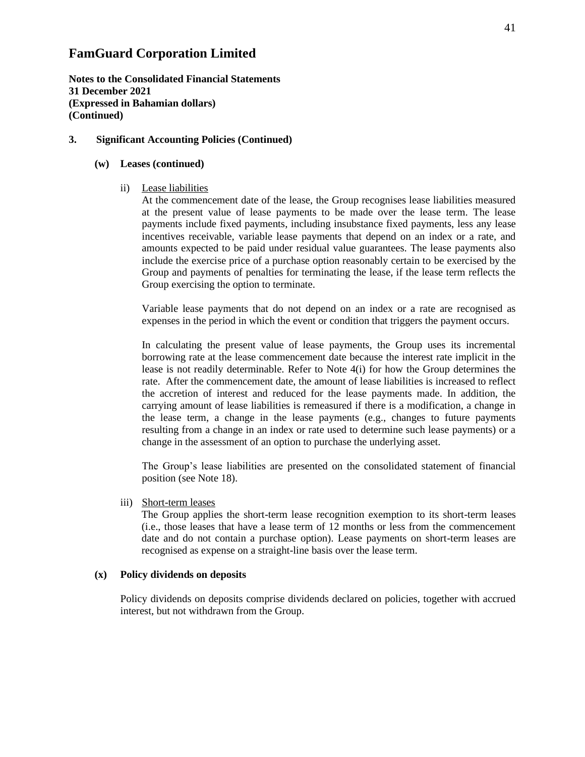**Notes to the Consolidated Financial Statements 31 December 2021 (Expressed in Bahamian dollars) (Continued)**

# **3. Significant Accounting Policies (Continued)**

### **(w) Leases (continued)**

## ii) Lease liabilities

At the commencement date of the lease, the Group recognises lease liabilities measured at the present value of lease payments to be made over the lease term. The lease payments include fixed payments, including insubstance fixed payments, less any lease incentives receivable, variable lease payments that depend on an index or a rate, and amounts expected to be paid under residual value guarantees. The lease payments also include the exercise price of a purchase option reasonably certain to be exercised by the Group and payments of penalties for terminating the lease, if the lease term reflects the Group exercising the option to terminate.

Variable lease payments that do not depend on an index or a rate are recognised as expenses in the period in which the event or condition that triggers the payment occurs.

In calculating the present value of lease payments, the Group uses its incremental borrowing rate at the lease commencement date because the interest rate implicit in the lease is not readily determinable. Refer to Note 4(i) for how the Group determines the rate. After the commencement date, the amount of lease liabilities is increased to reflect the accretion of interest and reduced for the lease payments made. In addition, the carrying amount of lease liabilities is remeasured if there is a modification, a change in the lease term, a change in the lease payments (e.g., changes to future payments resulting from a change in an index or rate used to determine such lease payments) or a change in the assessment of an option to purchase the underlying asset.

The Group's lease liabilities are presented on the consolidated statement of financial position (see Note 18).

iii) Short-term leases

The Group applies the short-term lease recognition exemption to its short-term leases (i.e., those leases that have a lease term of 12 months or less from the commencement date and do not contain a purchase option). Lease payments on short-term leases are recognised as expense on a straight-line basis over the lease term.

# **(x) Policy dividends on deposits**

Policy dividends on deposits comprise dividends declared on policies, together with accrued interest, but not withdrawn from the Group.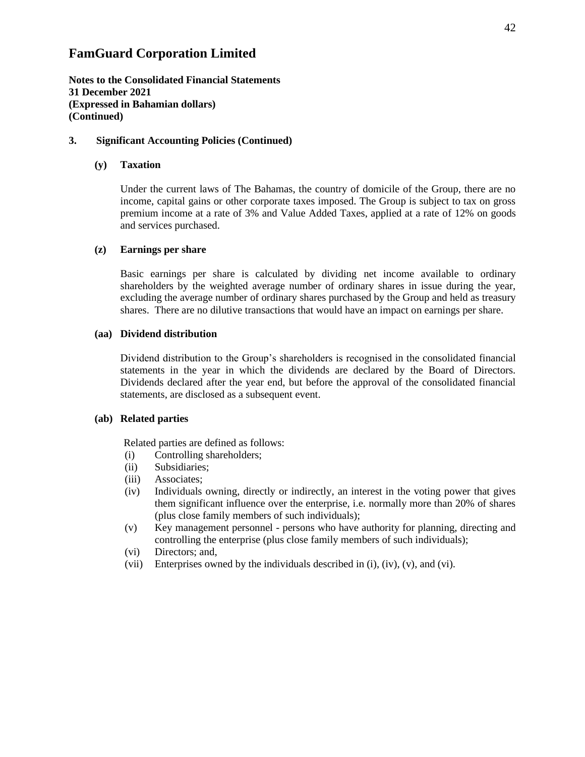**Notes to the Consolidated Financial Statements 31 December 2021 (Expressed in Bahamian dollars) (Continued)**

## **3. Significant Accounting Policies (Continued)**

### **(y) Taxation**

Under the current laws of The Bahamas, the country of domicile of the Group, there are no income, capital gains or other corporate taxes imposed. The Group is subject to tax on gross premium income at a rate of 3% and Value Added Taxes, applied at a rate of 12% on goods and services purchased.

### **(z) Earnings per share**

Basic earnings per share is calculated by dividing net income available to ordinary shareholders by the weighted average number of ordinary shares in issue during the year, excluding the average number of ordinary shares purchased by the Group and held as treasury shares. There are no dilutive transactions that would have an impact on earnings per share.

## **(aa) Dividend distribution**

Dividend distribution to the Group's shareholders is recognised in the consolidated financial statements in the year in which the dividends are declared by the Board of Directors. Dividends declared after the year end, but before the approval of the consolidated financial statements, are disclosed as a subsequent event.

### **(ab) Related parties**

Related parties are defined as follows:

- (i) Controlling shareholders;
- (ii) Subsidiaries;
- (iii) Associates;
- (iv) Individuals owning, directly or indirectly, an interest in the voting power that gives them significant influence over the enterprise, i.e. normally more than 20% of shares (plus close family members of such individuals);
- (v) Key management personnel persons who have authority for planning, directing and controlling the enterprise (plus close family members of such individuals);
- (vi) Directors; and,
- (vii) Enterprises owned by the individuals described in (i), (iv), (v), and (vi).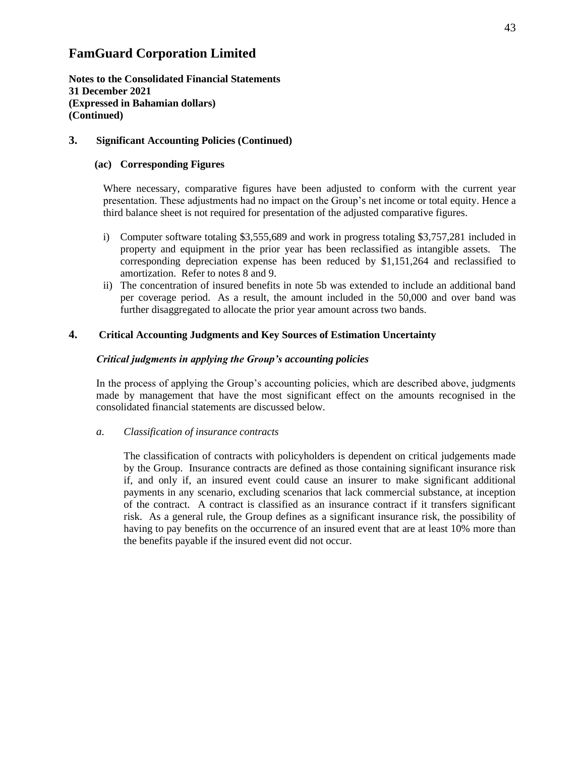**Notes to the Consolidated Financial Statements 31 December 2021 (Expressed in Bahamian dollars) (Continued)**

# **3. Significant Accounting Policies (Continued)**

# **(ac) Corresponding Figures**

Where necessary, comparative figures have been adjusted to conform with the current year presentation. These adjustments had no impact on the Group's net income or total equity. Hence a third balance sheet is not required for presentation of the adjusted comparative figures.

- i) Computer software totaling \$3,555,689 and work in progress totaling \$3,757,281 included in property and equipment in the prior year has been reclassified as intangible assets. The corresponding depreciation expense has been reduced by \$1,151,264 and reclassified to amortization. Refer to notes 8 and 9.
- ii) The concentration of insured benefits in note 5b was extended to include an additional band per coverage period. As a result, the amount included in the 50,000 and over band was further disaggregated to allocate the prior year amount across two bands.

# **4. Critical Accounting Judgments and Key Sources of Estimation Uncertainty**

# *Critical judgments in applying the Group's accounting policies*

In the process of applying the Group's accounting policies, which are described above, judgments made by management that have the most significant effect on the amounts recognised in the consolidated financial statements are discussed below.

# *a. Classification of insurance contracts*

The classification of contracts with policyholders is dependent on critical judgements made by the Group. Insurance contracts are defined as those containing significant insurance risk if, and only if, an insured event could cause an insurer to make significant additional payments in any scenario, excluding scenarios that lack commercial substance, at inception of the contract. A contract is classified as an insurance contract if it transfers significant risk. As a general rule, the Group defines as a significant insurance risk, the possibility of having to pay benefits on the occurrence of an insured event that are at least 10% more than the benefits payable if the insured event did not occur.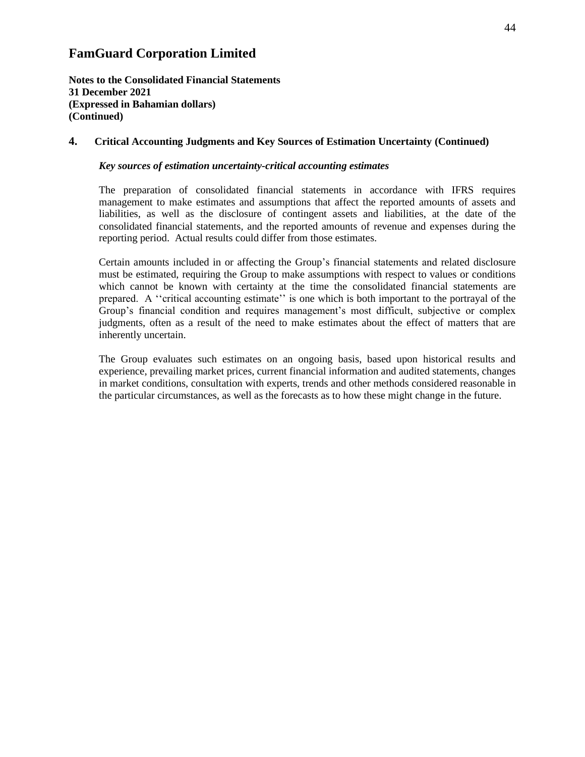**Notes to the Consolidated Financial Statements 31 December 2021 (Expressed in Bahamian dollars) (Continued)**

# **4. Critical Accounting Judgments and Key Sources of Estimation Uncertainty (Continued)**

### *Key sources of estimation uncertainty-critical accounting estimates*

The preparation of consolidated financial statements in accordance with IFRS requires management to make estimates and assumptions that affect the reported amounts of assets and liabilities, as well as the disclosure of contingent assets and liabilities, at the date of the consolidated financial statements, and the reported amounts of revenue and expenses during the reporting period. Actual results could differ from those estimates.

Certain amounts included in or affecting the Group's financial statements and related disclosure must be estimated, requiring the Group to make assumptions with respect to values or conditions which cannot be known with certainty at the time the consolidated financial statements are prepared. A ''critical accounting estimate'' is one which is both important to the portrayal of the Group's financial condition and requires management's most difficult, subjective or complex judgments, often as a result of the need to make estimates about the effect of matters that are inherently uncertain.

The Group evaluates such estimates on an ongoing basis, based upon historical results and experience, prevailing market prices, current financial information and audited statements, changes in market conditions, consultation with experts, trends and other methods considered reasonable in the particular circumstances, as well as the forecasts as to how these might change in the future.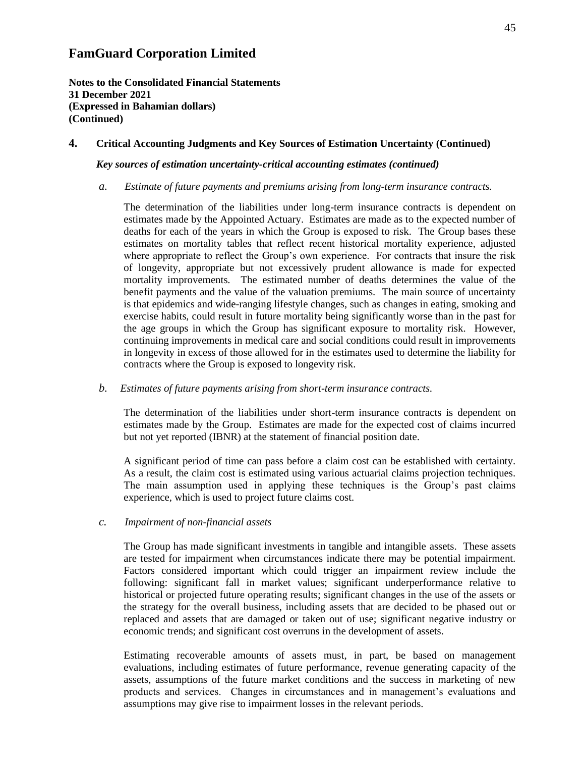**Notes to the Consolidated Financial Statements 31 December 2021 (Expressed in Bahamian dollars) (Continued)**

# **4. Critical Accounting Judgments and Key Sources of Estimation Uncertainty (Continued)**

*Key sources of estimation uncertainty-critical accounting estimates (continued)*

*a. Estimate of future payments and premiums arising from long-term insurance contracts.*

The determination of the liabilities under long-term insurance contracts is dependent on estimates made by the Appointed Actuary. Estimates are made as to the expected number of deaths for each of the years in which the Group is exposed to risk. The Group bases these estimates on mortality tables that reflect recent historical mortality experience, adjusted where appropriate to reflect the Group's own experience. For contracts that insure the risk of longevity, appropriate but not excessively prudent allowance is made for expected mortality improvements. The estimated number of deaths determines the value of the benefit payments and the value of the valuation premiums. The main source of uncertainty is that epidemics and wide-ranging lifestyle changes, such as changes in eating, smoking and exercise habits, could result in future mortality being significantly worse than in the past for the age groups in which the Group has significant exposure to mortality risk. However, continuing improvements in medical care and social conditions could result in improvements in longevity in excess of those allowed for in the estimates used to determine the liability for contracts where the Group is exposed to longevity risk.

### *b. Estimates of future payments arising from short-term insurance contracts.*

The determination of the liabilities under short-term insurance contracts is dependent on estimates made by the Group. Estimates are made for the expected cost of claims incurred but not yet reported (IBNR) at the statement of financial position date.

A significant period of time can pass before a claim cost can be established with certainty. As a result, the claim cost is estimated using various actuarial claims projection techniques. The main assumption used in applying these techniques is the Group's past claims experience, which is used to project future claims cost.

### *c. Impairment of non-financial assets*

The Group has made significant investments in tangible and intangible assets. These assets are tested for impairment when circumstances indicate there may be potential impairment. Factors considered important which could trigger an impairment review include the following: significant fall in market values; significant underperformance relative to historical or projected future operating results; significant changes in the use of the assets or the strategy for the overall business, including assets that are decided to be phased out or replaced and assets that are damaged or taken out of use; significant negative industry or economic trends; and significant cost overruns in the development of assets.

Estimating recoverable amounts of assets must, in part, be based on management evaluations, including estimates of future performance, revenue generating capacity of the assets, assumptions of the future market conditions and the success in marketing of new products and services. Changes in circumstances and in management's evaluations and assumptions may give rise to impairment losses in the relevant periods.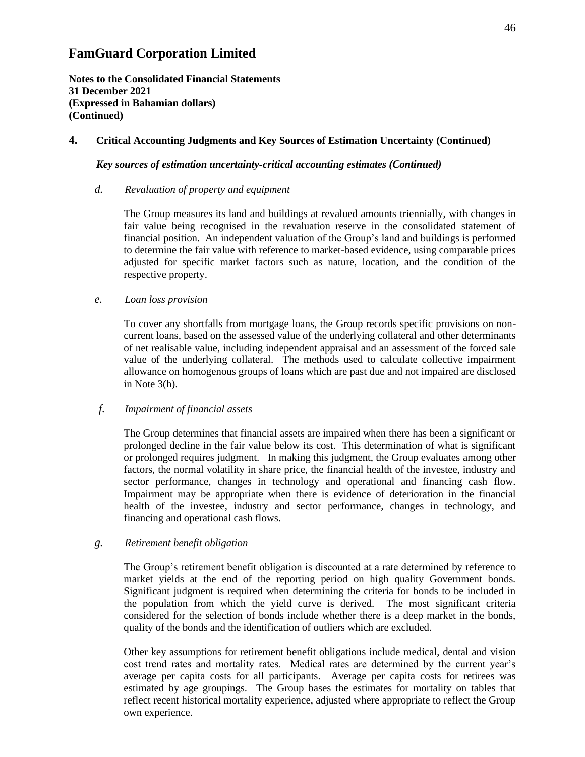**Notes to the Consolidated Financial Statements 31 December 2021 (Expressed in Bahamian dollars) (Continued)**

# **4. Critical Accounting Judgments and Key Sources of Estimation Uncertainty (Continued)**

### *Key sources of estimation uncertainty-critical accounting estimates (Continued)*

### *d. Revaluation of property and equipment*

The Group measures its land and buildings at revalued amounts triennially, with changes in fair value being recognised in the revaluation reserve in the consolidated statement of financial position. An independent valuation of the Group's land and buildings is performed to determine the fair value with reference to market-based evidence, using comparable prices adjusted for specific market factors such as nature, location, and the condition of the respective property.

### *e. Loan loss provision*

To cover any shortfalls from mortgage loans, the Group records specific provisions on noncurrent loans, based on the assessed value of the underlying collateral and other determinants of net realisable value, including independent appraisal and an assessment of the forced sale value of the underlying collateral. The methods used to calculate collective impairment allowance on homogenous groups of loans which are past due and not impaired are disclosed in Note 3(h).

# *f. Impairment of financial assets*

The Group determines that financial assets are impaired when there has been a significant or prolonged decline in the fair value below its cost. This determination of what is significant or prolonged requires judgment. In making this judgment, the Group evaluates among other factors, the normal volatility in share price, the financial health of the investee, industry and sector performance, changes in technology and operational and financing cash flow. Impairment may be appropriate when there is evidence of deterioration in the financial health of the investee, industry and sector performance, changes in technology, and financing and operational cash flows.

### *g. Retirement benefit obligation*

The Group's retirement benefit obligation is discounted at a rate determined by reference to market yields at the end of the reporting period on high quality Government bonds. Significant judgment is required when determining the criteria for bonds to be included in the population from which the yield curve is derived. The most significant criteria considered for the selection of bonds include whether there is a deep market in the bonds, quality of the bonds and the identification of outliers which are excluded.

Other key assumptions for retirement benefit obligations include medical, dental and vision cost trend rates and mortality rates. Medical rates are determined by the current year's average per capita costs for all participants. Average per capita costs for retirees was estimated by age groupings. The Group bases the estimates for mortality on tables that reflect recent historical mortality experience, adjusted where appropriate to reflect the Group own experience.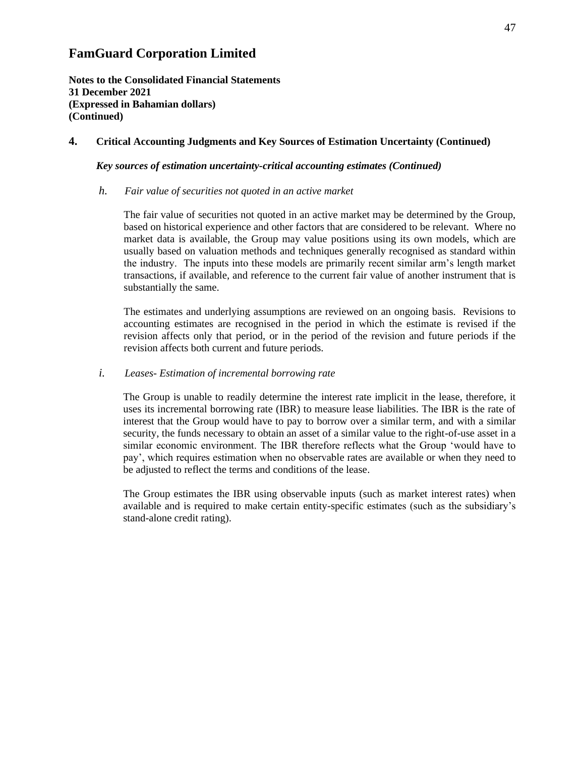**Notes to the Consolidated Financial Statements 31 December 2021 (Expressed in Bahamian dollars) (Continued)**

# **4. Critical Accounting Judgments and Key Sources of Estimation Uncertainty (Continued)**

*Key sources of estimation uncertainty-critical accounting estimates (Continued)*

### *h. Fair value of securities not quoted in an active market*

The fair value of securities not quoted in an active market may be determined by the Group, based on historical experience and other factors that are considered to be relevant. Where no market data is available, the Group may value positions using its own models, which are usually based on valuation methods and techniques generally recognised as standard within the industry. The inputs into these models are primarily recent similar arm's length market transactions, if available, and reference to the current fair value of another instrument that is substantially the same.

The estimates and underlying assumptions are reviewed on an ongoing basis. Revisions to accounting estimates are recognised in the period in which the estimate is revised if the revision affects only that period, or in the period of the revision and future periods if the revision affects both current and future periods.

### *i. Leases- Estimation of incremental borrowing rate*

The Group is unable to readily determine the interest rate implicit in the lease, therefore, it uses its incremental borrowing rate (IBR) to measure lease liabilities. The IBR is the rate of interest that the Group would have to pay to borrow over a similar term, and with a similar security, the funds necessary to obtain an asset of a similar value to the right-of-use asset in a similar economic environment. The IBR therefore reflects what the Group 'would have to pay', which requires estimation when no observable rates are available or when they need to be adjusted to reflect the terms and conditions of the lease.

The Group estimates the IBR using observable inputs (such as market interest rates) when available and is required to make certain entity-specific estimates (such as the subsidiary's stand-alone credit rating).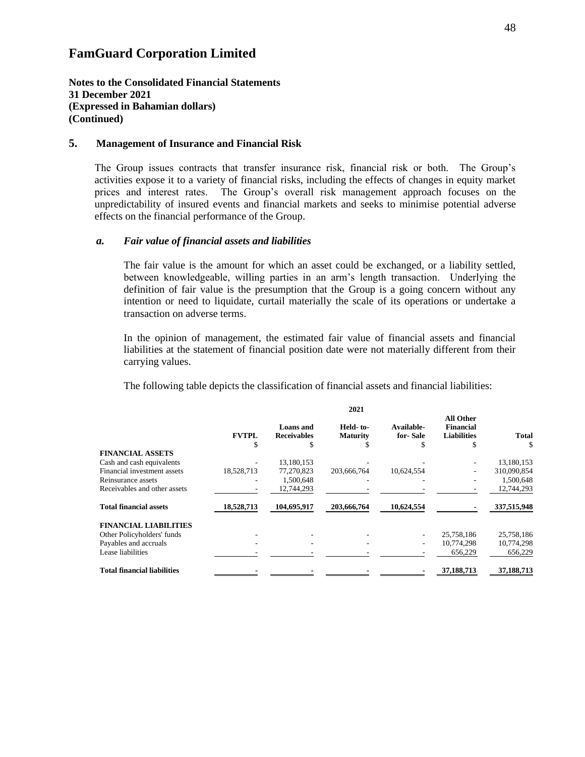**Notes to the Consolidated Financial Statements 31 December 2021 (Expressed in Bahamian dollars) (Continued)**

# **5. Management of Insurance and Financial Risk**

The Group issues contracts that transfer insurance risk, financial risk or both. The Group's activities expose it to a variety of financial risks, including the effects of changes in equity market prices and interest rates. The Group's overall risk management approach focuses on the unpredictability of insured events and financial markets and seeks to minimise potential adverse effects on the financial performance of the Group.

### *a. Fair value of financial assets and liabilities*

The fair value is the amount for which an asset could be exchanged, or a liability settled, between knowledgeable, willing parties in an arm's length transaction. Underlying the definition of fair value is the presumption that the Group is a going concern without any intention or need to liquidate, curtail materially the scale of its operations or undertake a transaction on adverse terms.

In the opinion of management, the estimated fair value of financial assets and financial liabilities at the statement of financial position date were not materially different from their carrying values.

The following table depicts the classification of financial assets and financial liabilities:

|                                    |              |                                             | 2021                        |                        |                                                                 |             |
|------------------------------------|--------------|---------------------------------------------|-----------------------------|------------------------|-----------------------------------------------------------------|-------------|
|                                    | <b>FVTPL</b> | <b>Loans</b> and<br><b>Receivables</b><br>S | Held-to-<br><b>Maturity</b> | Available-<br>for-Sale | <b>All Other</b><br><b>Financial</b><br><b>Liabilities</b><br>S | Total<br>\$ |
| <b>FINANCIAL ASSETS</b>            |              |                                             |                             |                        |                                                                 |             |
| Cash and cash equivalents          |              | 13,180,153                                  |                             |                        |                                                                 | 13,180,153  |
| Financial investment assets        | 18,528,713   | 77,270,823                                  | 203,666,764                 | 10,624,554             |                                                                 | 310,090,854 |
| Reinsurance assets                 |              | 1,500,648                                   |                             |                        |                                                                 | 1,500,648   |
| Receivables and other assets       |              | 12,744,293                                  |                             |                        |                                                                 | 12,744,293  |
| <b>Total financial assets</b>      | 18,528,713   | 104,695,917                                 | 203,666,764                 | 10,624,554             |                                                                 | 337,515,948 |
| <b>FINANCIAL LIABILITIES</b>       |              |                                             |                             |                        |                                                                 |             |
| Other Policyholders' funds         |              |                                             |                             |                        | 25,758,186                                                      | 25,758,186  |
| Payables and accruals              |              |                                             |                             |                        | 10,774,298                                                      | 10,774,298  |
| Lease liabilities                  |              |                                             |                             |                        | 656,229                                                         | 656,229     |
| <b>Total financial liabilities</b> |              |                                             |                             |                        | 37,188,713                                                      | 37,188,713  |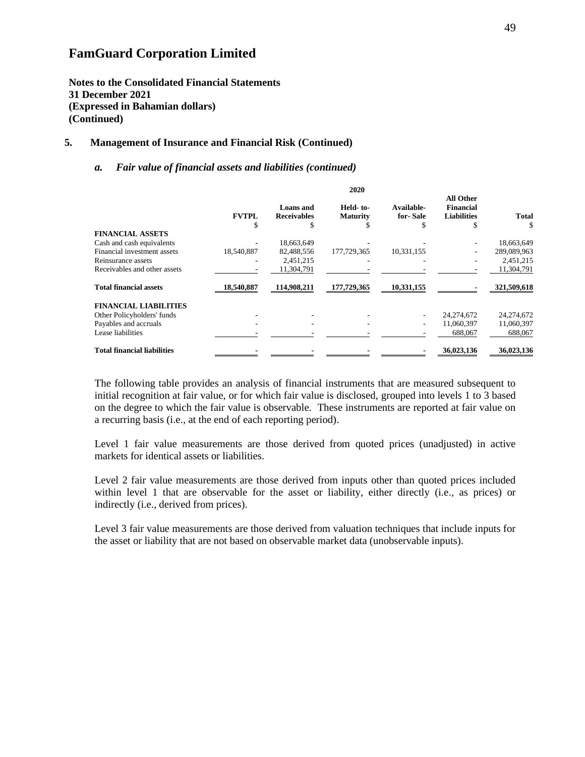**Notes to the Consolidated Financial Statements 31 December 2021 (Expressed in Bahamian dollars) (Continued)**

### **5. Management of Insurance and Financial Risk (Continued)**

### *a. Fair value of financial assets and liabilities (continued)*

|                                    |              |                                        | 2020                        |                        |                                                            |                     |
|------------------------------------|--------------|----------------------------------------|-----------------------------|------------------------|------------------------------------------------------------|---------------------|
|                                    | <b>FVTPL</b> | <b>Loans</b> and<br><b>Receivables</b> | Held-to-<br><b>Maturity</b> | Available-<br>for-Sale | <b>All Other</b><br><b>Financial</b><br><b>Liabilities</b> | <b>Total</b><br>\$. |
| <b>FINANCIAL ASSETS</b>            |              |                                        |                             |                        |                                                            |                     |
| Cash and cash equivalents          |              | 18,663,649                             |                             |                        |                                                            | 18,663,649          |
| Financial investment assets        | 18,540,887   | 82,488,556                             | 177,729,365                 | 10,331,155             |                                                            | 289,089,963         |
| Reinsurance assets                 |              | 2,451,215                              |                             |                        |                                                            | 2,451,215           |
| Receivables and other assets       |              | 11,304,791                             |                             |                        |                                                            | 11,304,791          |
| <b>Total financial assets</b>      | 18,540,887   | 114,908,211                            | 177,729,365                 | 10,331,155             |                                                            | 321,509,618         |
| <b>FINANCIAL LIABILITIES</b>       |              |                                        |                             |                        |                                                            |                     |
| Other Policyholders' funds         |              |                                        |                             |                        | 24, 274, 672                                               | 24,274,672          |
| Payables and accruals              |              |                                        |                             |                        | 11.060.397                                                 | 11,060,397          |
| Lease liabilities                  |              |                                        |                             |                        | 688,067                                                    | 688,067             |
| <b>Total financial liabilities</b> |              |                                        |                             |                        | 36,023,136                                                 | 36,023,136          |

The following table provides an analysis of financial instruments that are measured subsequent to initial recognition at fair value, or for which fair value is disclosed, grouped into levels 1 to 3 based on the degree to which the fair value is observable. These instruments are reported at fair value on a recurring basis (i.e., at the end of each reporting period).

Level 1 fair value measurements are those derived from quoted prices (unadjusted) in active markets for identical assets or liabilities.

Level 2 fair value measurements are those derived from inputs other than quoted prices included within level 1 that are observable for the asset or liability, either directly (i.e., as prices) or indirectly (i.e., derived from prices).

Level 3 fair value measurements are those derived from valuation techniques that include inputs for the asset or liability that are not based on observable market data (unobservable inputs).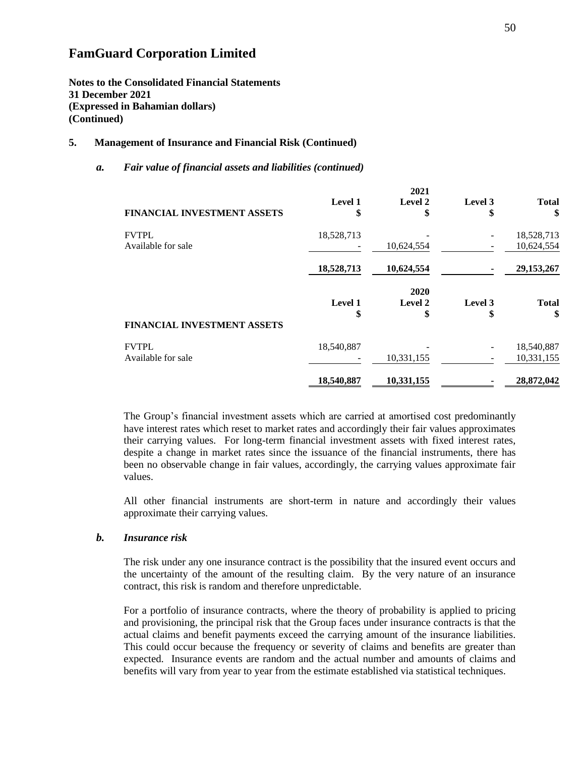**Notes to the Consolidated Financial Statements 31 December 2021 (Expressed in Bahamian dollars) (Continued)**

# **5. Management of Insurance and Financial Risk (Continued)**

### *a. Fair value of financial assets and liabilities (continued)*

| <b>FINANCIAL INVESTMENT ASSETS</b> | <b>Level 1</b><br>\$ | 2021<br>Level 2<br>\$ | Level 3<br>\$ | <b>Total</b><br>\$       |
|------------------------------------|----------------------|-----------------------|---------------|--------------------------|
| <b>FVTPL</b><br>Available for sale | 18,528,713           | 10,624,554            |               | 18,528,713<br>10,624,554 |
|                                    | 18,528,713           | 10,624,554            |               | 29,153,267               |
| <b>FINANCIAL INVESTMENT ASSETS</b> | Level 1<br>\$        | 2020<br>Level 2<br>\$ | Level 3<br>\$ | <b>Total</b><br>\$       |
| <b>FVTPL</b><br>Available for sale | 18,540,887           | 10,331,155            |               | 18,540,887<br>10,331,155 |
|                                    | 18,540,887           | 10,331,155            |               | 28,872,042               |

The Group's financial investment assets which are carried at amortised cost predominantly have interest rates which reset to market rates and accordingly their fair values approximates their carrying values. For long-term financial investment assets with fixed interest rates, despite a change in market rates since the issuance of the financial instruments, there has been no observable change in fair values, accordingly, the carrying values approximate fair values.

All other financial instruments are short-term in nature and accordingly their values approximate their carrying values.

### *b. Insurance risk*

The risk under any one insurance contract is the possibility that the insured event occurs and the uncertainty of the amount of the resulting claim. By the very nature of an insurance contract, this risk is random and therefore unpredictable.

For a portfolio of insurance contracts, where the theory of probability is applied to pricing and provisioning, the principal risk that the Group faces under insurance contracts is that the actual claims and benefit payments exceed the carrying amount of the insurance liabilities. This could occur because the frequency or severity of claims and benefits are greater than expected. Insurance events are random and the actual number and amounts of claims and benefits will vary from year to year from the estimate established via statistical techniques.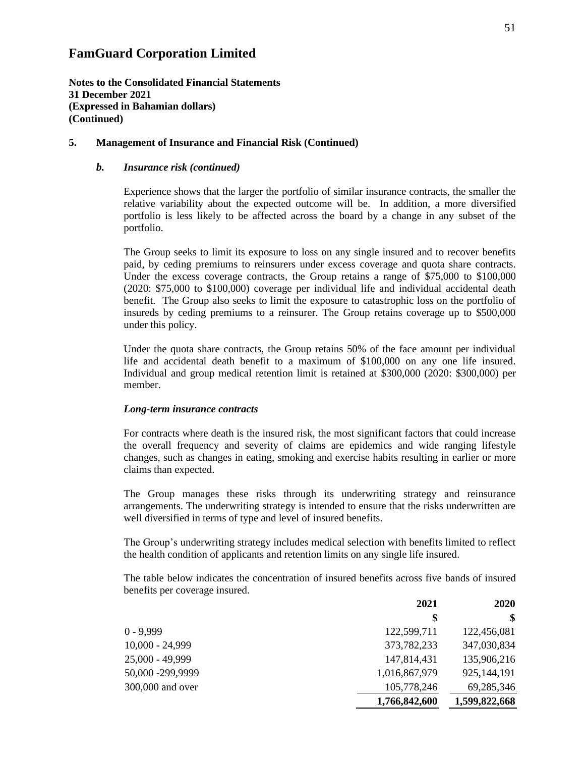**Notes to the Consolidated Financial Statements 31 December 2021 (Expressed in Bahamian dollars) (Continued)**

### **5. Management of Insurance and Financial Risk (Continued)**

### *b. Insurance risk (continued)*

Experience shows that the larger the portfolio of similar insurance contracts, the smaller the relative variability about the expected outcome will be. In addition, a more diversified portfolio is less likely to be affected across the board by a change in any subset of the portfolio.

The Group seeks to limit its exposure to loss on any single insured and to recover benefits paid, by ceding premiums to reinsurers under excess coverage and quota share contracts. Under the excess coverage contracts, the Group retains a range of \$75,000 to \$100,000 (2020: \$75,000 to \$100,000) coverage per individual life and individual accidental death benefit. The Group also seeks to limit the exposure to catastrophic loss on the portfolio of insureds by ceding premiums to a reinsurer. The Group retains coverage up to \$500,000 under this policy.

Under the quota share contracts, the Group retains 50% of the face amount per individual life and accidental death benefit to a maximum of \$100,000 on any one life insured. Individual and group medical retention limit is retained at \$300,000 (2020: \$300,000) per member.

### *Long-term insurance contracts*

For contracts where death is the insured risk, the most significant factors that could increase the overall frequency and severity of claims are epidemics and wide ranging lifestyle changes, such as changes in eating, smoking and exercise habits resulting in earlier or more claims than expected.

The Group manages these risks through its underwriting strategy and reinsurance arrangements. The underwriting strategy is intended to ensure that the risks underwritten are well diversified in terms of type and level of insured benefits.

The Group's underwriting strategy includes medical selection with benefits limited to reflect the health condition of applicants and retention limits on any single life insured.

The table below indicates the concentration of insured benefits across five bands of insured benefits per coverage insured.

|                   | 2021          | 2020          |
|-------------------|---------------|---------------|
|                   | S             | S             |
| $0 - 9,999$       | 122,599,711   | 122,456,081   |
| $10,000 - 24,999$ | 373,782,233   | 347,030,834   |
| 25,000 - 49,999   | 147,814,431   | 135,906,216   |
| 50,000 - 299,9999 | 1,016,867,979 | 925, 144, 191 |
| 300,000 and over  | 105,778,246   | 69,285,346    |
|                   | 1,766,842,600 | 1,599,822,668 |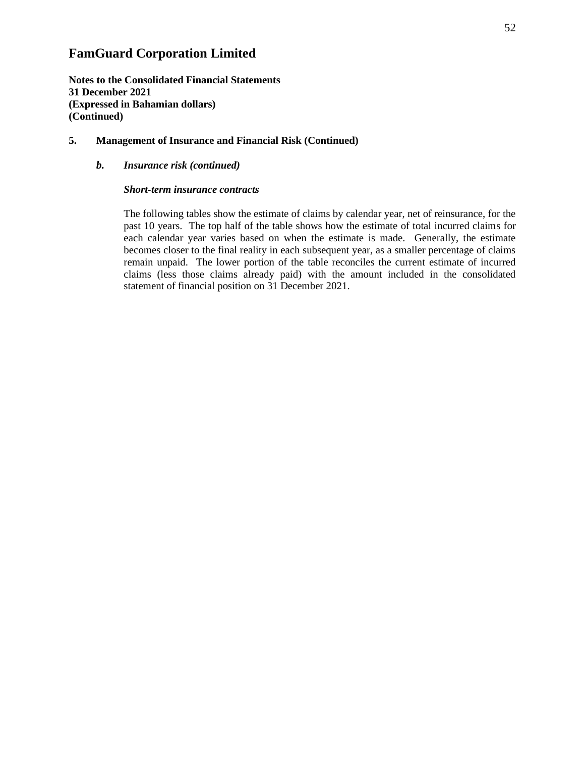**Notes to the Consolidated Financial Statements 31 December 2021 (Expressed in Bahamian dollars) (Continued)**

# **5. Management of Insurance and Financial Risk (Continued)**

### *b. Insurance risk (continued)*

### *Short-term insurance contracts*

The following tables show the estimate of claims by calendar year, net of reinsurance, for the past 10 years. The top half of the table shows how the estimate of total incurred claims for each calendar year varies based on when the estimate is made. Generally, the estimate becomes closer to the final reality in each subsequent year, as a smaller percentage of claims remain unpaid. The lower portion of the table reconciles the current estimate of incurred claims (less those claims already paid) with the amount included in the consolidated statement of financial position on 31 December 2021.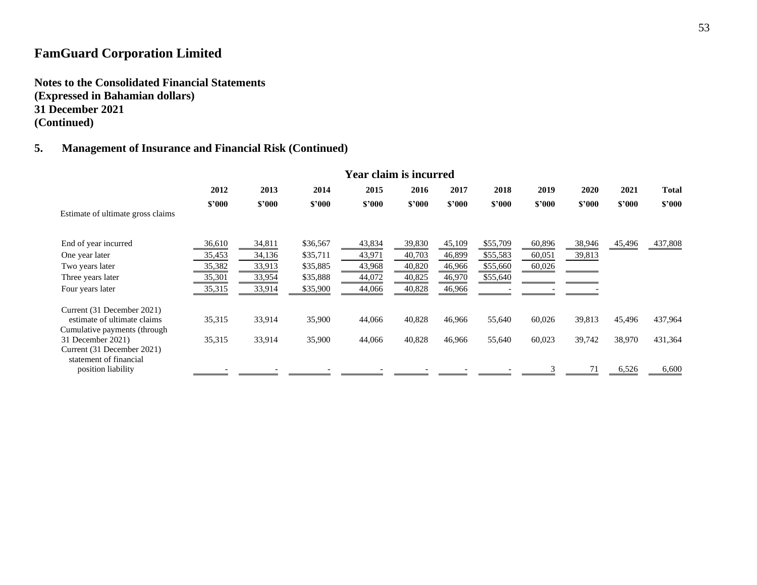**Notes to the Consolidated Financial Statements (Expressed in Bahamian dollars) 31 December 2021 (Continued)**

# **5. Management of Insurance and Financial Risk (Continued)**

|                                                      | Year claim is incurred |        |          |        |        |        |          |        |        |        |              |
|------------------------------------------------------|------------------------|--------|----------|--------|--------|--------|----------|--------|--------|--------|--------------|
|                                                      | 2012                   | 2013   | 2014     | 2015   | 2016   | 2017   | 2018     | 2019   | 2020   | 2021   | <b>Total</b> |
|                                                      | \$2000                 | \$2000 | \$'000   | \$2000 | \$'000 | \$2000 | \$2000   | \$2000 | \$2000 | \$2000 | \$2000       |
| Estimate of ultimate gross claims                    |                        |        |          |        |        |        |          |        |        |        |              |
| End of year incurred                                 | 36,610                 | 34,811 | \$36,567 | 43,834 | 39,830 | 45,109 | \$55,709 | 60,896 | 38,946 | 45,496 | 437,808      |
| One year later                                       | 35,453                 | 34,136 | \$35,711 | 43,971 | 40,703 | 46,899 | \$55,583 | 60,051 | 39,813 |        |              |
| Two years later                                      | 35,382                 | 33,913 | \$35,885 | 43,968 | 40,820 | 46,966 | \$55,660 | 60,026 |        |        |              |
| Three years later                                    | 35,301                 | 33,954 | \$35,888 | 44,072 | 40,825 | 46,970 | \$55,640 |        |        |        |              |
| Four years later                                     | 35,315                 | 33,914 | \$35,900 | 44,066 | 40,828 | 46,966 |          |        |        |        |              |
| Current (31 December 2021)                           |                        |        |          |        |        |        |          |        |        |        |              |
| estimate of ultimate claims                          | 35,315                 | 33,914 | 35,900   | 44,066 | 40,828 | 46,966 | 55,640   | 60,026 | 39,813 | 45,496 | 437,964      |
| Cumulative payments (through                         |                        |        |          |        |        |        |          |        |        |        |              |
| 31 December 2021)                                    | 35,315                 | 33,914 | 35,900   | 44,066 | 40,828 | 46,966 | 55,640   | 60,023 | 39,742 | 38,970 | 431,364      |
| Current (31 December 2021)<br>statement of financial |                        |        |          |        |        |        |          |        |        |        |              |
| position liability                                   |                        |        |          |        |        |        |          |        | 71     | 6,526  | 6,600        |
|                                                      |                        |        |          |        |        |        |          |        |        |        |              |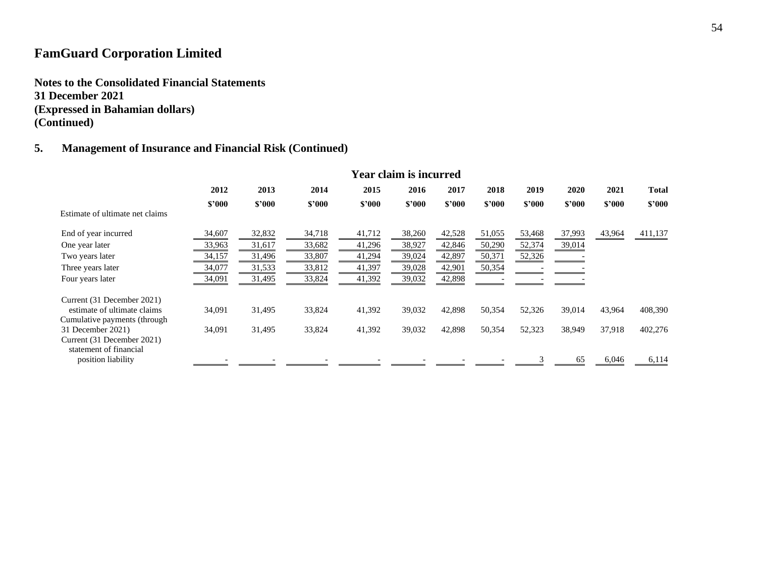**Notes to the Consolidated Financial Statements 31 December 2021 (Expressed in Bahamian dollars) (Continued)**

# **5. Management of Insurance and Financial Risk (Continued)**

|                                                      | Year claim is incurred |        |        |        |        |        |        |        |        |        |              |
|------------------------------------------------------|------------------------|--------|--------|--------|--------|--------|--------|--------|--------|--------|--------------|
|                                                      | 2012                   | 2013   | 2014   | 2015   | 2016   | 2017   | 2018   | 2019   | 2020   | 2021   | <b>Total</b> |
|                                                      | \$2000                 | \$2000 | \$2000 | \$2000 | \$2000 | \$2000 | \$2000 | \$2000 | \$2000 | \$2000 | \$2000       |
| Estimate of ultimate net claims                      |                        |        |        |        |        |        |        |        |        |        |              |
| End of year incurred                                 | 34,607                 | 32,832 | 34,718 | 41,712 | 38,260 | 42,528 | 51,055 | 53,468 | 37,993 | 43,964 | 411,137      |
| One year later                                       | 33,963                 | 31,617 | 33,682 | 41,296 | 38,927 | 42,846 | 50,290 | 52,374 | 39,014 |        |              |
| Two years later                                      | 34,157                 | 31,496 | 33,807 | 41,294 | 39,024 | 42,897 | 50,371 | 52,326 |        |        |              |
| Three years later                                    | 34,077                 | 31,533 | 33,812 | 41,397 | 39,028 | 42,901 | 50,354 |        |        |        |              |
| Four years later                                     | 34,091                 | 31,495 | 33,824 | 41,392 | 39,032 | 42,898 |        |        |        |        |              |
| Current (31 December 2021)                           |                        |        |        |        |        |        |        |        |        |        |              |
| estimate of ultimate claims                          | 34,091                 | 31,495 | 33,824 | 41,392 | 39,032 | 42,898 | 50,354 | 52,326 | 39,014 | 43,964 | 408,390      |
| Cumulative payments (through                         |                        |        |        |        |        |        |        |        |        |        |              |
| 31 December 2021)                                    | 34,091                 | 31,495 | 33,824 | 41,392 | 39,032 | 42,898 | 50,354 | 52,323 | 38,949 | 37,918 | 402,276      |
| Current (31 December 2021)<br>statement of financial |                        |        |        |        |        |        |        |        |        |        |              |
| position liability                                   |                        |        |        |        |        |        |        |        | 65     | 6,046  | 6,114        |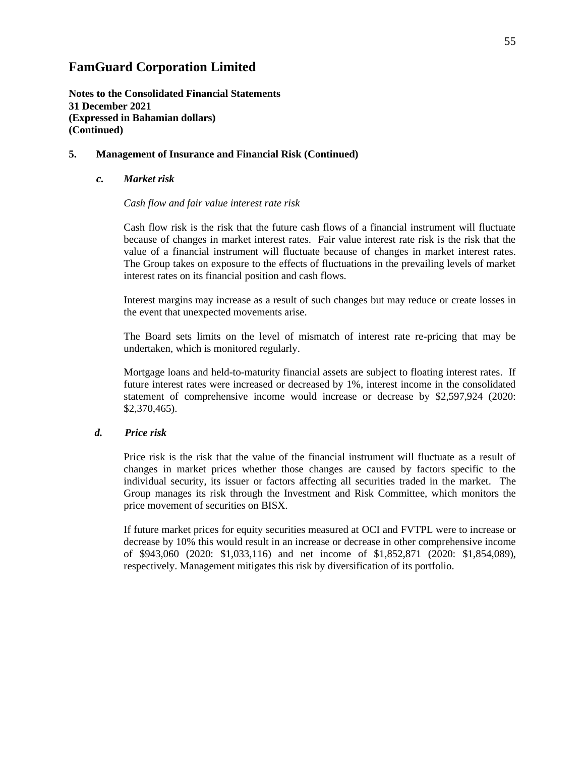**Notes to the Consolidated Financial Statements 31 December 2021 (Expressed in Bahamian dollars) (Continued)**

### **5. Management of Insurance and Financial Risk (Continued)**

### *c. Market risk*

### *Cash flow and fair value interest rate risk*

Cash flow risk is the risk that the future cash flows of a financial instrument will fluctuate because of changes in market interest rates. Fair value interest rate risk is the risk that the value of a financial instrument will fluctuate because of changes in market interest rates. The Group takes on exposure to the effects of fluctuations in the prevailing levels of market interest rates on its financial position and cash flows.

Interest margins may increase as a result of such changes but may reduce or create losses in the event that unexpected movements arise.

The Board sets limits on the level of mismatch of interest rate re-pricing that may be undertaken, which is monitored regularly.

Mortgage loans and held-to-maturity financial assets are subject to floating interest rates. If future interest rates were increased or decreased by 1%, interest income in the consolidated statement of comprehensive income would increase or decrease by \$2,597,924 (2020: \$2,370,465).

### *d. Price risk*

Price risk is the risk that the value of the financial instrument will fluctuate as a result of changes in market prices whether those changes are caused by factors specific to the individual security, its issuer or factors affecting all securities traded in the market. The Group manages its risk through the Investment and Risk Committee, which monitors the price movement of securities on BISX.

If future market prices for equity securities measured at OCI and FVTPL were to increase or decrease by 10% this would result in an increase or decrease in other comprehensive income of \$943,060 (2020: \$1,033,116) and net income of \$1,852,871 (2020: \$1,854,089), respectively. Management mitigates this risk by diversification of its portfolio.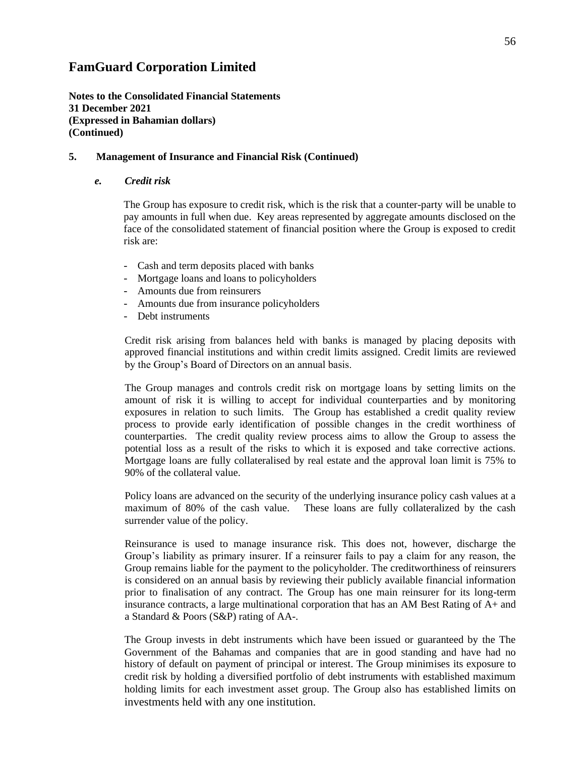**Notes to the Consolidated Financial Statements 31 December 2021 (Expressed in Bahamian dollars) (Continued)**

# **5. Management of Insurance and Financial Risk (Continued)**

#### *e. Credit risk*

The Group has exposure to credit risk, which is the risk that a counter-party will be unable to pay amounts in full when due. Key areas represented by aggregate amounts disclosed on the face of the consolidated statement of financial position where the Group is exposed to credit risk are:

- Cash and term deposits placed with banks
- Mortgage loans and loans to policyholders
- Amounts due from reinsurers
- Amounts due from insurance policyholders
- Debt instruments

Credit risk arising from balances held with banks is managed by placing deposits with approved financial institutions and within credit limits assigned. Credit limits are reviewed by the Group's Board of Directors on an annual basis.

The Group manages and controls credit risk on mortgage loans by setting limits on the amount of risk it is willing to accept for individual counterparties and by monitoring exposures in relation to such limits. The Group has established a credit quality review process to provide early identification of possible changes in the credit worthiness of counterparties. The credit quality review process aims to allow the Group to assess the potential loss as a result of the risks to which it is exposed and take corrective actions. Mortgage loans are fully collateralised by real estate and the approval loan limit is 75% to 90% of the collateral value.

Policy loans are advanced on the security of the underlying insurance policy cash values at a maximum of 80% of the cash value. These loans are fully collateralized by the cash surrender value of the policy.

Reinsurance is used to manage insurance risk. This does not, however, discharge the Group's liability as primary insurer. If a reinsurer fails to pay a claim for any reason, the Group remains liable for the payment to the policyholder. The creditworthiness of reinsurers is considered on an annual basis by reviewing their publicly available financial information prior to finalisation of any contract. The Group has one main reinsurer for its long-term insurance contracts, a large multinational corporation that has an AM Best Rating of A+ and a Standard & Poors (S&P) rating of AA-.

The Group invests in debt instruments which have been issued or guaranteed by the The Government of the Bahamas and companies that are in good standing and have had no history of default on payment of principal or interest. The Group minimises its exposure to credit risk by holding a diversified portfolio of debt instruments with established maximum holding limits for each investment asset group. The Group also has established limits on investments held with any one institution.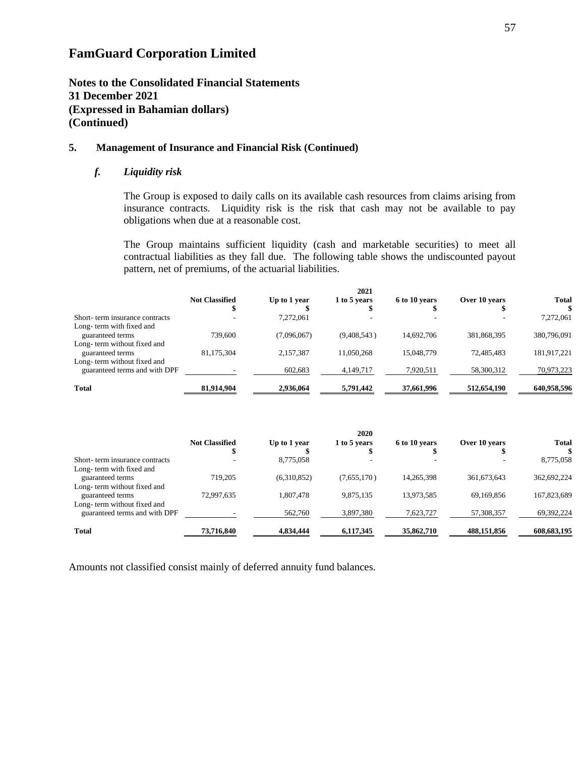**Notes to the Consolidated Financial Statements 31 December 2021 (Expressed in Bahamian dollars) (Continued)**

# **5. Management of Insurance and Financial Risk (Continued)**

## *f. Liquidity risk*

The Group is exposed to daily calls on its available cash resources from claims arising from insurance contracts. Liquidity risk is the risk that cash may not be available to pay obligations when due at a reasonable cost.

The Group maintains sufficient liquidity (cash and marketable securities) to meet all contractual liabilities as they fall due. The following table shows the undiscounted payout pattern, net of premiums, of the actuarial liabilities.

|                                | 2021                  |              |              |               |               |              |  |  |
|--------------------------------|-----------------------|--------------|--------------|---------------|---------------|--------------|--|--|
|                                | <b>Not Classified</b> | Up to 1 year | 1 to 5 years | 6 to 10 years | Over 10 years | <b>Total</b> |  |  |
|                                |                       |              |              |               |               | \$           |  |  |
| Short-term insurance contracts |                       | 7.272.061    |              |               |               | 7,272,061    |  |  |
| Long-term with fixed and       |                       |              |              |               |               |              |  |  |
| guaranteed terms               | 739,600               | (7.096.067)  | (9,408,543)  | 14.692.706    | 381,868,395   | 380,796,091  |  |  |
| Long-term without fixed and    |                       |              |              |               |               |              |  |  |
| guaranteed terms               | 81.175.304            | 2.157.387    | 11.050.268   | 15.048.779    | 72,485,483    | 181,917,221  |  |  |
| Long-term without fixed and    |                       |              |              |               |               |              |  |  |
| guaranteed terms and with DPF  |                       | 602,683      | 4,149,717    | 7,920,511     | 58,300,312    | 70,973,223   |  |  |
| <b>Total</b>                   | 81.914.904            | 2.936.064    | 5,791,442    | 37,661,996    | 512,654,190   | 640.958.596  |  |  |

|                                | 2020                  |              |              |               |               |              |
|--------------------------------|-----------------------|--------------|--------------|---------------|---------------|--------------|
|                                | <b>Not Classified</b> | Up to 1 year | 1 to 5 years | 6 to 10 years | Over 10 years | <b>Total</b> |
|                                |                       |              | æ            |               |               |              |
| Short-term insurance contracts |                       | 8,775,058    |              |               |               | 8,775,058    |
| Long-term with fixed and       |                       |              |              |               |               |              |
| guaranteed terms               | 719.205               | (6,310,852)  | (7,655,170)  | 14,265,398    | 361,673,643   | 362,692,224  |
| Long-term without fixed and    |                       |              |              |               |               |              |
| guaranteed terms               | 72,997,635            | 1.807.478    | 9.875.135    | 13.973.585    | 69.169.856    | 167,823,689  |
| Long-term without fixed and    |                       |              |              |               |               |              |
| guaranteed terms and with DPF  |                       | 562,760      | 3,897,380    | 7,623,727     | 57,308,357    | 69,392,224   |
| <b>Total</b>                   | 73,716,840            | 4,834,444    | 6,117,345    | 35,862,710    | 488,151,856   | 608,683,195  |

Amounts not classified consist mainly of deferred annuity fund balances.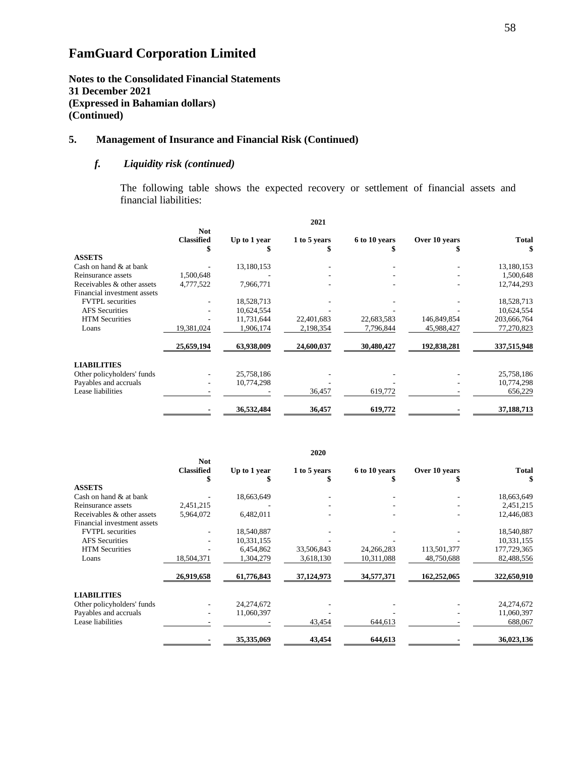**Notes to the Consolidated Financial Statements 31 December 2021 (Expressed in Bahamian dollars) (Continued)**

# **5. Management of Insurance and Financial Risk (Continued)**

# *f. Liquidity risk (continued)*

The following table shows the expected recovery or settlement of financial assets and financial liabilities:

|                                                           |                                 |              | 2021         |               |                    |                    |
|-----------------------------------------------------------|---------------------------------|--------------|--------------|---------------|--------------------|--------------------|
|                                                           | <b>Not</b><br><b>Classified</b> | Up to 1 year | 1 to 5 years | 6 to 10 years | Over 10 years<br>ъ | <b>Total</b><br>\$ |
| <b>ASSETS</b>                                             |                                 |              |              |               |                    |                    |
| Cash on hand & at bank                                    |                                 | 13,180,153   |              |               |                    | 13,180,153         |
| Reinsurance assets                                        | 1,500,648                       |              |              |               |                    | 1,500,648          |
| Receivables & other assets<br>Financial investment assets | 4,777,522                       | 7,966,771    |              |               |                    | 12,744,293         |
| <b>FVTPL</b> securities                                   |                                 | 18,528,713   |              |               |                    | 18,528,713         |
| <b>AFS</b> Securities                                     |                                 | 10,624,554   |              |               |                    | 10,624,554         |
| <b>HTM</b> Securities                                     |                                 | 11,731,644   | 22,401,683   | 22,683,583    | 146,849,854        | 203,666,764        |
| Loans                                                     | 19,381,024                      | 1,906,174    | 2,198,354    | 7,796,844     | 45,988,427         | 77,270,823         |
|                                                           | 25,659,194                      | 63,938,009   | 24,600,037   | 30,480,427    | 192,838,281        | 337,515,948        |
| <b>LIABILITIES</b>                                        |                                 |              |              |               |                    |                    |
| Other policyholders' funds                                |                                 | 25,758,186   |              |               |                    | 25,758,186         |
| Payables and accruals                                     |                                 | 10,774,298   |              |               |                    | 10,774,298         |
| Lease liabilities                                         |                                 |              | 36,457       | 619,772       |                    | 656,229            |
|                                                           |                                 | 36,532,484   | 36,457       | 619,772       |                    | 37,188,713         |

|                             |                   |              | 2020         |               |               |             |
|-----------------------------|-------------------|--------------|--------------|---------------|---------------|-------------|
|                             | <b>Not</b>        |              |              |               |               |             |
|                             | <b>Classified</b> | Up to 1 year | 1 to 5 years | 6 to 10 years | Over 10 years | Total       |
|                             |                   |              | ъ            |               | ъ             | S           |
| <b>ASSETS</b>               |                   |              |              |               |               |             |
| Cash on hand & at bank      |                   | 18,663,649   |              |               |               | 18,663,649  |
| Reinsurance assets          | 2,451,215         |              |              |               |               | 2,451,215   |
| Receivables & other assets  | 5,964,072         | 6,482,011    |              |               |               | 12,446,083  |
| Financial investment assets |                   |              |              |               |               |             |
| <b>FVTPL</b> securities     |                   | 18,540,887   |              |               |               | 18,540,887  |
| <b>AFS</b> Securities       |                   | 10,331,155   |              |               |               | 10,331,155  |
| <b>HTM</b> Securities       |                   | 6,454,862    | 33,506,843   | 24, 266, 283  | 113,501,377   | 177,729,365 |
| Loans                       | 18,504,371        | 1,304,279    | 3,618,130    | 10,311,088    | 48,750,688    | 82,488,556  |
|                             | 26,919,658        | 61,776,843   | 37,124,973   | 34,577,371    | 162,252,065   | 322,650,910 |
| <b>LIABILITIES</b>          |                   |              |              |               |               |             |
| Other policyholders' funds  |                   | 24, 274, 672 |              |               |               | 24,274,672  |
| Payables and accruals       |                   | 11,060,397   |              |               |               | 11,060,397  |
| Lease liabilities           |                   |              | 43,454       | 644,613       |               | 688,067     |
|                             |                   | 35,335,069   | 43,454       | 644,613       |               | 36,023,136  |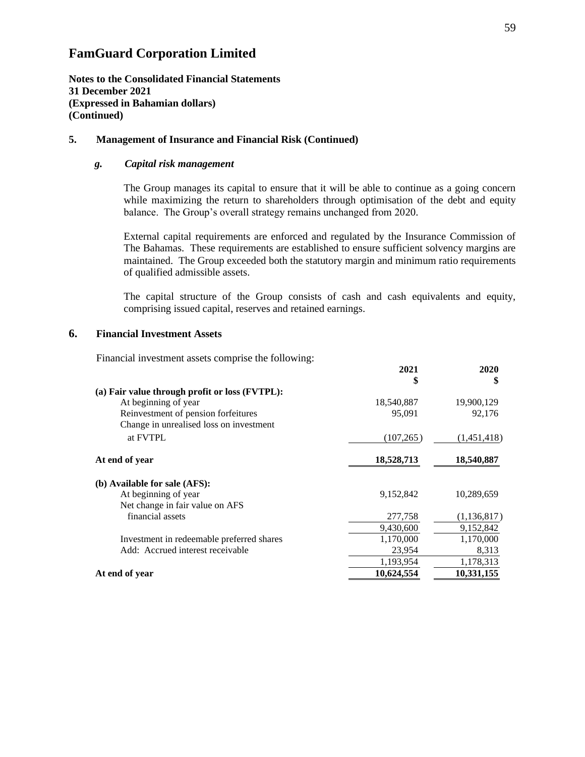**Notes to the Consolidated Financial Statements 31 December 2021 (Expressed in Bahamian dollars) (Continued)**

# **5. Management of Insurance and Financial Risk (Continued)**

### *g. Capital risk management*

The Group manages its capital to ensure that it will be able to continue as a going concern while maximizing the return to shareholders through optimisation of the debt and equity balance. The Group's overall strategy remains unchanged from 2020.

External capital requirements are enforced and regulated by the Insurance Commission of The Bahamas. These requirements are established to ensure sufficient solvency margins are maintained. The Group exceeded both the statutory margin and minimum ratio requirements of qualified admissible assets.

The capital structure of the Group consists of cash and cash equivalents and equity, comprising issued capital, reserves and retained earnings.

## **6. Financial Investment Assets**

Financial investment assets comprise the following:

|                                                | 2021       | 2020          |
|------------------------------------------------|------------|---------------|
|                                                | \$         | \$            |
| (a) Fair value through profit or loss (FVTPL): |            |               |
| At beginning of year                           | 18,540,887 | 19,900,129    |
| Reinvestment of pension forfeitures            | 95,091     | 92,176        |
| Change in unrealised loss on investment        |            |               |
| at FVTPL                                       | (107, 265) | (1,451,418)   |
| At end of year                                 | 18,528,713 | 18,540,887    |
| (b) Available for sale (AFS):                  |            |               |
| At beginning of year                           | 9,152,842  | 10,289,659    |
| Net change in fair value on AFS                |            |               |
| financial assets                               | 277,758    | (1, 136, 817) |
|                                                | 9,430,600  | 9,152,842     |
| Investment in redeemable preferred shares      | 1,170,000  | 1,170,000     |
| Add: Accrued interest receivable               | 23,954     | 8,313         |
|                                                | 1,193,954  | 1,178,313     |
| At end of year                                 | 10,624,554 | 10,331,155    |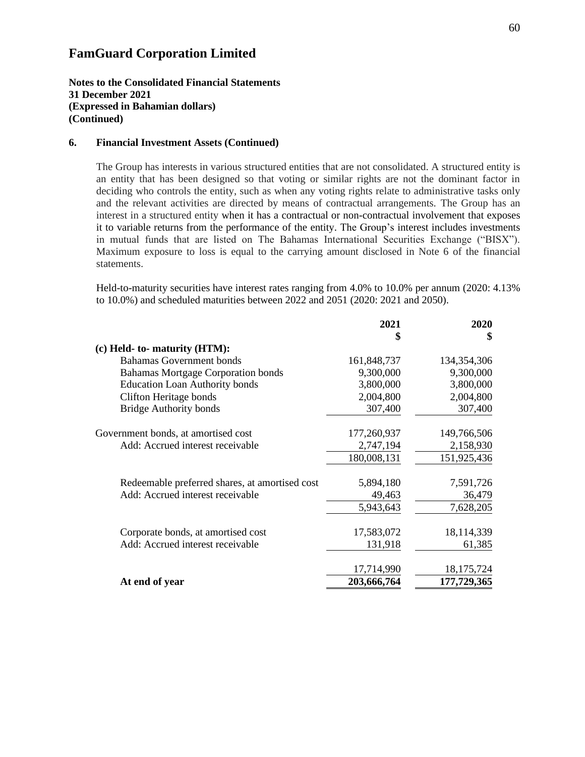# **Notes to the Consolidated Financial Statements 31 December 2021 (Expressed in Bahamian dollars) (Continued)**

### **6. Financial Investment Assets (Continued)**

The Group has interests in various structured entities that are not consolidated. A structured entity is an entity that has been designed so that voting or similar rights are not the dominant factor in deciding who controls the entity, such as when any voting rights relate to administrative tasks only and the relevant activities are directed by means of contractual arrangements. The Group has an interest in a structured entity when it has a contractual or non-contractual involvement that exposes it to variable returns from the performance of the entity. The Group's interest includes investments in mutual funds that are listed on The Bahamas International Securities Exchange ("BISX"). Maximum exposure to loss is equal to the carrying amount disclosed in Note 6 of the financial statements.

Held-to-maturity securities have interest rates ranging from 4.0% to 10.0% per annum (2020: 4.13% to 10.0%) and scheduled maturities between 2022 and 2051 (2020: 2021 and 2050).

|                                                | 2021        | 2020          |
|------------------------------------------------|-------------|---------------|
|                                                | \$          | \$            |
| (c) Held- to- maturity (HTM):                  |             |               |
| <b>Bahamas Government bonds</b>                | 161,848,737 | 134, 354, 306 |
| <b>Bahamas Mortgage Corporation bonds</b>      | 9,300,000   | 9,300,000     |
| <b>Education Loan Authority bonds</b>          | 3,800,000   | 3,800,000     |
| Clifton Heritage bonds                         | 2,004,800   | 2,004,800     |
| <b>Bridge Authority bonds</b>                  | 307,400     | 307,400       |
| Government bonds, at amortised cost            | 177,260,937 | 149,766,506   |
| Add: Accrued interest receivable               | 2,747,194   | 2,158,930     |
|                                                | 180,008,131 | 151,925,436   |
| Redeemable preferred shares, at amortised cost | 5,894,180   | 7,591,726     |
| Add: Accrued interest receivable               | 49,463      | 36,479        |
|                                                | 5,943,643   | 7,628,205     |
| Corporate bonds, at amortised cost             | 17,583,072  | 18,114,339    |
| Add: Accrued interest receivable               | 131,918     | 61,385        |
|                                                | 17,714,990  | 18,175,724    |
| At end of year                                 | 203,666,764 | 177,729,365   |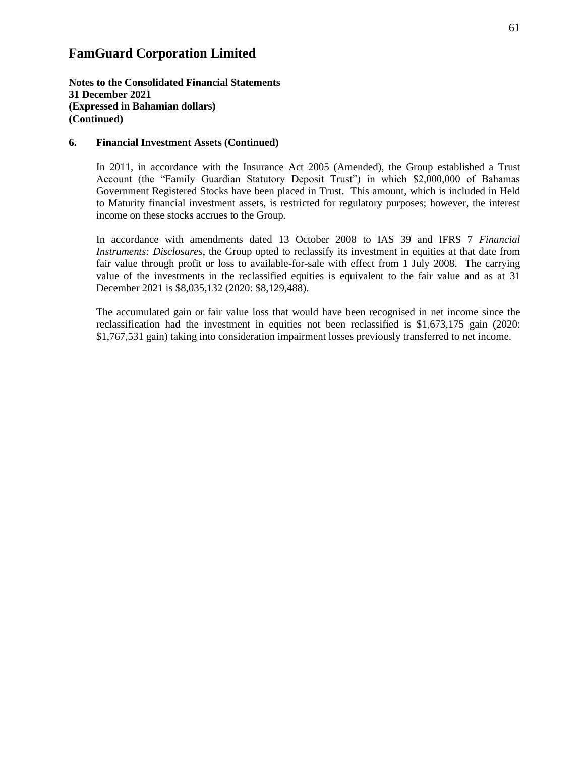**Notes to the Consolidated Financial Statements 31 December 2021 (Expressed in Bahamian dollars) (Continued)**

### **6. Financial Investment Assets (Continued)**

In 2011, in accordance with the Insurance Act 2005 (Amended), the Group established a Trust Account (the "Family Guardian Statutory Deposit Trust") in which \$2,000,000 of Bahamas Government Registered Stocks have been placed in Trust. This amount, which is included in Held to Maturity financial investment assets, is restricted for regulatory purposes; however, the interest income on these stocks accrues to the Group.

In accordance with amendments dated 13 October 2008 to IAS 39 and IFRS 7 *Financial Instruments: Disclosures*, the Group opted to reclassify its investment in equities at that date from fair value through profit or loss to available-for-sale with effect from 1 July 2008. The carrying value of the investments in the reclassified equities is equivalent to the fair value and as at 31 December 2021 is \$8,035,132 (2020: \$8,129,488).

The accumulated gain or fair value loss that would have been recognised in net income since the reclassification had the investment in equities not been reclassified is \$1,673,175 gain (2020: \$1,767,531 gain) taking into consideration impairment losses previously transferred to net income.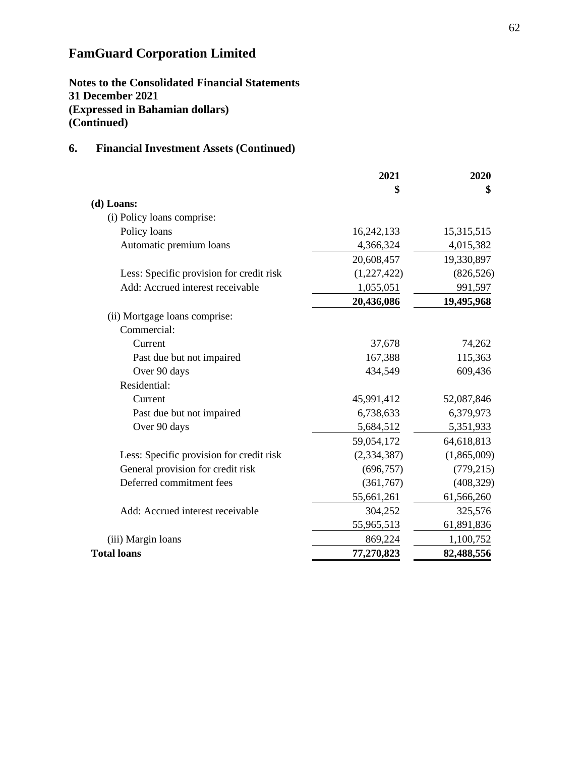**Notes to the Consolidated Financial Statements 31 December 2021 (Expressed in Bahamian dollars) (Continued)**

# **6. Financial Investment Assets (Continued)**

|                                          | 2021          | 2020        |
|------------------------------------------|---------------|-------------|
|                                          | \$            | \$          |
| $(d)$ Loans:                             |               |             |
| (i) Policy loans comprise:               |               |             |
| Policy loans                             | 16,242,133    | 15,315,515  |
| Automatic premium loans                  | 4,366,324     | 4,015,382   |
|                                          | 20,608,457    | 19,330,897  |
| Less: Specific provision for credit risk | (1,227,422)   | (826, 526)  |
| Add: Accrued interest receivable         | 1,055,051     | 991,597     |
|                                          | 20,436,086    | 19,495,968  |
| (ii) Mortgage loans comprise:            |               |             |
| Commercial:                              |               |             |
| Current                                  | 37,678        | 74,262      |
| Past due but not impaired                | 167,388       | 115,363     |
| Over 90 days                             | 434,549       | 609,436     |
| Residential:                             |               |             |
| Current                                  | 45,991,412    | 52,087,846  |
| Past due but not impaired                | 6,738,633     | 6,379,973   |
| Over 90 days                             | 5,684,512     | 5,351,933   |
|                                          | 59,054,172    | 64,618,813  |
| Less: Specific provision for credit risk | (2, 334, 387) | (1,865,009) |
| General provision for credit risk        | (696, 757)    | (779, 215)  |
| Deferred commitment fees                 | (361,767)     | (408, 329)  |
|                                          | 55,661,261    | 61,566,260  |
| Add: Accrued interest receivable         | 304,252       | 325,576     |
|                                          | 55,965,513    | 61,891,836  |
| (iii) Margin loans                       | 869,224       | 1,100,752   |
| <b>Total loans</b>                       | 77,270,823    | 82,488,556  |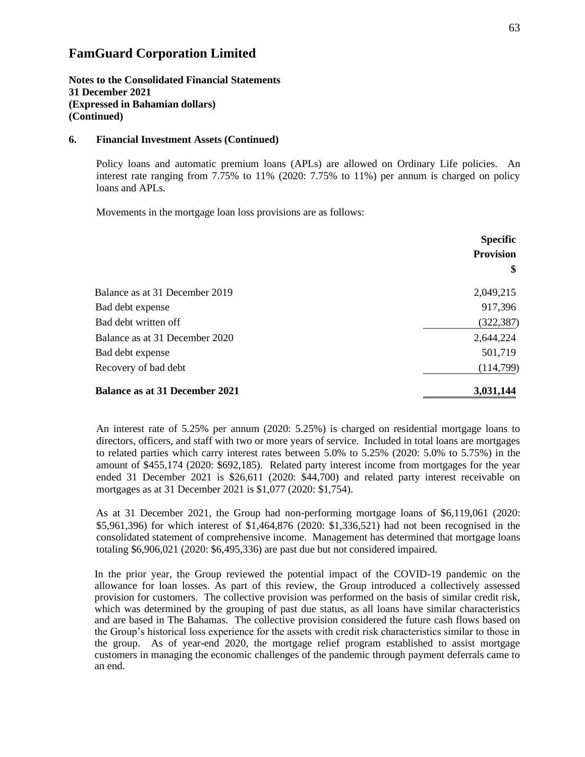**Notes to the Consolidated Financial Statements 31 December 2021 (Expressed in Bahamian dollars) (Continued)**

### **6. Financial Investment Assets (Continued)**

Policy loans and automatic premium loans (APLs) are allowed on Ordinary Life policies. An interest rate ranging from 7.75% to 11% (2020: 7.75% to 11%) per annum is charged on policy loans and APLs.

Movements in the mortgage loan loss provisions are as follows:

|                                       | <b>Specific</b>  |
|---------------------------------------|------------------|
|                                       | <b>Provision</b> |
|                                       | \$               |
| Balance as at 31 December 2019        | 2,049,215        |
| Bad debt expense                      | 917,396          |
| Bad debt written off                  | (322, 387)       |
| Balance as at 31 December 2020        | 2,644,224        |
| Bad debt expense                      | 501,719          |
| Recovery of bad debt                  | (114,799)        |
| <b>Balance as at 31 December 2021</b> | 3,031,144        |

An interest rate of 5.25% per annum (2020: 5.25%) is charged on residential mortgage loans to directors, officers, and staff with two or more years of service. Included in total loans are mortgages to related parties which carry interest rates between 5.0% to 5.25% (2020: 5.0% to 5.75%) in the amount of \$455,174 (2020: \$692,185). Related party interest income from mortgages for the year ended 31 December 2021 is \$26,611 (2020: \$44,700) and related party interest receivable on mortgages as at 31 December 2021 is \$1,077 (2020: \$1,754).

As at 31 December 2021, the Group had non-performing mortgage loans of \$6,119,061 (2020: \$5,961,396) for which interest of \$1,464,876 (2020: \$1,336,521) had not been recognised in the consolidated statement of comprehensive income. Management has determined that mortgage loans totaling \$6,906,021 (2020: \$6,495,336) are past due but not considered impaired.

In the prior year, the Group reviewed the potential impact of the COVID-19 pandemic on the allowance for loan losses. As part of this review, the Group introduced a collectively assessed provision for customers. The collective provision was performed on the basis of similar credit risk, which was determined by the grouping of past due status, as all loans have similar characteristics and are based in The Bahamas. The collective provision considered the future cash flows based on the Group's historical loss experience for the assets with credit risk characteristics similar to those in the group. As of year-end 2020, the mortgage relief program established to assist mortgage customers in managing the economic challenges of the pandemic through payment deferrals came to an end.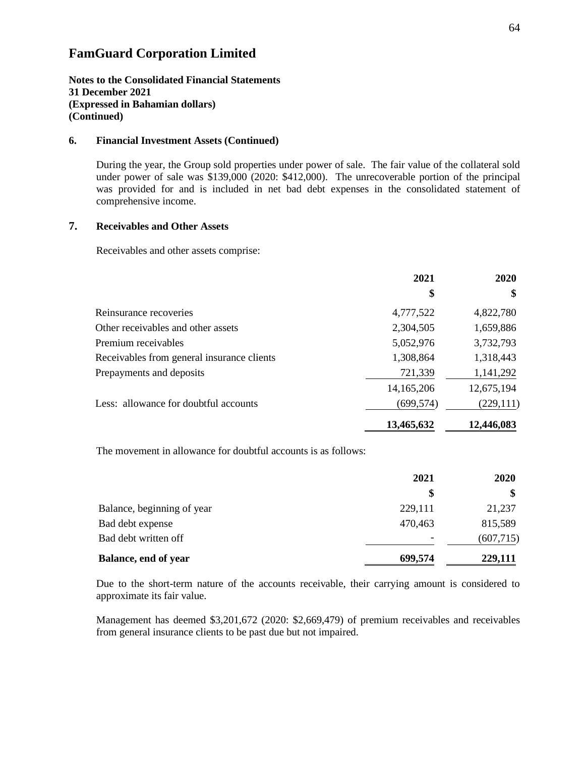**Notes to the Consolidated Financial Statements 31 December 2021 (Expressed in Bahamian dollars) (Continued)**

### **6. Financial Investment Assets (Continued)**

During the year, the Group sold properties under power of sale. The fair value of the collateral sold under power of sale was \$139,000 (2020: \$412,000). The unrecoverable portion of the principal was provided for and is included in net bad debt expenses in the consolidated statement of comprehensive income.

# **7. Receivables and Other Assets**

Receivables and other assets comprise:

|                                            | 2021         | 2020       |
|--------------------------------------------|--------------|------------|
|                                            | \$           | \$         |
| Reinsurance recoveries                     | 4,777,522    | 4,822,780  |
| Other receivables and other assets         | 2,304,505    | 1,659,886  |
| Premium receivables                        | 5,052,976    | 3,732,793  |
| Receivables from general insurance clients | 1,308,864    | 1,318,443  |
| Prepayments and deposits                   | 721,339      | 1,141,292  |
|                                            | 14, 165, 206 | 12,675,194 |
| Less: allowance for doubtful accounts      | (699, 574)   | (229, 111) |
|                                            | 13,465,632   | 12,446,083 |

The movement in allowance for doubtful accounts is as follows:

|                             | 2021    | <b>2020</b> |  |
|-----------------------------|---------|-------------|--|
|                             |         |             |  |
| Balance, beginning of year  | 229,111 | 21,237      |  |
| Bad debt expense            | 470,463 | 815,589     |  |
| Bad debt written off        | -       | (607, 715)  |  |
| <b>Balance, end of year</b> | 699,574 | 229,111     |  |

Due to the short-term nature of the accounts receivable, their carrying amount is considered to approximate its fair value.

Management has deemed \$3,201,672 (2020: \$2,669,479) of premium receivables and receivables from general insurance clients to be past due but not impaired.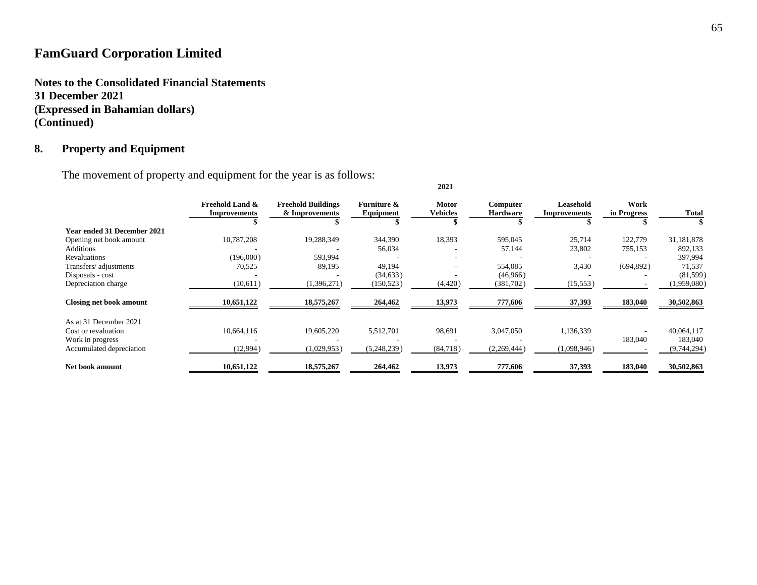**Notes to the Consolidated Financial Statements 31 December 2021 (Expressed in Bahamian dollars) (Continued)**

# **8. Property and Equipment**

The movement of property and equipment for the year is as follows:

|                                | <b>Freehold Land &amp;</b><br>Improvements | <b>Freehold Buildings</b><br>& Improvements | <b>Furniture &amp;</b><br>Equipment | <b>Motor</b><br>Vehicles | Computer<br>Hardware | Leasehold<br>Improvements | Work<br>in Progress | Total       |
|--------------------------------|--------------------------------------------|---------------------------------------------|-------------------------------------|--------------------------|----------------------|---------------------------|---------------------|-------------|
|                                |                                            |                                             |                                     |                          |                      |                           |                     |             |
| Year ended 31 December 2021    |                                            |                                             |                                     |                          |                      |                           |                     |             |
| Opening net book amount        | 10,787,208                                 | 19,288,349                                  | 344,390                             | 18,393                   | 595,045              | 25,714                    | 122,779             | 31,181,878  |
| Additions                      |                                            |                                             | 56,034                              |                          | 57,144               | 23,802                    | 755,153             | 892,133     |
| <b>Revaluations</b>            | (196,000)                                  | 593,994                                     |                                     |                          |                      |                           |                     | 397,994     |
| Transfers/adjustments          | 70,525                                     | 89,195                                      | 49,194                              |                          | 554,085              | 3,430                     | (694,892)           | 71,537      |
| Disposals - cost               |                                            |                                             | (34, 633)                           |                          | (46,966)             |                           |                     | (81, 599)   |
| Depreciation charge            | (10,611)                                   | (1,396,271)                                 | (150, 523)                          | (4,420)                  | (381,702)            | (15, 553)                 |                     | (1,959,080) |
| <b>Closing net book amount</b> | 10,651,122                                 | 18,575,267                                  | 264,462                             | 13,973                   | 777,606              | 37,393                    | 183,040             | 30,502,863  |
| As at 31 December 2021         |                                            |                                             |                                     |                          |                      |                           |                     |             |
| Cost or revaluation            | 10,664,116                                 | 19,605,220                                  | 5,512,701                           | 98,691                   | 3,047,050            | 1,136,339                 |                     | 40,064,117  |
| Work in progress               |                                            |                                             |                                     |                          |                      |                           | 183,040             | 183,040     |
| Accumulated depreciation       | (12,994)                                   | (1,029,953)                                 | (5,248,239)                         | (84,718)                 | (2,269,444)          | (1,098,946)               |                     | (9,744,294) |
| Net book amount                | 10,651,122                                 | 18,575,267                                  | 264,462                             | 13,973                   | 777,606              | 37,393                    | 183,040             | 30,502,863  |

**2021**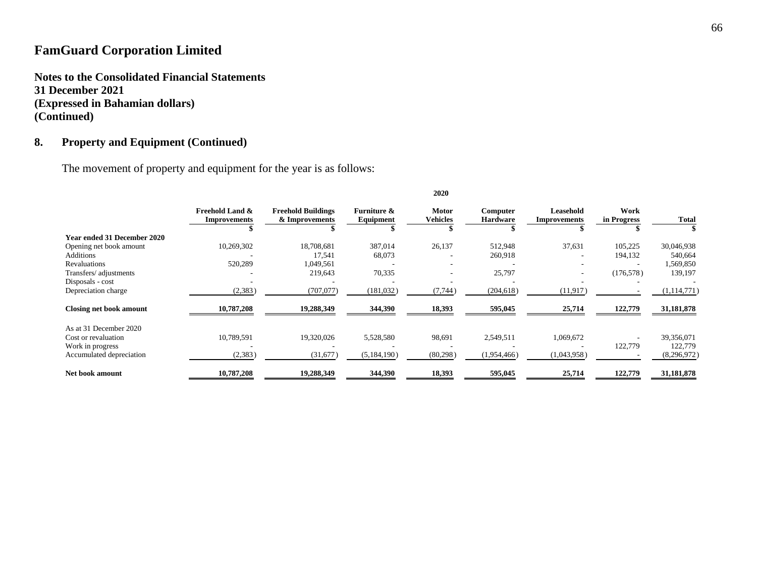**Notes to the Consolidated Financial Statements 31 December 2021 (Expressed in Bahamian dollars) (Continued)**

# **8. Property and Equipment (Continued)**

The movement of property and equipment for the year is as follows:

|                                | 2020                                   |                                             |                                     |                          |                             |                                  |                     |               |
|--------------------------------|----------------------------------------|---------------------------------------------|-------------------------------------|--------------------------|-----------------------------|----------------------------------|---------------------|---------------|
|                                | Freehold Land &<br><b>Improvements</b> | <b>Freehold Buildings</b><br>& Improvements | <b>Furniture &amp;</b><br>Equipment | <b>Motor</b><br>Vehicles | Computer<br><b>Hardware</b> | Leasehold<br><b>Improvements</b> | Work<br>in Progress | Total         |
|                                |                                        |                                             |                                     |                          |                             |                                  |                     |               |
| Year ended 31 December 2020    |                                        |                                             |                                     |                          |                             |                                  |                     |               |
| Opening net book amount        | 10,269,302                             | 18,708,681                                  | 387,014                             | 26,137                   | 512,948                     | 37,631                           | 105,225             | 30,046,938    |
| Additions                      |                                        | 17,541                                      | 68,073                              |                          | 260,918                     |                                  | 194,132             | 540,664       |
| <b>Revaluations</b>            | 520,289                                | 1,049,561                                   |                                     |                          |                             |                                  |                     | 1,569,850     |
| Transfers/adjustments          |                                        | 219,643                                     | 70,335                              |                          | 25,797                      |                                  | (176, 578)          | 139,197       |
| Disposals - cost               |                                        |                                             |                                     |                          |                             |                                  |                     |               |
| Depreciation charge            | (2,383)                                | (707, 077)                                  | (181, 032)                          | (7,744)                  | (204, 618)                  | (11, 917)                        |                     | (1, 114, 771) |
| <b>Closing net book amount</b> | 10,787,208                             | 19,288,349                                  | 344,390                             | 18,393                   | 595,045                     | 25,714                           | 122,779             | 31, 181, 878  |
| As at 31 December 2020         |                                        |                                             |                                     |                          |                             |                                  |                     |               |
| Cost or revaluation            | 10,789,591                             | 19,320,026                                  | 5,528,580                           | 98,691                   | 2,549,511                   | 1,069,672                        |                     | 39,356,071    |
| Work in progress               |                                        |                                             |                                     |                          |                             |                                  | 122,779             | 122,779       |
| Accumulated depreciation       | (2,383)                                | (31,677)                                    | (5, 184, 190)                       | (80,298)                 | (1,954,466)                 | (1,043,958)                      |                     | (8,296,972)   |
| <b>Net book amount</b>         | 10,787,208                             | 19,288,349                                  | 344,390                             | 18,393                   | 595,045                     | 25,714                           | 122,779             | 31,181,878    |

66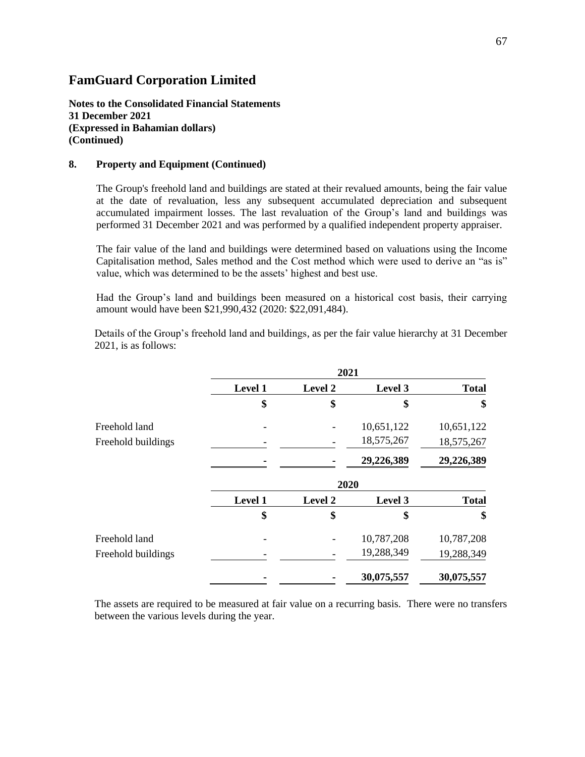**Notes to the Consolidated Financial Statements 31 December 2021 (Expressed in Bahamian dollars) (Continued)**

#### **8. Property and Equipment (Continued)**

The Group's freehold land and buildings are stated at their revalued amounts, being the fair value at the date of revaluation, less any subsequent accumulated depreciation and subsequent accumulated impairment losses. The last revaluation of the Group's land and buildings was performed 31 December 2021 and was performed by a qualified independent property appraiser.

The fair value of the land and buildings were determined based on valuations using the Income Capitalisation method, Sales method and the Cost method which were used to derive an "as is" value, which was determined to be the assets' highest and best use.

Had the Group's land and buildings been measured on a historical cost basis, their carrying amount would have been \$21,990,432 (2020: \$22,091,484).

Details of the Group's freehold land and buildings, as per the fair value hierarchy at 31 December 2021, is as follows:

|                    | 2021    |         |            |              |  |  |
|--------------------|---------|---------|------------|--------------|--|--|
|                    | Level 1 | Level 2 | Level 3    | <b>Total</b> |  |  |
|                    | \$      | \$      | \$         | \$           |  |  |
| Freehold land      |         |         | 10,651,122 | 10,651,122   |  |  |
| Freehold buildings |         |         | 18,575,267 | 18,575,267   |  |  |
|                    |         |         | 29,226,389 | 29,226,389   |  |  |
|                    | 2020    |         |            |              |  |  |
|                    | Level 1 | Level 2 | Level 3    | <b>Total</b> |  |  |
|                    | \$      | \$      | \$         | \$           |  |  |
| Freehold land      |         |         | 10,787,208 | 10,787,208   |  |  |
| Freehold buildings |         |         | 19,288,349 | 19,288,349   |  |  |
|                    |         |         | 30,075,557 | 30,075,557   |  |  |

The assets are required to be measured at fair value on a recurring basis. There were no transfers between the various levels during the year.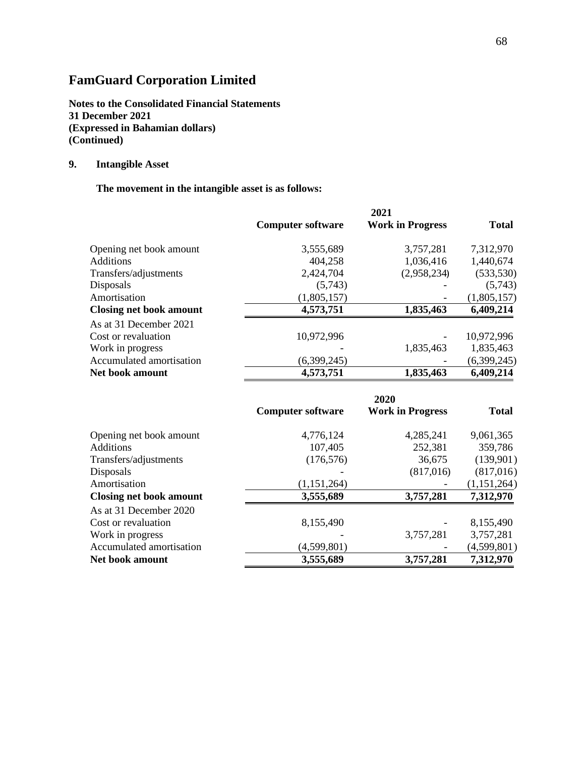**Notes to the Consolidated Financial Statements 31 December 2021 (Expressed in Bahamian dollars) (Continued)**

# **9. Intangible Asset**

**The movement in the intangible asset is as follows:**

|                                | 2021                     |                         |              |
|--------------------------------|--------------------------|-------------------------|--------------|
|                                | <b>Computer software</b> | <b>Work in Progress</b> | <b>Total</b> |
| Opening net book amount        | 3,555,689                | 3,757,281               | 7,312,970    |
| <b>Additions</b>               | 404,258                  | 1,036,416               | 1,440,674    |
| Transfers/adjustments          | 2,424,704                | (2,958,234)             | (533, 530)   |
| Disposals                      | (5,743)                  |                         | (5,743)      |
| Amortisation                   | (1,805,157)              |                         | (1,805,157)  |
| <b>Closing net book amount</b> | 4,573,751                | 1,835,463               | 6,409,214    |
| As at 31 December 2021         |                          |                         |              |
| Cost or revaluation            | 10,972,996               |                         | 10,972,996   |
| Work in progress               |                          | 1,835,463               | 1,835,463    |
| Accumulated amortisation       | (6,399,245)              |                         | (6,399,245)  |
| Net book amount                | 4,573,751                | 1,835,463               | 6,409,214    |
|                                |                          | <b>2020</b>             |              |

|                                |                          | ZUZU                    |               |
|--------------------------------|--------------------------|-------------------------|---------------|
|                                | <b>Computer software</b> | <b>Work in Progress</b> | <b>Total</b>  |
| Opening net book amount        | 4,776,124                | 4,285,241               | 9,061,365     |
| <b>Additions</b>               | 107,405                  | 252,381                 | 359,786       |
| Transfers/adjustments          | (176, 576)               | 36,675                  | (139,901)     |
| Disposals                      |                          | (817,016)               | (817,016)     |
| Amortisation                   | (1,151,264)              |                         | (1, 151, 264) |
| <b>Closing net book amount</b> | 3,555,689                | 3,757,281               | 7,312,970     |
| As at 31 December 2020         |                          |                         |               |
| Cost or revaluation            | 8,155,490                |                         | 8,155,490     |
| Work in progress               |                          | 3,757,281               | 3,757,281     |
| Accumulated amortisation       | (4,599,801)              |                         | (4,599,801)   |
| Net book amount                | 3,555,689                | 3,757,281               | 7,312,970     |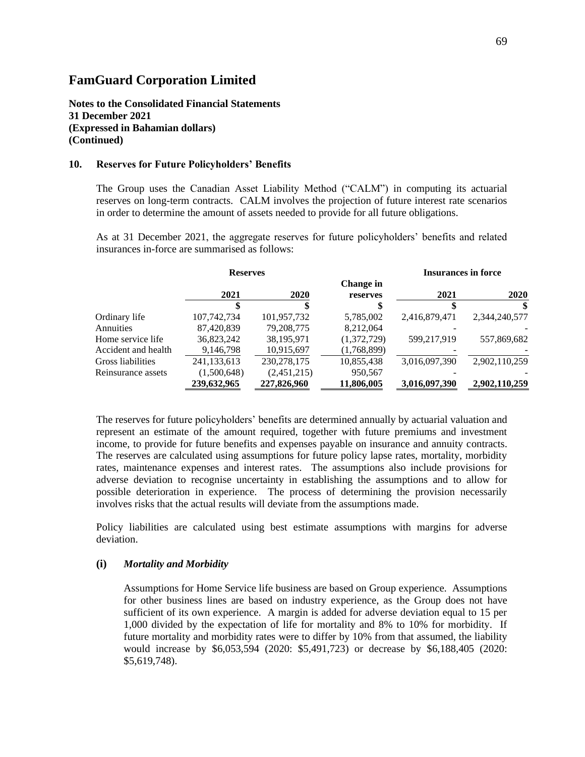**Notes to the Consolidated Financial Statements 31 December 2021 (Expressed in Bahamian dollars) (Continued)**

#### **10. Reserves for Future Policyholders' Benefits**

The Group uses the Canadian Asset Liability Method ("CALM") in computing its actuarial reserves on long-term contracts. CALM involves the projection of future interest rate scenarios in order to determine the amount of assets needed to provide for all future obligations.

As at 31 December 2021, the aggregate reserves for future policyholders' benefits and related insurances in-force are summarised as follows:

|                     | <b>Reserves</b> |               |                       | <b>Insurances in force</b> |               |  |
|---------------------|-----------------|---------------|-----------------------|----------------------------|---------------|--|
|                     | 2021            | 2020          | Change in<br>reserves | 2021                       | 2020          |  |
|                     |                 |               |                       |                            |               |  |
| Ordinary life       | 107,742,734     | 101,957,732   | 5,785,002             | 2,416,879,471              | 2,344,240,577 |  |
| Annuities           | 87,420,839      | 79,208,775    | 8,212,064             |                            |               |  |
| Home service life   | 36,823,242      | 38,195,971    | (1,372,729)           | 599.217.919                | 557,869,682   |  |
| Accident and health | 9,146,798       | 10,915,697    | (1,768,899)           |                            |               |  |
| Gross liabilities   | 241,133,613     | 230, 278, 175 | 10,855,438            | 3,016,097,390              | 2,902,110,259 |  |
| Reinsurance assets  | (1,500,648)     | (2,451,215)   | 950,567               |                            |               |  |
|                     | 239,632,965     | 227,826,960   | 11,806,005            | 3,016,097,390              | 2,902,110,259 |  |

The reserves for future policyholders' benefits are determined annually by actuarial valuation and represent an estimate of the amount required, together with future premiums and investment income, to provide for future benefits and expenses payable on insurance and annuity contracts. The reserves are calculated using assumptions for future policy lapse rates, mortality, morbidity rates, maintenance expenses and interest rates. The assumptions also include provisions for adverse deviation to recognise uncertainty in establishing the assumptions and to allow for possible deterioration in experience. The process of determining the provision necessarily involves risks that the actual results will deviate from the assumptions made.

Policy liabilities are calculated using best estimate assumptions with margins for adverse deviation.

### **(i)** *Mortality and Morbidity*

Assumptions for Home Service life business are based on Group experience. Assumptions for other business lines are based on industry experience, as the Group does not have sufficient of its own experience. A margin is added for adverse deviation equal to 15 per 1,000 divided by the expectation of life for mortality and 8% to 10% for morbidity. If future mortality and morbidity rates were to differ by 10% from that assumed, the liability would increase by \$6,053,594 (2020: \$5,491,723) or decrease by \$6,188,405 (2020: \$5,619,748).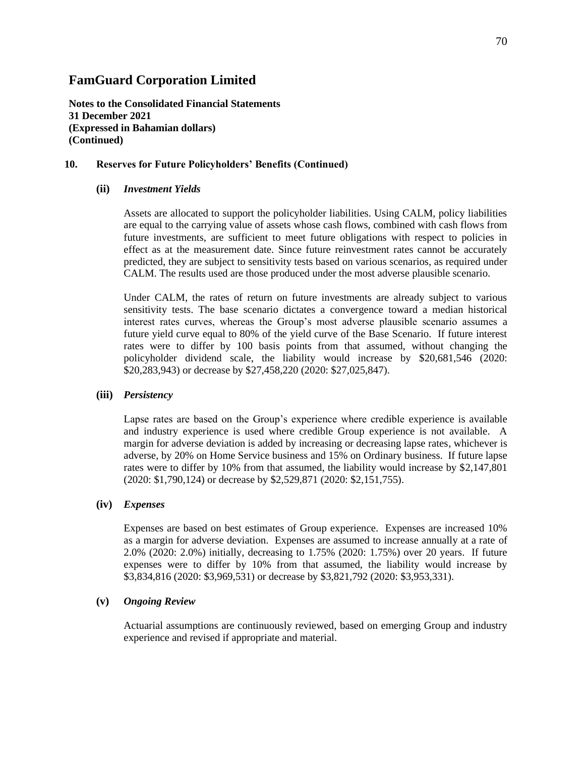**Notes to the Consolidated Financial Statements 31 December 2021 (Expressed in Bahamian dollars) (Continued)**

### **10. Reserves for Future Policyholders' Benefits (Continued)**

### **(ii)** *Investment Yields*

Assets are allocated to support the policyholder liabilities. Using CALM, policy liabilities are equal to the carrying value of assets whose cash flows, combined with cash flows from future investments, are sufficient to meet future obligations with respect to policies in effect as at the measurement date. Since future reinvestment rates cannot be accurately predicted, they are subject to sensitivity tests based on various scenarios, as required under CALM. The results used are those produced under the most adverse plausible scenario.

Under CALM, the rates of return on future investments are already subject to various sensitivity tests. The base scenario dictates a convergence toward a median historical interest rates curves, whereas the Group's most adverse plausible scenario assumes a future yield curve equal to 80% of the yield curve of the Base Scenario. If future interest rates were to differ by 100 basis points from that assumed, without changing the policyholder dividend scale, the liability would increase by \$20,681,546 (2020: \$20,283,943) or decrease by \$27,458,220 (2020: \$27,025,847).

### **(iii)** *Persistency*

Lapse rates are based on the Group's experience where credible experience is available and industry experience is used where credible Group experience is not available. A margin for adverse deviation is added by increasing or decreasing lapse rates, whichever is adverse, by 20% on Home Service business and 15% on Ordinary business. If future lapse rates were to differ by 10% from that assumed, the liability would increase by \$2,147,801 (2020: \$1,790,124) or decrease by \$2,529,871 (2020: \$2,151,755).

### **(iv)** *Expenses*

Expenses are based on best estimates of Group experience. Expenses are increased 10% as a margin for adverse deviation. Expenses are assumed to increase annually at a rate of 2.0% (2020: 2.0%) initially, decreasing to 1.75% (2020: 1.75%) over 20 years. If future expenses were to differ by 10% from that assumed, the liability would increase by \$3,834,816 (2020: \$3,969,531) or decrease by \$3,821,792 (2020: \$3,953,331).

### **(v)** *Ongoing Review*

Actuarial assumptions are continuously reviewed, based on emerging Group and industry experience and revised if appropriate and material.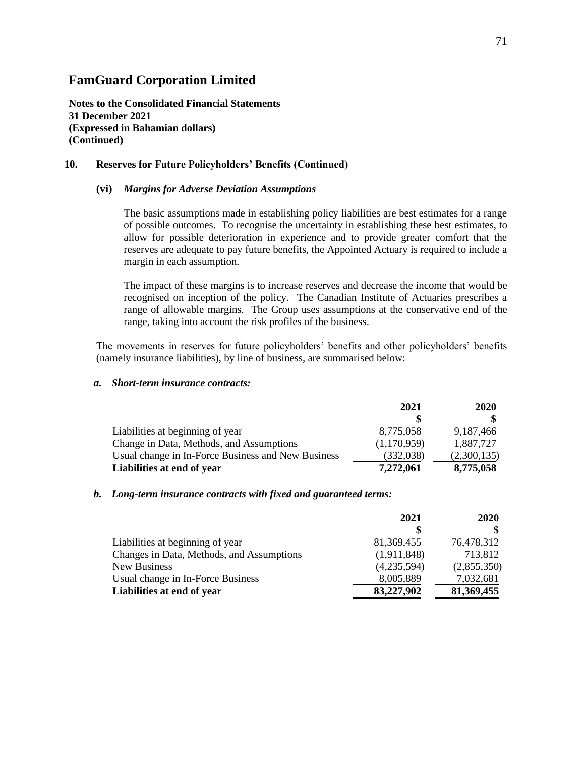**Notes to the Consolidated Financial Statements 31 December 2021 (Expressed in Bahamian dollars) (Continued)**

#### **10. Reserves for Future Policyholders' Benefits (Continued)**

#### **(vi)** *Margins for Adverse Deviation Assumptions*

The basic assumptions made in establishing policy liabilities are best estimates for a range of possible outcomes. To recognise the uncertainty in establishing these best estimates, to allow for possible deterioration in experience and to provide greater comfort that the reserves are adequate to pay future benefits, the Appointed Actuary is required to include a margin in each assumption.

The impact of these margins is to increase reserves and decrease the income that would be recognised on inception of the policy. The Canadian Institute of Actuaries prescribes a range of allowable margins. The Group uses assumptions at the conservative end of the range, taking into account the risk profiles of the business.

The movements in reserves for future policyholders' benefits and other policyholders' benefits (namely insurance liabilities), by line of business, are summarised below:

#### *a. Short-term insurance contracts:*

|                                                    | 2021        | 2020        |
|----------------------------------------------------|-------------|-------------|
|                                                    |             |             |
| Liabilities at beginning of year                   | 8,775,058   | 9,187,466   |
| Change in Data, Methods, and Assumptions           | (1,170,959) | 1,887,727   |
| Usual change in In-Force Business and New Business | (332,038)   | (2,300,135) |
| Liabilities at end of year                         | 7,272,061   | 8,775,058   |

#### *b. Long-term insurance contracts with fixed and guaranteed terms:*

|                                           | 2021        | 2020        |
|-------------------------------------------|-------------|-------------|
|                                           |             |             |
| Liabilities at beginning of year          | 81,369,455  | 76,478,312  |
| Changes in Data, Methods, and Assumptions | (1,911,848) | 713,812     |
| New Business                              | (4,235,594) | (2,855,350) |
| Usual change in In-Force Business         | 8,005,889   | 7,032,681   |
| Liabilities at end of year                | 83,227,902  | 81,369,455  |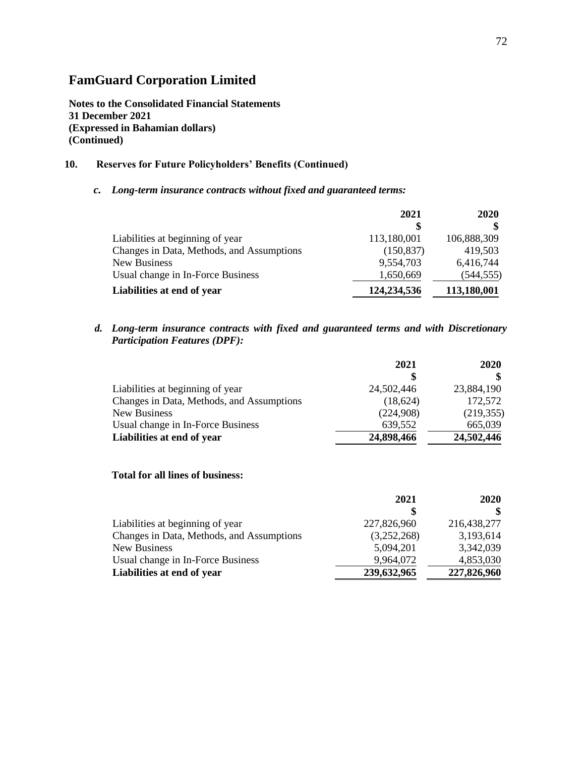**Notes to the Consolidated Financial Statements 31 December 2021 (Expressed in Bahamian dollars) (Continued)**

### **10. Reserves for Future Policyholders' Benefits (Continued)**

### *c. Long-term insurance contracts without fixed and guaranteed terms:*

|                                           | 2021        | 2020        |
|-------------------------------------------|-------------|-------------|
|                                           | S           |             |
| Liabilities at beginning of year          | 113,180,001 | 106,888,309 |
| Changes in Data, Methods, and Assumptions | (150, 837)  | 419,503     |
| New Business                              | 9,554,703   | 6,416,744   |
| Usual change in In-Force Business         | 1,650,669   | (544, 555)  |
| Liabilities at end of year                | 124,234,536 | 113,180,001 |

### *d. Long-term insurance contracts with fixed and guaranteed terms and with Discretionary Participation Features (DPF):*

|                                           | 2021       | <b>2020</b> |
|-------------------------------------------|------------|-------------|
|                                           |            |             |
| Liabilities at beginning of year          | 24,502,446 | 23,884,190  |
| Changes in Data, Methods, and Assumptions | (18,624)   | 172,572     |
| New Business                              | (224,908)  | (219, 355)  |
| Usual change in In-Force Business         | 639,552    | 665,039     |
| Liabilities at end of year                | 24,898,466 | 24,502,446  |

#### **Total for all lines of business:**

|                                           | 2021        | 2020        |
|-------------------------------------------|-------------|-------------|
|                                           |             |             |
| Liabilities at beginning of year          | 227,826,960 | 216,438,277 |
| Changes in Data, Methods, and Assumptions | (3,252,268) | 3,193,614   |
| New Business                              | 5,094,201   | 3,342,039   |
| Usual change in In-Force Business         | 9,964,072   | 4,853,030   |
| Liabilities at end of year                | 239,632,965 | 227,826,960 |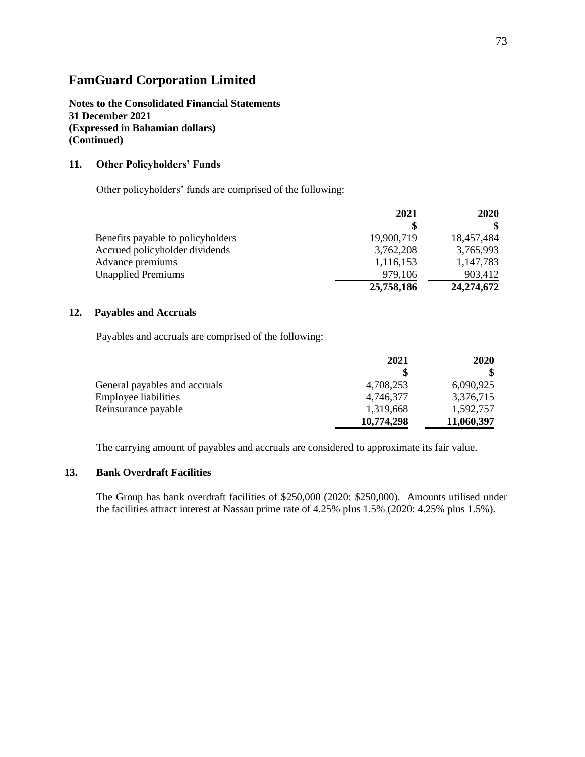**Notes to the Consolidated Financial Statements 31 December 2021 (Expressed in Bahamian dollars) (Continued)**

#### **11. Other Policyholders' Funds**

Other policyholders' funds are comprised of the following:

|                                   | 2021       | 2020       |
|-----------------------------------|------------|------------|
|                                   |            |            |
| Benefits payable to policyholders | 19,900,719 | 18,457,484 |
| Accrued policyholder dividends    | 3,762,208  | 3,765,993  |
| Advance premiums                  | 1,116,153  | 1,147,783  |
| <b>Unapplied Premiums</b>         | 979,106    | 903,412    |
|                                   | 25,758,186 | 24,274,672 |

### **12. Payables and Accruals**

Payables and accruals are comprised of the following:

|                               | 2021       | 2020       |
|-------------------------------|------------|------------|
|                               |            |            |
| General payables and accruals | 4,708,253  | 6,090,925  |
| <b>Employee liabilities</b>   | 4,746,377  | 3,376,715  |
| Reinsurance payable           | 1,319,668  | 1,592,757  |
|                               | 10,774,298 | 11,060,397 |

The carrying amount of payables and accruals are considered to approximate its fair value.

#### **13. Bank Overdraft Facilities**

The Group has bank overdraft facilities of \$250,000 (2020: \$250,000). Amounts utilised under the facilities attract interest at Nassau prime rate of 4.25% plus 1.5% (2020: 4.25% plus 1.5%).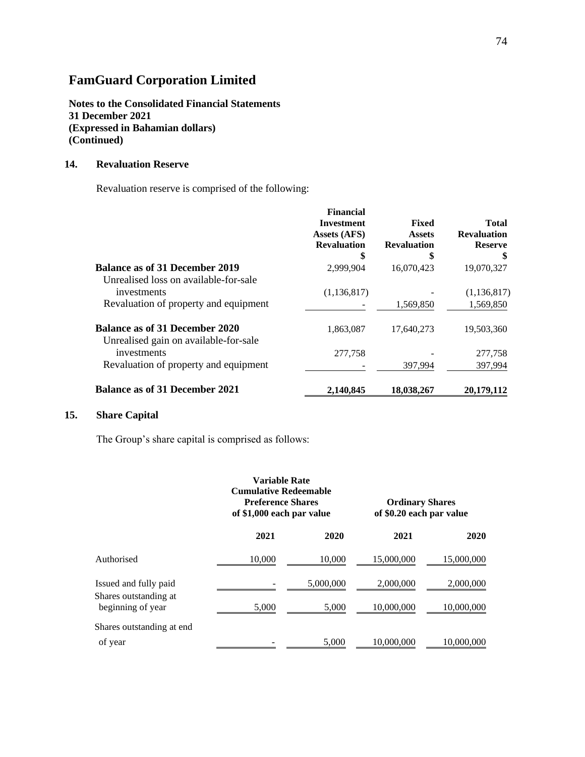**Notes to the Consolidated Financial Statements 31 December 2021 (Expressed in Bahamian dollars) (Continued)**

### **14. Revaluation Reserve**

Revaluation reserve is comprised of the following:

|                                                                                | <b>Financial</b><br><b>Investment</b><br>Assets (AFS)<br><b>Revaluation</b><br>\$ | Fixed<br><b>Assets</b><br><b>Revaluation</b><br>\$ | <b>Total</b><br><b>Revaluation</b><br><b>Reserve</b><br>S |
|--------------------------------------------------------------------------------|-----------------------------------------------------------------------------------|----------------------------------------------------|-----------------------------------------------------------|
| <b>Balance as of 31 December 2019</b>                                          | 2,999,904                                                                         | 16,070,423                                         | 19,070,327                                                |
| Unrealised loss on available-for-sale                                          |                                                                                   |                                                    |                                                           |
| investments                                                                    | (1,136,817)                                                                       |                                                    | (1, 136, 817)                                             |
| Revaluation of property and equipment                                          |                                                                                   | 1,569,850                                          | 1,569,850                                                 |
| <b>Balance as of 31 December 2020</b><br>Unrealised gain on available-for-sale | 1,863,087                                                                         | 17,640,273                                         | 19,503,360                                                |
| investments                                                                    | 277,758                                                                           |                                                    | 277,758                                                   |
| Revaluation of property and equipment                                          |                                                                                   | 397,994                                            | 397,994                                                   |
| <b>Balance as of 31 December 2021</b>                                          | 2,140,845                                                                         | 18,038,267                                         | 20,179,112                                                |

### **15. Share Capital**

The Group's share capital is comprised as follows:

|                                                | <b>Variable Rate</b><br><b>Cumulative Redeemable</b><br><b>Preference Shares</b><br>of \$1,000 each par value |           |            | <b>Ordinary Shares</b><br>of \$0.20 each par value |
|------------------------------------------------|---------------------------------------------------------------------------------------------------------------|-----------|------------|----------------------------------------------------|
|                                                | 2021                                                                                                          | 2020      | 2021       | 2020                                               |
| Authorised                                     | 10,000                                                                                                        | 10,000    | 15,000,000 | 15,000,000                                         |
| Issued and fully paid<br>Shares outstanding at |                                                                                                               | 5,000,000 | 2,000,000  | 2,000,000                                          |
| beginning of year                              | 5,000                                                                                                         | 5,000     | 10,000,000 | 10,000,000                                         |
| Shares outstanding at end                      |                                                                                                               |           |            |                                                    |
| of year                                        |                                                                                                               | 5,000     | 10,000,000 | 10,000,000                                         |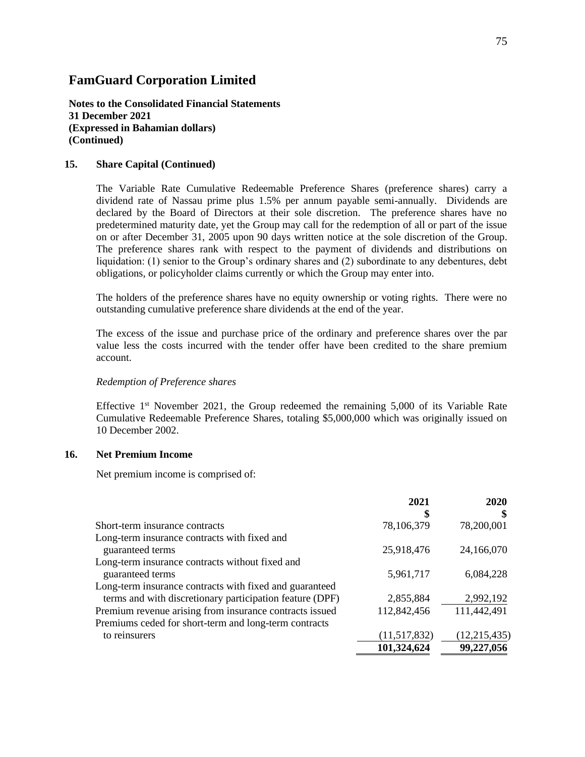**Notes to the Consolidated Financial Statements 31 December 2021 (Expressed in Bahamian dollars) (Continued)**

#### **15. Share Capital (Continued)**

The Variable Rate Cumulative Redeemable Preference Shares (preference shares) carry a dividend rate of Nassau prime plus 1.5% per annum payable semi-annually. Dividends are declared by the Board of Directors at their sole discretion. The preference shares have no predetermined maturity date, yet the Group may call for the redemption of all or part of the issue on or after December 31, 2005 upon 90 days written notice at the sole discretion of the Group. The preference shares rank with respect to the payment of dividends and distributions on liquidation: (1) senior to the Group's ordinary shares and (2) subordinate to any debentures, debt obligations, or policyholder claims currently or which the Group may enter into.

The holders of the preference shares have no equity ownership or voting rights. There were no outstanding cumulative preference share dividends at the end of the year.

The excess of the issue and purchase price of the ordinary and preference shares over the par value less the costs incurred with the tender offer have been credited to the share premium account.

#### *Redemption of Preference shares*

Effective  $1<sup>st</sup>$  November 2021, the Group redeemed the remaining 5,000 of its Variable Rate Cumulative Redeemable Preference Shares, totaling \$5,000,000 which was originally issued on 10 December 2002.

#### **16. Net Premium Income**

Net premium income is comprised of:

|                                                          | 2021         | 2020           |
|----------------------------------------------------------|--------------|----------------|
|                                                          |              |                |
| Short-term insurance contracts                           | 78,106,379   | 78,200,001     |
| Long-term insurance contracts with fixed and             |              |                |
| guaranteed terms                                         | 25,918,476   | 24,166,070     |
| Long-term insurance contracts without fixed and          |              |                |
| guaranteed terms                                         | 5,961,717    | 6,084,228      |
| Long-term insurance contracts with fixed and guaranteed  |              |                |
| terms and with discretionary participation feature (DPF) | 2,855,884    | 2,992,192      |
| Premium revenue arising from insurance contracts issued  | 112,842,456  | 111,442,491    |
| Premiums ceded for short-term and long-term contracts    |              |                |
| to reinsurers                                            | (11,517,832) | (12, 215, 435) |
|                                                          | 101,324,624  | 99,227,056     |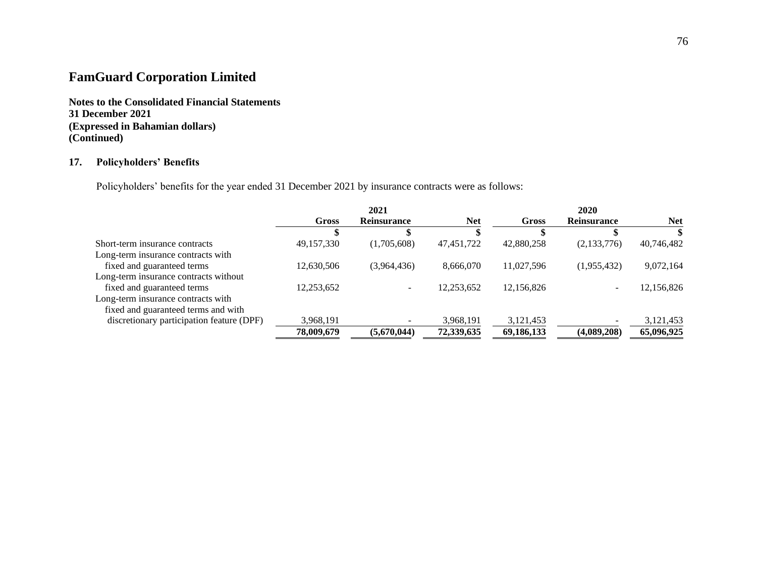**Notes to the Consolidated Financial Statements 31 December 2021 (Expressed in Bahamian dollars) (Continued)**

### **17. Policyholders' Benefits**

Policyholders' benefits for the year ended 31 December 2021 by insurance contracts were as follows:

|                                           |            | 2021               |              |            | 2020               |            |
|-------------------------------------------|------------|--------------------|--------------|------------|--------------------|------------|
|                                           | Gross      | <b>Reinsurance</b> | <b>Net</b>   | Gross      | <b>Reinsurance</b> | <b>Net</b> |
|                                           |            |                    |              |            |                    |            |
| Short-term insurance contracts            | 49,157,330 | (1,705,608)        | 47, 451, 722 | 42,880,258 | (2,133,776)        | 40,746,482 |
| Long-term insurance contracts with        |            |                    |              |            |                    |            |
| fixed and guaranteed terms                | 12,630,506 | (3,964,436)        | 8,666,070    | 11,027,596 | (1,955,432)        | 9,072,164  |
| Long-term insurance contracts without     |            |                    |              |            |                    |            |
| fixed and guaranteed terms                | 12,253,652 |                    | 12,253,652   | 12,156,826 |                    | 12,156,826 |
| Long-term insurance contracts with        |            |                    |              |            |                    |            |
| fixed and guaranteed terms and with       |            |                    |              |            |                    |            |
| discretionary participation feature (DPF) | 3,968,191  |                    | 3,968,191    | 3,121,453  |                    | 3,121,453  |
|                                           | 78,009,679 | (5,670,044)        | 72,339,635   | 69,186,133 | (4,089,208)        | 65,096,925 |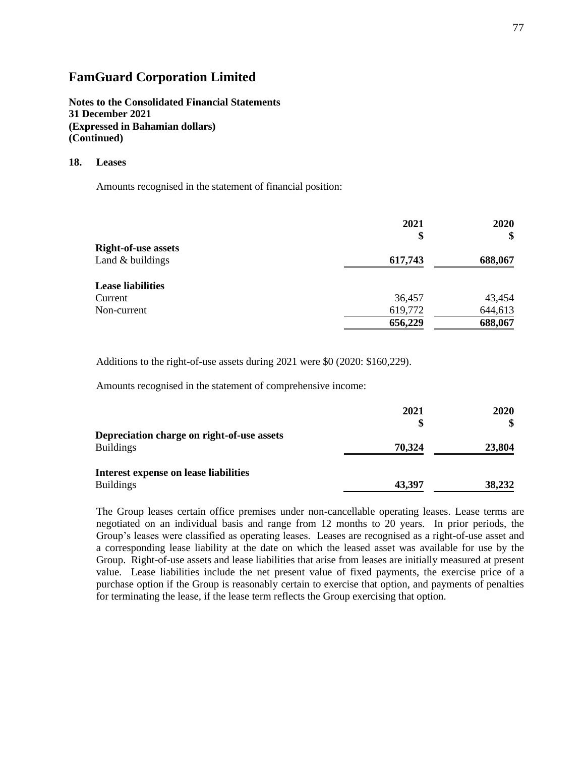**Notes to the Consolidated Financial Statements 31 December 2021 (Expressed in Bahamian dollars) (Continued)**

### **18. Leases**

Amounts recognised in the statement of financial position:

|                            | 2021    | 2020    |
|----------------------------|---------|---------|
| <b>Right-of-use assets</b> | \$      | \$      |
| Land & buildings           | 617,743 | 688,067 |
| <b>Lease liabilities</b>   |         |         |
| Current                    | 36,457  | 43,454  |
| Non-current                | 619,772 | 644,613 |
|                            | 656,229 | 688,067 |

Additions to the right-of-use assets during 2021 were \$0 (2020: \$160,229).

Amounts recognised in the statement of comprehensive income:

|                                            | 2021   | <b>2020</b> |
|--------------------------------------------|--------|-------------|
| Depreciation charge on right-of-use assets |        |             |
| <b>Buildings</b>                           | 70,324 | 23,804      |
| Interest expense on lease liabilities      |        |             |
| <b>Buildings</b>                           | 43,397 | 38,232      |

The Group leases certain office premises under non-cancellable operating leases. Lease terms are negotiated on an individual basis and range from 12 months to 20 years. In prior periods, the Group's leases were classified as operating leases. Leases are recognised as a right-of-use asset and a corresponding lease liability at the date on which the leased asset was available for use by the Group. Right-of-use assets and lease liabilities that arise from leases are initially measured at present value. Lease liabilities include the net present value of fixed payments, the exercise price of a purchase option if the Group is reasonably certain to exercise that option, and payments of penalties for terminating the lease, if the lease term reflects the Group exercising that option.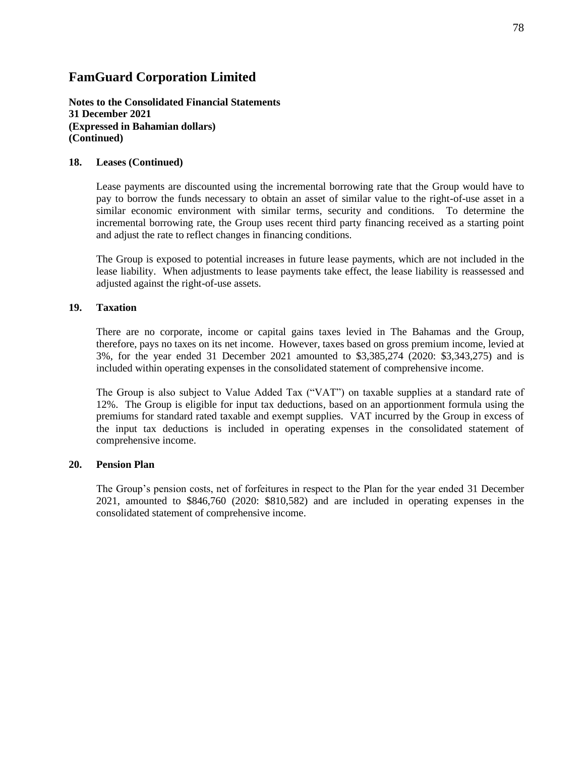**Notes to the Consolidated Financial Statements 31 December 2021 (Expressed in Bahamian dollars) (Continued)**

### **18. Leases (Continued)**

Lease payments are discounted using the incremental borrowing rate that the Group would have to pay to borrow the funds necessary to obtain an asset of similar value to the right-of-use asset in a similar economic environment with similar terms, security and conditions. To determine the incremental borrowing rate, the Group uses recent third party financing received as a starting point and adjust the rate to reflect changes in financing conditions.

The Group is exposed to potential increases in future lease payments, which are not included in the lease liability. When adjustments to lease payments take effect, the lease liability is reassessed and adjusted against the right-of-use assets.

#### **19. Taxation**

There are no corporate, income or capital gains taxes levied in The Bahamas and the Group, therefore, pays no taxes on its net income. However, taxes based on gross premium income, levied at 3%, for the year ended 31 December 2021 amounted to \$3,385,274 (2020: \$3,343,275) and is included within operating expenses in the consolidated statement of comprehensive income.

The Group is also subject to Value Added Tax ("VAT") on taxable supplies at a standard rate of 12%. The Group is eligible for input tax deductions, based on an apportionment formula using the premiums for standard rated taxable and exempt supplies. VAT incurred by the Group in excess of the input tax deductions is included in operating expenses in the consolidated statement of comprehensive income.

#### **20. Pension Plan**

The Group's pension costs, net of forfeitures in respect to the Plan for the year ended 31 December 2021, amounted to \$846,760 (2020: \$810,582) and are included in operating expenses in the consolidated statement of comprehensive income.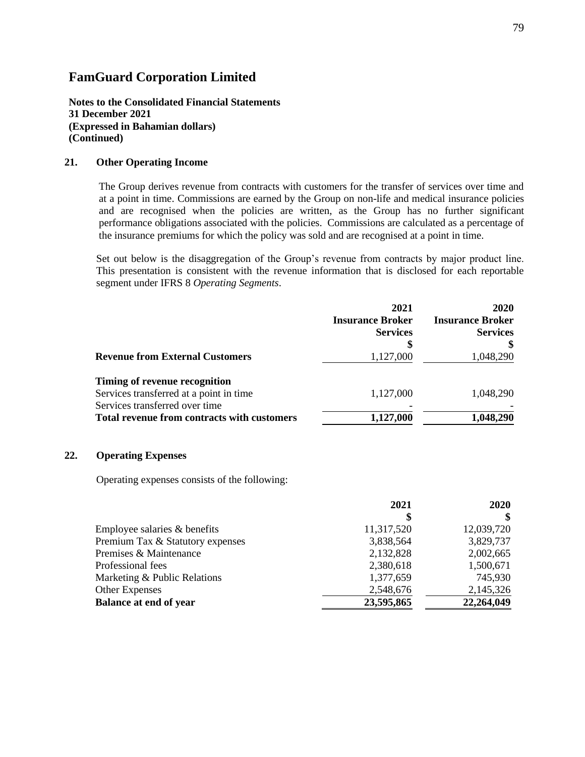**Notes to the Consolidated Financial Statements 31 December 2021 (Expressed in Bahamian dollars) (Continued)**

### **21. Other Operating Income**

The Group derives revenue from contracts with customers for the transfer of services over time and at a point in time. Commissions are earned by the Group on non-life and medical insurance policies and are recognised when the policies are written, as the Group has no further significant performance obligations associated with the policies. Commissions are calculated as a percentage of the insurance premiums for which the policy was sold and are recognised at a point in time.

Set out below is the disaggregation of the Group's revenue from contracts by major product line. This presentation is consistent with the revenue information that is disclosed for each reportable segment under IFRS 8 *Operating Segments*.

|                                             | 2021                    | 2020                    |
|---------------------------------------------|-------------------------|-------------------------|
|                                             | <b>Insurance Broker</b> | <b>Insurance Broker</b> |
|                                             | <b>Services</b>         | <b>Services</b>         |
|                                             |                         |                         |
| <b>Revenue from External Customers</b>      | 1,127,000               | 1,048,290               |
| Timing of revenue recognition               |                         |                         |
| Services transferred at a point in time     | 1,127,000               | 1,048,290               |
| Services transferred over time              |                         |                         |
| Total revenue from contracts with customers | 1,127,000               | 1,048,290               |

#### **22. Operating Expenses**

Operating expenses consists of the following:

|                                  | 2021       | <b>2020</b> |
|----------------------------------|------------|-------------|
|                                  | \$         |             |
| Employee salaries & benefits     | 11,317,520 | 12,039,720  |
| Premium Tax & Statutory expenses | 3,838,564  | 3,829,737   |
| Premises & Maintenance           | 2,132,828  | 2,002,665   |
| Professional fees                | 2,380,618  | 1,500,671   |
| Marketing & Public Relations     | 1,377,659  | 745,930     |
| Other Expenses                   | 2,548,676  | 2,145,326   |
| <b>Balance at end of year</b>    | 23,595,865 | 22,264,049  |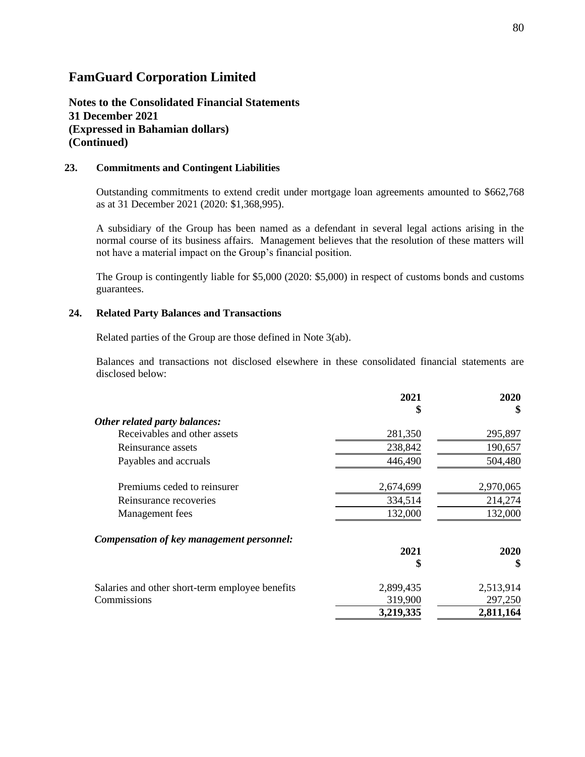**Notes to the Consolidated Financial Statements 31 December 2021 (Expressed in Bahamian dollars) (Continued)**

### **23. Commitments and Contingent Liabilities**

Outstanding commitments to extend credit under mortgage loan agreements amounted to \$662,768 as at 31 December 2021 (2020: \$1,368,995).

A subsidiary of the Group has been named as a defendant in several legal actions arising in the normal course of its business affairs. Management believes that the resolution of these matters will not have a material impact on the Group's financial position.

The Group is contingently liable for \$5,000 (2020: \$5,000) in respect of customs bonds and customs guarantees.

### **24. Related Party Balances and Transactions**

Related parties of the Group are those defined in Note 3(ab).

Balances and transactions not disclosed elsewhere in these consolidated financial statements are disclosed below:

|                                                 | 2021      | 2020      |
|-------------------------------------------------|-----------|-----------|
|                                                 | \$        | \$        |
| Other related party balances:                   |           |           |
| Receivables and other assets                    | 281,350   | 295,897   |
| Reinsurance assets                              | 238,842   | 190,657   |
| Payables and accruals                           | 446,490   | 504,480   |
| Premiums ceded to reinsurer                     | 2,674,699 | 2,970,065 |
| Reinsurance recoveries                          | 334,514   | 214,274   |
| Management fees                                 | 132,000   | 132,000   |
| Compensation of key management personnel:       |           |           |
|                                                 | 2021      | 2020      |
|                                                 | \$        | S         |
| Salaries and other short-term employee benefits | 2,899,435 | 2,513,914 |
| Commissions                                     | 319,900   | 297,250   |
|                                                 | 3,219,335 | 2,811,164 |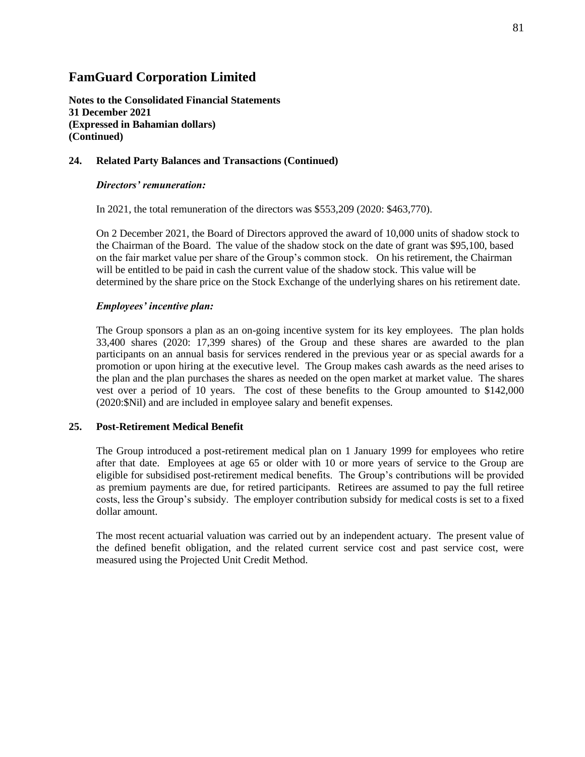**Notes to the Consolidated Financial Statements 31 December 2021 (Expressed in Bahamian dollars) (Continued)**

### **24. Related Party Balances and Transactions (Continued)**

### *Directors' remuneration:*

In 2021, the total remuneration of the directors was \$553,209 (2020: \$463,770).

On 2 December 2021, the Board of Directors approved the award of 10,000 units of shadow stock to the Chairman of the Board. The value of the shadow stock on the date of grant was \$95,100, based on the fair market value per share of the Group's common stock. On his retirement, the Chairman will be entitled to be paid in cash the current value of the shadow stock. This value will be determined by the share price on the Stock Exchange of the underlying shares on his retirement date.

#### *Employees' incentive plan:*

The Group sponsors a plan as an on-going incentive system for its key employees. The plan holds 33,400 shares (2020: 17,399 shares) of the Group and these shares are awarded to the plan participants on an annual basis for services rendered in the previous year or as special awards for a promotion or upon hiring at the executive level. The Group makes cash awards as the need arises to the plan and the plan purchases the shares as needed on the open market at market value. The shares vest over a period of 10 years. The cost of these benefits to the Group amounted to \$142,000 (2020:\$Nil) and are included in employee salary and benefit expenses.

### **25. Post-Retirement Medical Benefit**

The Group introduced a post-retirement medical plan on 1 January 1999 for employees who retire after that date. Employees at age 65 or older with 10 or more years of service to the Group are eligible for subsidised post-retirement medical benefits. The Group's contributions will be provided as premium payments are due, for retired participants. Retirees are assumed to pay the full retiree costs, less the Group's subsidy. The employer contribution subsidy for medical costs is set to a fixed dollar amount.

The most recent actuarial valuation was carried out by an independent actuary. The present value of the defined benefit obligation, and the related current service cost and past service cost, were measured using the Projected Unit Credit Method.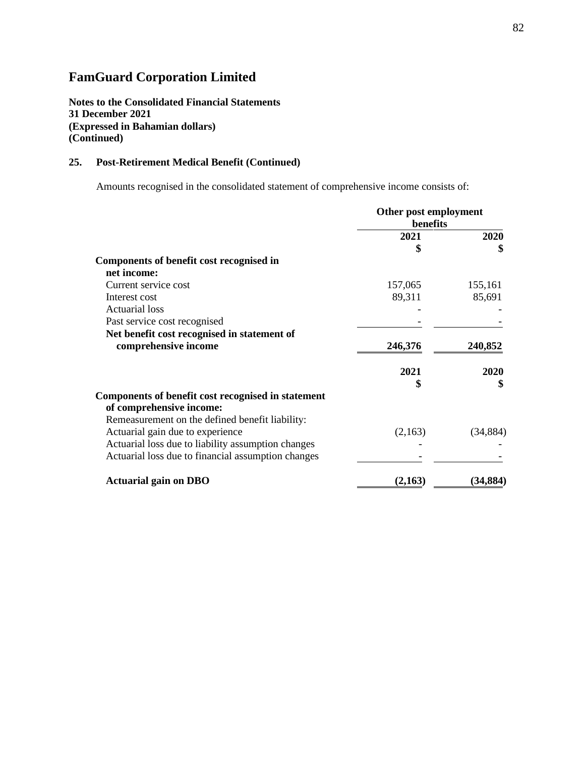**Notes to the Consolidated Financial Statements 31 December 2021 (Expressed in Bahamian dollars) (Continued)**

#### **25. Post-Retirement Medical Benefit (Continued)**

Amounts recognised in the consolidated statement of comprehensive income consists of:

|                                                    | Other post employment<br>benefits |             |
|----------------------------------------------------|-----------------------------------|-------------|
|                                                    | 2021                              | <b>2020</b> |
|                                                    | \$                                | \$          |
| Components of benefit cost recognised in           |                                   |             |
| net income:                                        |                                   |             |
| Current service cost                               | 157,065                           | 155,161     |
| Interest cost                                      | 89,311                            | 85,691      |
| <b>Actuarial loss</b>                              |                                   |             |
| Past service cost recognised                       |                                   |             |
| Net benefit cost recognised in statement of        |                                   |             |
| comprehensive income                               | 246,376                           | 240,852     |
|                                                    | 2021                              | 2020        |
|                                                    | \$                                | \$          |
| Components of benefit cost recognised in statement |                                   |             |
| of comprehensive income:                           |                                   |             |
| Remeasurement on the defined benefit liability:    |                                   |             |
| Actuarial gain due to experience                   | (2,163)                           | (34, 884)   |
| Actuarial loss due to liability assumption changes |                                   |             |
| Actuarial loss due to financial assumption changes |                                   |             |
| <b>Actuarial gain on DBO</b>                       | (2,163)                           | (34, 884)   |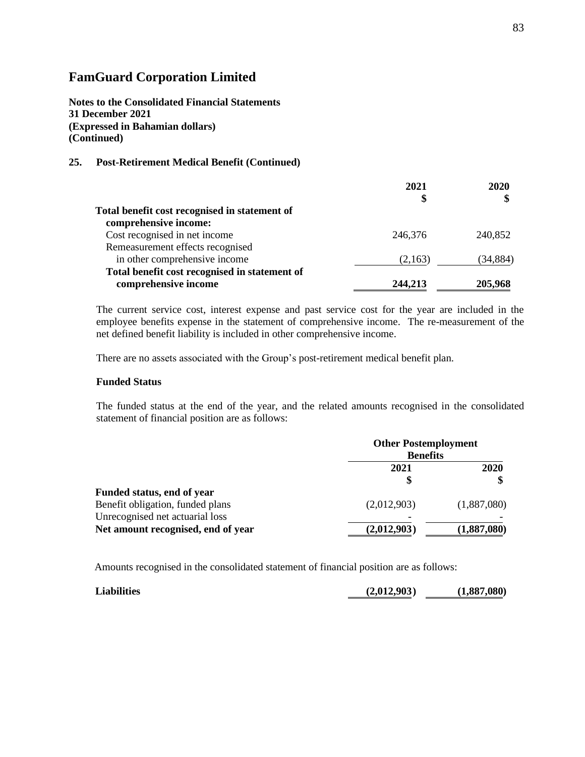**Notes to the Consolidated Financial Statements 31 December 2021 (Expressed in Bahamian dollars) (Continued)**

### **25. Post-Retirement Medical Benefit (Continued)**

|                                               | 2021<br>S | 2020     |
|-----------------------------------------------|-----------|----------|
| Total benefit cost recognised in statement of |           |          |
| comprehensive income:                         |           |          |
| Cost recognised in net income                 | 246,376   | 240,852  |
| Remeasurement effects recognised              |           |          |
| in other comprehensive income                 | (2,163)   | (34,884) |
| Total benefit cost recognised in statement of |           |          |
| comprehensive income                          | 244,213   | 205,968  |

The current service cost, interest expense and past service cost for the year are included in the employee benefits expense in the statement of comprehensive income. The re-measurement of the net defined benefit liability is included in other comprehensive income.

There are no assets associated with the Group's post-retirement medical benefit plan.

#### **Funded Status**

The funded status at the end of the year, and the related amounts recognised in the consolidated statement of financial position are as follows:

|                                    | <b>Other Postemployment</b><br><b>Benefits</b> |             |
|------------------------------------|------------------------------------------------|-------------|
|                                    |                                                |             |
|                                    | 2021                                           | 2020        |
|                                    |                                                |             |
| Funded status, end of year         |                                                |             |
| Benefit obligation, funded plans   | (2,012,903)                                    | (1,887,080) |
| Unrecognised net actuarial loss    |                                                |             |
| Net amount recognised, end of year | (2,012,903)                                    | (1,887,080) |

Amounts recognised in the consolidated statement of financial position are as follows:

| (2,012,903) | (1,887,080) |
|-------------|-------------|
|             |             |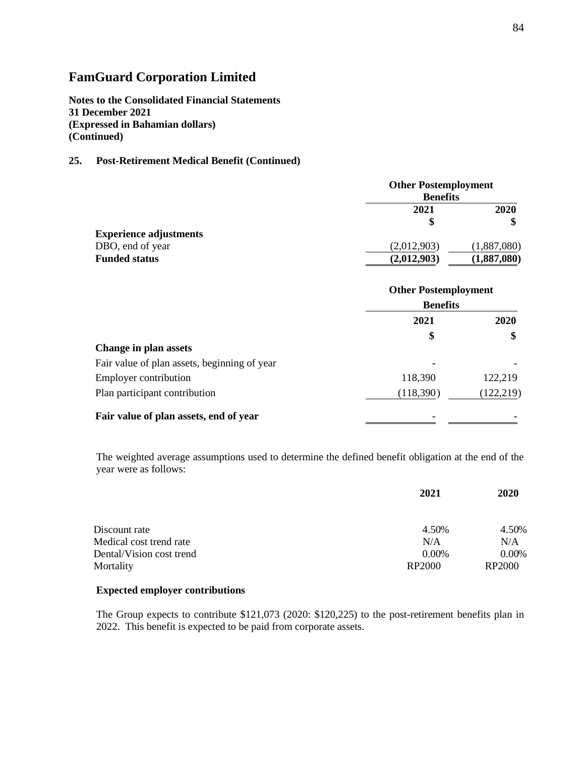**Notes to the Consolidated Financial Statements 31 December 2021 (Expressed in Bahamian dollars) (Continued)**

### **25. Post-Retirement Medical Benefit (Continued)**

|                               |             | <b>Other Postemployment</b><br><b>Benefits</b> |  |
|-------------------------------|-------------|------------------------------------------------|--|
|                               | 2021        | <b>2020</b>                                    |  |
| <b>Experience adjustments</b> |             |                                                |  |
| DBO, end of year              | (2,012,903) | (1,887,080)                                    |  |
| <b>Funded status</b>          | (2,012,903) | (1,887,080)                                    |  |

|                                              | <b>Other Postemployment</b><br><b>Benefits</b> |            |
|----------------------------------------------|------------------------------------------------|------------|
|                                              |                                                |            |
|                                              | 2021                                           | 2020       |
|                                              | \$                                             | \$         |
| Change in plan assets                        |                                                |            |
| Fair value of plan assets, beginning of year | $\overline{\phantom{0}}$                       |            |
| <b>Employer contribution</b>                 | 118,390                                        | 122,219    |
| Plan participant contribution                | (118,390)                                      | (122, 219) |
| Fair value of plan assets, end of year       |                                                |            |

The weighted average assumptions used to determine the defined benefit obligation at the end of the year were as follows:

|                          | 2021          | 2020     |
|--------------------------|---------------|----------|
| Discount rate            | 4.50%         | 4.50%    |
| Medical cost trend rate  | N/A           | N/A      |
| Dental/Vision cost trend | $0.00\%$      | $0.00\%$ |
| Mortality                | <b>RP2000</b> | RP2000   |

#### **Expected employer contributions**

The Group expects to contribute \$121,073 (2020: \$120,225) to the post-retirement benefits plan in 2022. This benefit is expected to be paid from corporate assets.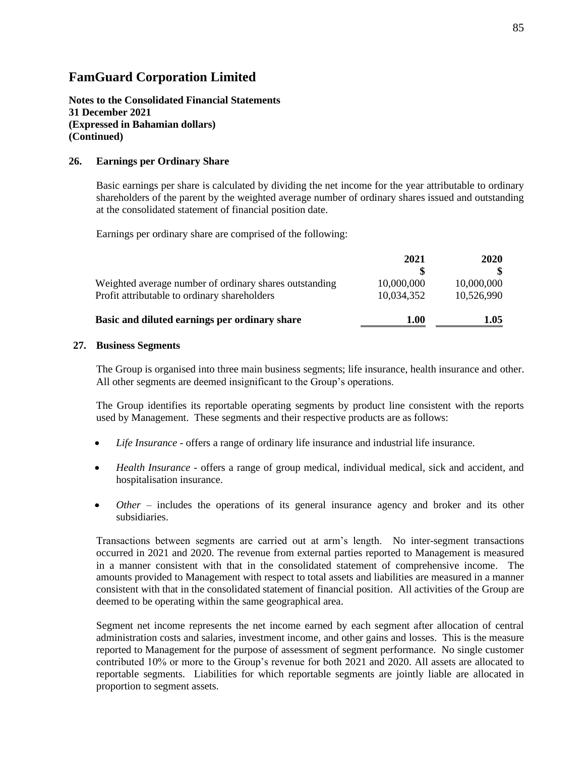**Notes to the Consolidated Financial Statements 31 December 2021 (Expressed in Bahamian dollars) (Continued)**

#### **26. Earnings per Ordinary Share**

Basic earnings per share is calculated by dividing the net income for the year attributable to ordinary shareholders of the parent by the weighted average number of ordinary shares issued and outstanding at the consolidated statement of financial position date.

Earnings per ordinary share are comprised of the following:

|                                                        | 2021       | 2020       |  |
|--------------------------------------------------------|------------|------------|--|
|                                                        |            |            |  |
| Weighted average number of ordinary shares outstanding | 10,000,000 | 10,000,000 |  |
| Profit attributable to ordinary shareholders           | 10,034,352 | 10,526,990 |  |
| Basic and diluted earnings per ordinary share          | 1.00       | 1.05       |  |

#### **27. Business Segments**

The Group is organised into three main business segments; life insurance, health insurance and other. All other segments are deemed insignificant to the Group's operations.

The Group identifies its reportable operating segments by product line consistent with the reports used by Management. These segments and their respective products are as follows:

- *Life Insurance* offers a range of ordinary life insurance and industrial life insurance.
- *Health Insurance* offers a range of group medical, individual medical, sick and accident, and hospitalisation insurance.
- *Other* includes the operations of its general insurance agency and broker and its other subsidiaries.

Transactions between segments are carried out at arm's length. No inter-segment transactions occurred in 2021 and 2020. The revenue from external parties reported to Management is measured in a manner consistent with that in the consolidated statement of comprehensive income. The amounts provided to Management with respect to total assets and liabilities are measured in a manner consistent with that in the consolidated statement of financial position. All activities of the Group are deemed to be operating within the same geographical area.

Segment net income represents the net income earned by each segment after allocation of central administration costs and salaries, investment income, and other gains and losses. This is the measure reported to Management for the purpose of assessment of segment performance. No single customer contributed 10% or more to the Group's revenue for both 2021 and 2020. All assets are allocated to reportable segments. Liabilities for which reportable segments are jointly liable are allocated in proportion to segment assets.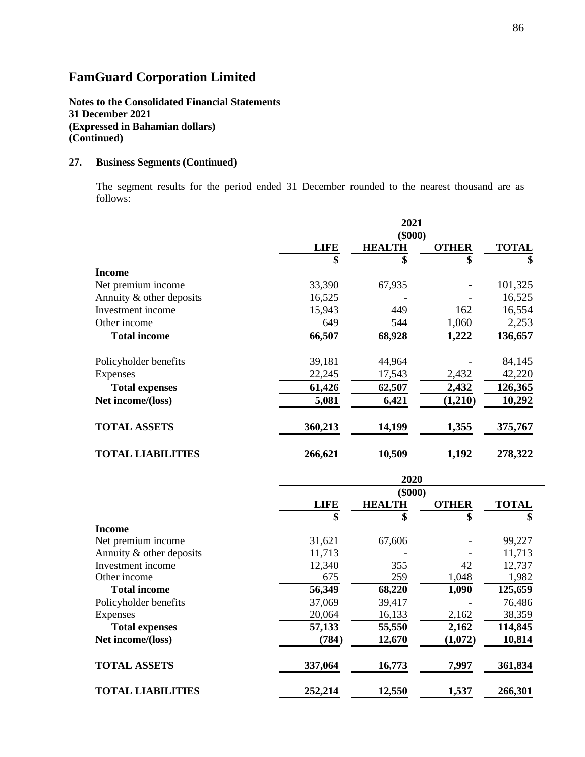**Notes to the Consolidated Financial Statements 31 December 2021 (Expressed in Bahamian dollars) (Continued)**

### **27. Business Segments (Continued)**

The segment results for the period ended 31 December rounded to the nearest thousand are as follows:

|                          | 2021        |               |              |              |  |  |
|--------------------------|-------------|---------------|--------------|--------------|--|--|
|                          |             | \$000         |              |              |  |  |
|                          | <b>LIFE</b> | <b>HEALTH</b> | <b>OTHER</b> | <b>TOTAL</b> |  |  |
|                          | \$          | \$            | \$           | \$           |  |  |
| Income                   |             |               |              |              |  |  |
| Net premium income       | 33,390      | 67,935        |              | 101,325      |  |  |
| Annuity & other deposits | 16,525      |               |              | 16,525       |  |  |
| Investment income        | 15,943      | 449           | 162          | 16,554       |  |  |
| Other income             | 649         | 544           | 1,060        | 2,253        |  |  |
| <b>Total income</b>      | 66,507      | 68,928        | 1,222        | 136,657      |  |  |
| Policyholder benefits    | 39,181      | 44,964        |              | 84,145       |  |  |
| Expenses                 | 22,245      | 17,543        | 2,432        | 42,220       |  |  |
| <b>Total expenses</b>    | 61,426      | 62,507        | 2,432        | 126,365      |  |  |
| Net income/(loss)        | 5,081       | 6,421         | (1,210)      | 10,292       |  |  |
| <b>TOTAL ASSETS</b>      | 360,213     | 14,199        | 1,355        | 375,767      |  |  |
| <b>TOTAL LIABILITIES</b> | 266,621     | 10,509        | 1,192        | 278,322      |  |  |
|                          |             | 2020          |              |              |  |  |
|                          |             | $(\$000)$     |              |              |  |  |
|                          | <b>LIFE</b> | <b>HEALTH</b> | <b>OTHER</b> | <b>TOTAL</b> |  |  |
|                          | \$          | \$            | \$           | \$           |  |  |
| <b>Income</b>            |             |               |              |              |  |  |
| Net premium income       | 31,621      | 67,606        |              | 99,227       |  |  |
| Annuity & other deposits | 11,713      |               |              | 11,713       |  |  |
| Investment income        | 12,340      | 355           | 42           | 12,737       |  |  |
| Other income             | 675         | 259           | 1,048        | 1,982        |  |  |
| <b>Total income</b>      | 56,349      | 68,220        | 1,090        | 125,659      |  |  |
| Policyholder benefits    | 37,069      | 39,417        |              | 76,486       |  |  |
| Expenses                 | 20,064      | 16,133        | 2,162        | 38,359       |  |  |
| <b>Total expenses</b>    | 57,133      | 55,550        | 2,162        | 114,845      |  |  |
| Net income/(loss)        | (784)       | 12,670        | (1,072)      | 10,814       |  |  |
| <b>TOTAL ASSETS</b>      | 337,064     | 16,773        | 7,997        | 361,834      |  |  |
| <b>TOTAL LIABILITIES</b> | 252,214     | 12,550        | 1,537        | 266,301      |  |  |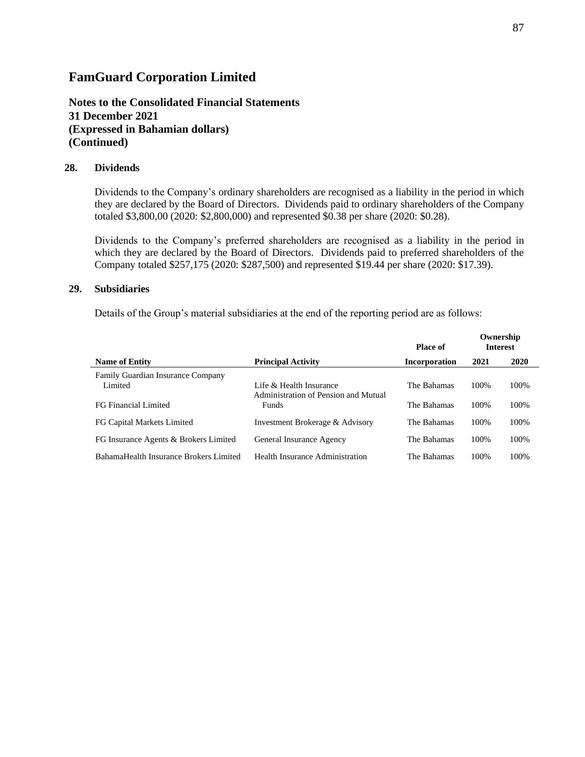**Notes to the Consolidated Financial Statements 31 December 2021 (Expressed in Bahamian dollars) (Continued)**

#### **28. Dividends**

Dividends to the Company's ordinary shareholders are recognised as a liability in the period in which they are declared by the Board of Directors. Dividends paid to ordinary shareholders of the Company totaled \$3,800,00 (2020: \$2,800,000) and represented \$0.38 per share (2020: \$0.28).

Dividends to the Company's preferred shareholders are recognised as a liability in the period in which they are declared by the Board of Directors. Dividends paid to preferred shareholders of the Company totaled \$257,175 (2020: \$287,500) and represented \$19.44 per share (2020: \$17.39).

#### **29. Subsidiaries**

Details of the Group's material subsidiaries at the end of the reporting period are as follows:

|                                        |                                               | Ownership<br><b>Place of</b><br><b>Interest</b> |      |      |
|----------------------------------------|-----------------------------------------------|-------------------------------------------------|------|------|
| <b>Name of Entity</b>                  | <b>Principal Activity</b>                     | <b>Incorporation</b>                            | 2021 | 2020 |
| Family Guardian Insurance Company      |                                               |                                                 |      |      |
| Limited                                | Life & Health Insurance                       | The Bahamas                                     | 100% | 100% |
| <b>FG Financial Limited</b>            | Administration of Pension and Mutual<br>Funds | The Bahamas                                     | 100% | 100% |
| FG Capital Markets Limited             | Investment Brokerage & Advisory               | The Bahamas                                     | 100% | 100% |
| FG Insurance Agents & Brokers Limited  | General Insurance Agency                      | The Bahamas                                     | 100% | 100% |
| BahamaHealth Insurance Brokers Limited | Health Insurance Administration               | The Bahamas                                     | 100% | 100% |